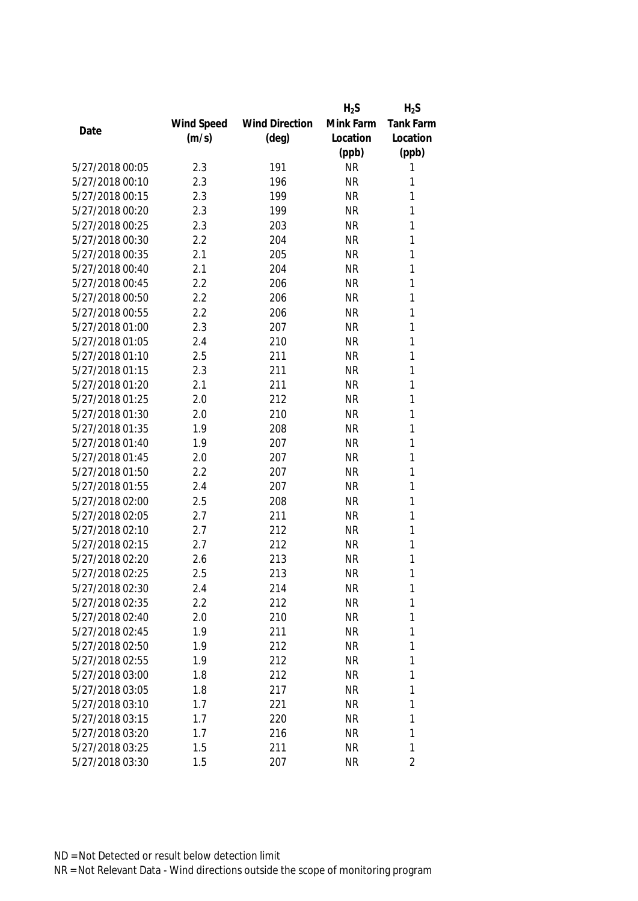|                 |            |                       | $H_2S$    | $H_2S$         |
|-----------------|------------|-----------------------|-----------|----------------|
|                 | Wind Speed | <b>Wind Direction</b> | Mink Farm | Tank Farm      |
| Date            | (m/s)      | $(\text{deg})$        | Location  | Location       |
|                 |            |                       | (ppb)     | (ppb)          |
| 5/27/2018 00:05 | 2.3        | 191                   | <b>NR</b> | 1              |
| 5/27/2018 00:10 | 2.3        | 196                   | <b>NR</b> | 1              |
| 5/27/2018 00:15 | 2.3        | 199                   | <b>NR</b> | 1              |
| 5/27/2018 00:20 | 2.3        | 199                   | <b>NR</b> | 1              |
| 5/27/2018 00:25 | 2.3        | 203                   | <b>NR</b> | 1              |
| 5/27/2018 00:30 | 2.2        | 204                   | <b>NR</b> | 1              |
| 5/27/2018 00:35 | 2.1        | 205                   | <b>NR</b> | 1              |
| 5/27/2018 00:40 | 2.1        | 204                   | <b>NR</b> | 1              |
| 5/27/2018 00:45 | 2.2        | 206                   | <b>NR</b> | 1              |
| 5/27/2018 00:50 | 2.2        | 206                   | <b>NR</b> | 1              |
| 5/27/2018 00:55 | 2.2        | 206                   | <b>NR</b> | 1              |
| 5/27/2018 01:00 | 2.3        | 207                   | <b>NR</b> | 1              |
| 5/27/2018 01:05 | 2.4        | 210                   | <b>NR</b> | 1              |
| 5/27/2018 01:10 | 2.5        | 211                   | <b>NR</b> | 1              |
| 5/27/2018 01:15 | 2.3        | 211                   | <b>NR</b> | 1              |
| 5/27/2018 01:20 | 2.1        | 211                   | <b>NR</b> | 1              |
| 5/27/2018 01:25 | 2.0        | 212                   | <b>NR</b> | 1              |
| 5/27/2018 01:30 | 2.0        | 210                   | <b>NR</b> | 1              |
| 5/27/2018 01:35 | 1.9        | 208                   | <b>NR</b> | 1              |
| 5/27/2018 01:40 | 1.9        | 207                   | <b>NR</b> | 1              |
| 5/27/2018 01:45 | 2.0        | 207                   | <b>NR</b> | 1              |
| 5/27/2018 01:50 | 2.2        | 207                   | <b>NR</b> | 1              |
| 5/27/2018 01:55 | 2.4        | 207                   | <b>NR</b> | 1              |
| 5/27/2018 02:00 | 2.5        | 208                   | <b>NR</b> | 1              |
| 5/27/2018 02:05 | 2.7        | 211                   | <b>NR</b> | 1              |
| 5/27/2018 02:10 | 2.7        | 212                   | <b>NR</b> | 1              |
| 5/27/2018 02:15 | 2.7        | 212                   | <b>NR</b> | 1              |
| 5/27/2018 02:20 | 2.6        | 213                   | <b>NR</b> | 1              |
| 5/27/2018 02:25 | 2.5        | 213                   | <b>NR</b> | 1              |
| 5/27/2018 02:30 | 2.4        | 214                   | <b>NR</b> | 1              |
| 5/27/2018 02:35 | 2.2        | 212                   | <b>NR</b> | 1              |
| 5/27/2018 02:40 | 2.0        | 210                   | <b>NR</b> | 1              |
| 5/27/2018 02:45 | 1.9        | 211                   | <b>NR</b> | 1              |
| 5/27/2018 02:50 | 1.9        | 212                   | NR        | 1              |
| 5/27/2018 02:55 | 1.9        | 212                   | <b>NR</b> | 1              |
| 5/27/2018 03:00 | 1.8        | 212                   | <b>NR</b> | 1              |
| 5/27/2018 03:05 | 1.8        | 217                   | <b>NR</b> | 1              |
| 5/27/2018 03:10 | 1.7        | 221                   | <b>NR</b> | 1              |
| 5/27/2018 03:15 | 1.7        | 220                   | <b>NR</b> | 1              |
| 5/27/2018 03:20 | 1.7        | 216                   | <b>NR</b> | 1              |
| 5/27/2018 03:25 | 1.5        | 211                   | <b>NR</b> | 1              |
| 5/27/2018 03:30 | 1.5        | 207                   | <b>NR</b> | $\overline{2}$ |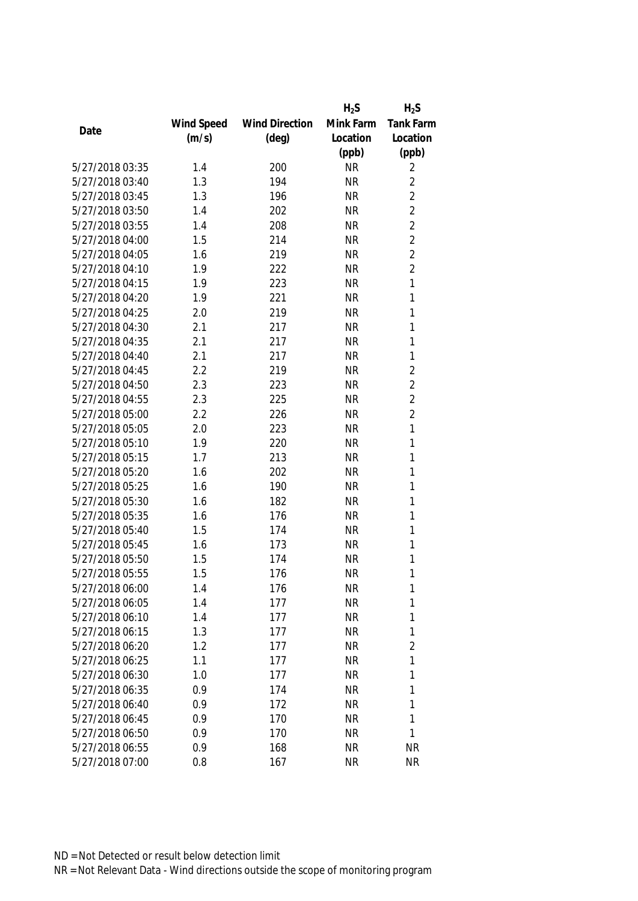|                 |            |                       | $H_2S$    | $H_2S$           |
|-----------------|------------|-----------------------|-----------|------------------|
|                 | Wind Speed | <b>Wind Direction</b> | Mink Farm | <b>Tank Farm</b> |
| Date            | (m/s)      | $(\text{deg})$        | Location  | Location         |
|                 |            |                       | (ppb)     | (ppb)            |
| 5/27/2018 03:35 | 1.4        | 200                   | <b>NR</b> | 2                |
| 5/27/2018 03:40 | 1.3        | 194                   | <b>NR</b> | $\overline{2}$   |
| 5/27/2018 03:45 | 1.3        | 196                   | <b>NR</b> | $\overline{2}$   |
| 5/27/2018 03:50 | 1.4        | 202                   | <b>NR</b> | $\overline{2}$   |
| 5/27/2018 03:55 | 1.4        | 208                   | <b>NR</b> | $\overline{2}$   |
| 5/27/2018 04:00 | 1.5        | 214                   | <b>NR</b> | $\overline{2}$   |
| 5/27/2018 04:05 | 1.6        | 219                   | <b>NR</b> | $\overline{2}$   |
| 5/27/2018 04:10 | 1.9        | 222                   | <b>NR</b> | $\overline{2}$   |
| 5/27/2018 04:15 | 1.9        | 223                   | <b>NR</b> | 1                |
| 5/27/2018 04:20 | 1.9        | 221                   | <b>NR</b> | 1                |
| 5/27/2018 04:25 | 2.0        | 219                   | <b>NR</b> | 1                |
| 5/27/2018 04:30 | 2.1        | 217                   | <b>NR</b> | 1                |
| 5/27/2018 04:35 | 2.1        | 217                   | <b>NR</b> | 1                |
| 5/27/2018 04:40 | 2.1        | 217                   | <b>NR</b> | $\mathbf{1}$     |
| 5/27/2018 04:45 | 2.2        | 219                   | <b>NR</b> | $\overline{2}$   |
| 5/27/2018 04:50 | 2.3        | 223                   | <b>NR</b> | $\overline{2}$   |
| 5/27/2018 04:55 | 2.3        | 225                   | <b>NR</b> | $\overline{2}$   |
| 5/27/2018 05:00 | 2.2        | 226                   | <b>NR</b> | $\overline{2}$   |
| 5/27/2018 05:05 | 2.0        | 223                   | <b>NR</b> | 1                |
| 5/27/2018 05:10 | 1.9        | 220                   | <b>NR</b> | 1                |
| 5/27/2018 05:15 | 1.7        | 213                   | <b>NR</b> | 1                |
| 5/27/2018 05:20 | 1.6        | 202                   | <b>NR</b> | 1                |
| 5/27/2018 05:25 | 1.6        | 190                   | <b>NR</b> | 1                |
| 5/27/2018 05:30 | 1.6        | 182                   | <b>NR</b> | 1                |
| 5/27/2018 05:35 | 1.6        | 176                   | <b>NR</b> | 1                |
| 5/27/2018 05:40 | 1.5        | 174                   | <b>NR</b> | 1                |
| 5/27/2018 05:45 | 1.6        | 173                   | <b>NR</b> | 1                |
| 5/27/2018 05:50 | 1.5        | 174                   | <b>NR</b> | 1                |
| 5/27/2018 05:55 | 1.5        | 176                   | <b>NR</b> | 1                |
| 5/27/2018 06:00 | 1.4        | 176                   | <b>NR</b> | 1                |
| 5/27/2018 06:05 | 1.4        | 177                   | <b>NR</b> | 1                |
| 5/27/2018 06:10 | 1.4        | 177                   | <b>NR</b> | 1                |
| 5/27/2018 06:15 | 1.3        | 177                   | <b>NR</b> | 1                |
| 5/27/2018 06:20 | 1.2        | 177                   | <b>NR</b> | $\overline{2}$   |
| 5/27/2018 06:25 | 1.1        | 177                   | <b>NR</b> | 1                |
| 5/27/2018 06:30 | 1.0        | 177                   | <b>NR</b> | 1                |
| 5/27/2018 06:35 | 0.9        | 174                   | <b>NR</b> | 1                |
| 5/27/2018 06:40 | 0.9        | 172                   | <b>NR</b> | 1                |
| 5/27/2018 06:45 | 0.9        | 170                   | <b>NR</b> | 1                |
| 5/27/2018 06:50 | 0.9        | 170                   | <b>NR</b> | 1                |
| 5/27/2018 06:55 | 0.9        | 168                   | <b>NR</b> | <b>NR</b>        |
| 5/27/2018 07:00 | 0.8        | 167                   | <b>NR</b> | <b>NR</b>        |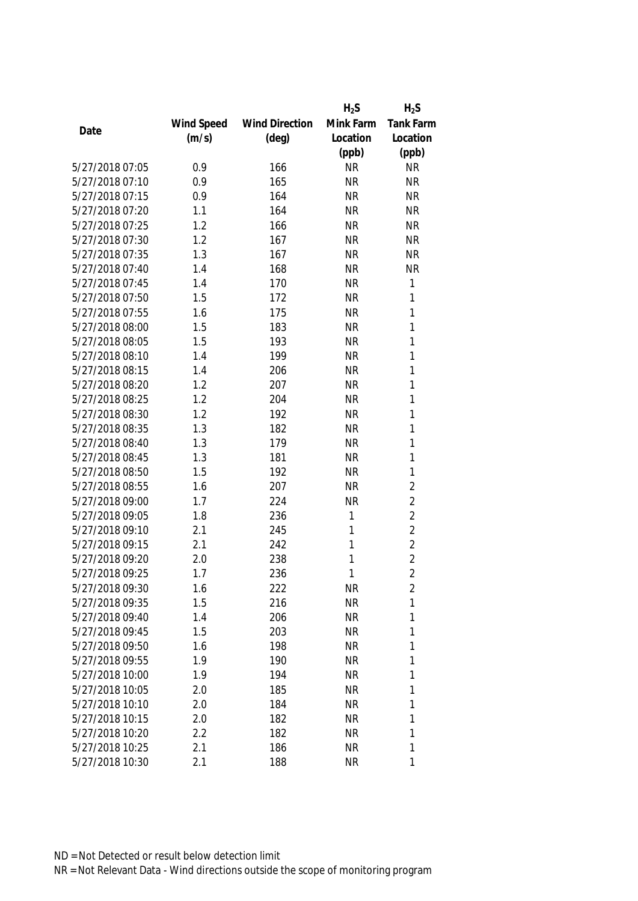|                 |            |                       | $H_2S$    | $H_2S$         |
|-----------------|------------|-----------------------|-----------|----------------|
|                 | Wind Speed | <b>Wind Direction</b> | Mink Farm | Tank Farm      |
| Date            | (m/s)      | $(\text{deg})$        | Location  | Location       |
|                 |            |                       | (ppb)     | (ppb)          |
| 5/27/2018 07:05 | 0.9        | 166                   | <b>NR</b> | <b>NR</b>      |
| 5/27/2018 07:10 | 0.9        | 165                   | <b>NR</b> | <b>NR</b>      |
| 5/27/2018 07:15 | 0.9        | 164                   | <b>NR</b> | <b>NR</b>      |
| 5/27/2018 07:20 | 1.1        | 164                   | <b>NR</b> | <b>NR</b>      |
| 5/27/2018 07:25 | 1.2        | 166                   | <b>NR</b> | <b>NR</b>      |
| 5/27/2018 07:30 | 1.2        | 167                   | <b>NR</b> | <b>NR</b>      |
| 5/27/2018 07:35 | 1.3        | 167                   | <b>NR</b> | <b>NR</b>      |
| 5/27/2018 07:40 | 1.4        | 168                   | <b>NR</b> | <b>NR</b>      |
| 5/27/2018 07:45 | 1.4        | 170                   | <b>NR</b> | 1              |
| 5/27/2018 07:50 | 1.5        | 172                   | <b>NR</b> | 1              |
| 5/27/2018 07:55 | 1.6        | 175                   | <b>NR</b> | 1              |
| 5/27/2018 08:00 | 1.5        | 183                   | <b>NR</b> | 1              |
| 5/27/2018 08:05 | 1.5        | 193                   | <b>NR</b> | 1              |
| 5/27/2018 08:10 | 1.4        | 199                   | <b>NR</b> | 1              |
| 5/27/2018 08:15 | 1.4        | 206                   | <b>NR</b> | $\mathbf{1}$   |
| 5/27/2018 08:20 | 1.2        | 207                   | <b>NR</b> | 1              |
| 5/27/2018 08:25 | 1.2        | 204                   | <b>NR</b> | 1              |
| 5/27/2018 08:30 | 1.2        | 192                   | <b>NR</b> | 1              |
| 5/27/2018 08:35 | 1.3        | 182                   | <b>NR</b> | 1              |
| 5/27/2018 08:40 | 1.3        | 179                   | <b>NR</b> | 1              |
| 5/27/2018 08:45 | 1.3        | 181                   | <b>NR</b> | 1              |
| 5/27/2018 08:50 | 1.5        | 192                   | <b>NR</b> | $\mathbf{1}$   |
| 5/27/2018 08:55 | 1.6        | 207                   | <b>NR</b> | $\overline{2}$ |
| 5/27/2018 09:00 | 1.7        | 224                   | <b>NR</b> | $\overline{2}$ |
| 5/27/2018 09:05 | 1.8        | 236                   | 1         | $\overline{2}$ |
| 5/27/2018 09:10 | 2.1        | 245                   | 1         | $\overline{2}$ |
| 5/27/2018 09:15 | 2.1        | 242                   | 1         | $\overline{2}$ |
| 5/27/2018 09:20 | 2.0        | 238                   | 1         | $\overline{2}$ |
| 5/27/2018 09:25 | 1.7        | 236                   | 1         | $\overline{2}$ |
| 5/27/2018 09:30 | 1.6        | 222                   | <b>NR</b> | 2              |
| 5/27/2018 09:35 | 1.5        | 216                   | <b>NR</b> | 1              |
| 5/27/2018 09:40 | 1.4        | 206                   | <b>NR</b> | 1              |
| 5/27/2018 09:45 | 1.5        | 203                   | <b>NR</b> | 1              |
| 5/27/2018 09:50 | 1.6        | 198                   | <b>NR</b> | 1              |
| 5/27/2018 09:55 | 1.9        | 190                   | <b>NR</b> | 1              |
| 5/27/2018 10:00 | 1.9        | 194                   | <b>NR</b> | 1              |
| 5/27/2018 10:05 | 2.0        | 185                   | <b>NR</b> | 1              |
| 5/27/2018 10:10 | 2.0        | 184                   | <b>NR</b> | 1              |
| 5/27/2018 10:15 | 2.0        | 182                   | <b>NR</b> | 1              |
| 5/27/2018 10:20 | 2.2        | 182                   | <b>NR</b> | 1              |
| 5/27/2018 10:25 | 2.1        | 186                   | <b>NR</b> | 1              |
| 5/27/2018 10:30 | 2.1        | 188                   | <b>NR</b> | 1              |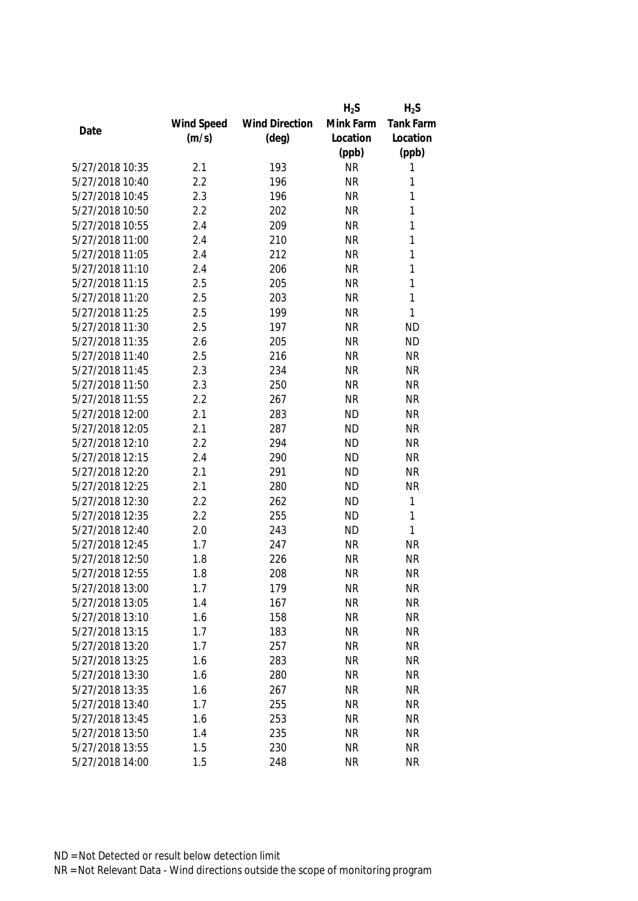|                 |            |                       | $H_2S$    | $H_2S$    |
|-----------------|------------|-----------------------|-----------|-----------|
|                 | Wind Speed | <b>Wind Direction</b> | Mink Farm | Tank Farm |
| Date            | (m/s)      | $(\text{deg})$        | Location  | Location  |
|                 |            |                       | (ppb)     | (ppb)     |
| 5/27/2018 10:35 | 2.1        | 193                   | <b>NR</b> | 1         |
| 5/27/2018 10:40 | 2.2        | 196                   | <b>NR</b> | 1         |
| 5/27/2018 10:45 | 2.3        | 196                   | <b>NR</b> | 1         |
| 5/27/2018 10:50 | 2.2        | 202                   | <b>NR</b> | 1         |
| 5/27/2018 10:55 | 2.4        | 209                   | <b>NR</b> | 1         |
| 5/27/2018 11:00 | 2.4        | 210                   | <b>NR</b> | 1         |
| 5/27/2018 11:05 | 2.4        | 212                   | <b>NR</b> | 1         |
| 5/27/2018 11:10 | 2.4        | 206                   | <b>NR</b> | 1         |
| 5/27/2018 11:15 | 2.5        | 205                   | <b>NR</b> | 1         |
| 5/27/2018 11:20 | 2.5        | 203                   | <b>NR</b> | 1         |
| 5/27/2018 11:25 | 2.5        | 199                   | <b>NR</b> | 1         |
| 5/27/2018 11:30 | 2.5        | 197                   | <b>NR</b> | <b>ND</b> |
| 5/27/2018 11:35 | 2.6        | 205                   | <b>NR</b> | <b>ND</b> |
| 5/27/2018 11:40 | 2.5        | 216                   | <b>NR</b> | <b>NR</b> |
| 5/27/2018 11:45 | 2.3        | 234                   | <b>NR</b> | <b>NR</b> |
| 5/27/2018 11:50 | 2.3        | 250                   | <b>NR</b> | <b>NR</b> |
| 5/27/2018 11:55 | 2.2        | 267                   | <b>NR</b> | <b>NR</b> |
| 5/27/2018 12:00 | 2.1        | 283                   | <b>ND</b> | <b>NR</b> |
| 5/27/2018 12:05 | 2.1        | 287                   | <b>ND</b> | <b>NR</b> |
| 5/27/2018 12:10 | 2.2        | 294                   | <b>ND</b> | <b>NR</b> |
| 5/27/2018 12:15 | 2.4        | 290                   | <b>ND</b> | <b>NR</b> |
| 5/27/2018 12:20 | 2.1        | 291                   | <b>ND</b> | <b>NR</b> |
| 5/27/2018 12:25 | 2.1        | 280                   | <b>ND</b> | <b>NR</b> |
| 5/27/2018 12:30 | 2.2        | 262                   | <b>ND</b> | 1         |
| 5/27/2018 12:35 | 2.2        | 255                   | <b>ND</b> | 1         |
| 5/27/2018 12:40 | 2.0        | 243                   | <b>ND</b> | 1         |
| 5/27/2018 12:45 | 1.7        | 247                   | <b>NR</b> | <b>NR</b> |
| 5/27/2018 12:50 | 1.8        | 226                   | <b>NR</b> | <b>NR</b> |
| 5/27/2018 12:55 | 1.8        | 208                   | <b>NR</b> | <b>NR</b> |
| 5/27/2018 13:00 | 1.7        | 179                   | <b>NR</b> | NR        |
| 5/27/2018 13:05 | 1.4        | 167                   | <b>NR</b> | <b>NR</b> |
| 5/27/2018 13:10 | 1.6        | 158                   | <b>NR</b> | <b>NR</b> |
| 5/27/2018 13:15 | 1.7        | 183                   | <b>NR</b> | <b>NR</b> |
| 5/27/2018 13:20 | 1.7        | 257                   | <b>NR</b> | <b>NR</b> |
| 5/27/2018 13:25 | 1.6        | 283                   | <b>NR</b> | <b>NR</b> |
| 5/27/2018 13:30 | 1.6        | 280                   | <b>NR</b> | <b>NR</b> |
| 5/27/2018 13:35 | 1.6        | 267                   | <b>NR</b> | <b>NR</b> |
| 5/27/2018 13:40 | 1.7        | 255                   | <b>NR</b> | <b>NR</b> |
| 5/27/2018 13:45 | 1.6        | 253                   | <b>NR</b> | <b>NR</b> |
| 5/27/2018 13:50 | 1.4        | 235                   | <b>NR</b> | <b>NR</b> |
| 5/27/2018 13:55 | 1.5        | 230                   | <b>NR</b> | <b>NR</b> |
| 5/27/2018 14:00 | 1.5        | 248                   | <b>NR</b> | <b>NR</b> |
|                 |            |                       |           |           |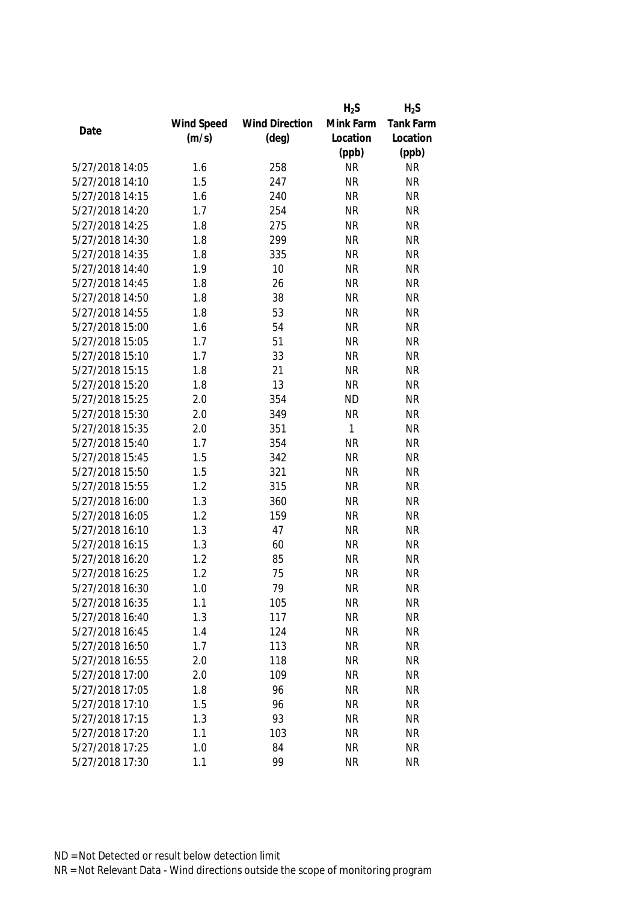|                 |            |                       | $H_2S$       | $H_2S$    |
|-----------------|------------|-----------------------|--------------|-----------|
|                 | Wind Speed | <b>Wind Direction</b> | Mink Farm    | Tank Farm |
| Date            | (m/s)      | $(\text{deg})$        | Location     | Location  |
|                 |            |                       | (ppb)        | (ppb)     |
| 5/27/2018 14:05 | 1.6        | 258                   | <b>NR</b>    | <b>NR</b> |
| 5/27/2018 14:10 | 1.5        | 247                   | <b>NR</b>    | <b>NR</b> |
| 5/27/2018 14:15 | 1.6        | 240                   | <b>NR</b>    | <b>NR</b> |
| 5/27/2018 14:20 | 1.7        | 254                   | <b>NR</b>    | <b>NR</b> |
| 5/27/2018 14:25 | 1.8        | 275                   | <b>NR</b>    | <b>NR</b> |
| 5/27/2018 14:30 | 1.8        | 299                   | <b>NR</b>    | <b>NR</b> |
| 5/27/2018 14:35 | 1.8        | 335                   | <b>NR</b>    | <b>NR</b> |
| 5/27/2018 14:40 | 1.9        | 10                    | <b>NR</b>    | <b>NR</b> |
| 5/27/2018 14:45 | 1.8        | 26                    | <b>NR</b>    | <b>NR</b> |
| 5/27/2018 14:50 | 1.8        | 38                    | <b>NR</b>    | <b>NR</b> |
| 5/27/2018 14:55 | 1.8        | 53                    | <b>NR</b>    | <b>NR</b> |
| 5/27/2018 15:00 | 1.6        | 54                    | <b>NR</b>    | <b>NR</b> |
| 5/27/2018 15:05 | 1.7        | 51                    | <b>NR</b>    | <b>NR</b> |
| 5/27/2018 15:10 | 1.7        | 33                    | <b>NR</b>    | <b>NR</b> |
| 5/27/2018 15:15 | 1.8        | 21                    | <b>NR</b>    | <b>NR</b> |
| 5/27/2018 15:20 | 1.8        | 13                    | <b>NR</b>    | <b>NR</b> |
| 5/27/2018 15:25 | 2.0        | 354                   | <b>ND</b>    | <b>NR</b> |
| 5/27/2018 15:30 | 2.0        | 349                   | <b>NR</b>    | <b>NR</b> |
| 5/27/2018 15:35 | 2.0        | 351                   | $\mathbf{1}$ | <b>NR</b> |
| 5/27/2018 15:40 | 1.7        | 354                   | <b>NR</b>    | <b>NR</b> |
| 5/27/2018 15:45 | 1.5        | 342                   | <b>NR</b>    | <b>NR</b> |
| 5/27/2018 15:50 | 1.5        | 321                   | <b>NR</b>    | <b>NR</b> |
| 5/27/2018 15:55 | 1.2        | 315                   | <b>NR</b>    | <b>NR</b> |
| 5/27/2018 16:00 | 1.3        | 360                   | <b>NR</b>    | <b>NR</b> |
| 5/27/2018 16:05 | 1.2        | 159                   | <b>NR</b>    | <b>NR</b> |
| 5/27/2018 16:10 | 1.3        | 47                    | <b>NR</b>    | <b>NR</b> |
| 5/27/2018 16:15 | 1.3        | 60                    | <b>NR</b>    | <b>NR</b> |
| 5/27/2018 16:20 | 1.2        | 85                    | <b>NR</b>    | <b>NR</b> |
| 5/27/2018 16:25 | 1.2        | 75                    | <b>NR</b>    | <b>NR</b> |
| 5/27/2018 16:30 | 1.0        | 79                    | <b>NR</b>    | <b>NR</b> |
| 5/27/2018 16:35 | 1.1        | 105                   | <b>NR</b>    | <b>NR</b> |
| 5/27/2018 16:40 | 1.3        | 117                   | <b>NR</b>    | <b>NR</b> |
| 5/27/2018 16:45 | 1.4        | 124                   | <b>NR</b>    | <b>NR</b> |
| 5/27/2018 16:50 | 1.7        | 113                   | <b>NR</b>    | <b>NR</b> |
| 5/27/2018 16:55 | 2.0        | 118                   | <b>NR</b>    | <b>NR</b> |
| 5/27/2018 17:00 | 2.0        | 109                   | <b>NR</b>    | <b>NR</b> |
| 5/27/2018 17:05 | 1.8        | 96                    | <b>NR</b>    | <b>NR</b> |
| 5/27/2018 17:10 | 1.5        | 96                    | <b>NR</b>    | <b>NR</b> |
| 5/27/2018 17:15 | 1.3        | 93                    | <b>NR</b>    | <b>NR</b> |
| 5/27/2018 17:20 | 1.1        | 103                   | <b>NR</b>    | <b>NR</b> |
| 5/27/2018 17:25 | 1.0        | 84                    | <b>NR</b>    | <b>NR</b> |
| 5/27/2018 17:30 | 1.1        | 99                    | <b>NR</b>    | <b>NR</b> |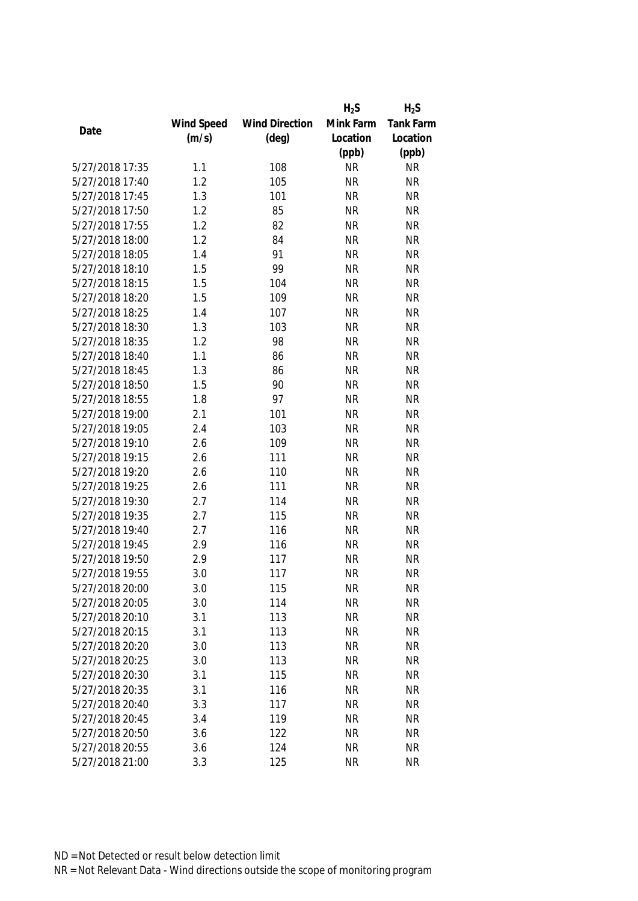|                 |            |                       | $H_2S$    | $H_2S$           |
|-----------------|------------|-----------------------|-----------|------------------|
|                 | Wind Speed | <b>Wind Direction</b> | Mink Farm | <b>Tank Farm</b> |
| Date            | (m/s)      | $(\text{deg})$        | Location  | Location         |
|                 |            |                       | (ppb)     | (ppb)            |
| 5/27/2018 17:35 | 1.1        | 108                   | <b>NR</b> | <b>NR</b>        |
| 5/27/2018 17:40 | 1.2        | 105                   | <b>NR</b> | <b>NR</b>        |
| 5/27/2018 17:45 | 1.3        | 101                   | <b>NR</b> | <b>NR</b>        |
| 5/27/2018 17:50 | 1.2        | 85                    | <b>NR</b> | <b>NR</b>        |
| 5/27/2018 17:55 | 1.2        | 82                    | <b>NR</b> | <b>NR</b>        |
| 5/27/2018 18:00 | 1.2        | 84                    | <b>NR</b> | <b>NR</b>        |
| 5/27/2018 18:05 | 1.4        | 91                    | <b>NR</b> | <b>NR</b>        |
| 5/27/2018 18:10 | 1.5        | 99                    | <b>NR</b> | <b>NR</b>        |
| 5/27/2018 18:15 | 1.5        | 104                   | <b>NR</b> | <b>NR</b>        |
| 5/27/2018 18:20 | 1.5        | 109                   | <b>NR</b> | <b>NR</b>        |
| 5/27/2018 18:25 | 1.4        | 107                   | <b>NR</b> | <b>NR</b>        |
| 5/27/2018 18:30 | 1.3        | 103                   | <b>NR</b> | <b>NR</b>        |
| 5/27/2018 18:35 | 1.2        | 98                    | <b>NR</b> | <b>NR</b>        |
| 5/27/2018 18:40 | 1.1        | 86                    | <b>NR</b> | <b>NR</b>        |
| 5/27/2018 18:45 | 1.3        | 86                    | <b>NR</b> | <b>NR</b>        |
| 5/27/2018 18:50 | 1.5        | 90                    | <b>NR</b> | <b>NR</b>        |
| 5/27/2018 18:55 | 1.8        | 97                    | <b>NR</b> | <b>NR</b>        |
| 5/27/2018 19:00 | 2.1        | 101                   | <b>NR</b> | <b>NR</b>        |
| 5/27/2018 19:05 | 2.4        | 103                   | <b>NR</b> | <b>NR</b>        |
| 5/27/2018 19:10 | 2.6        | 109                   | <b>NR</b> | <b>NR</b>        |
| 5/27/2018 19:15 | 2.6        | 111                   | <b>NR</b> | <b>NR</b>        |
| 5/27/2018 19:20 | 2.6        | 110                   | <b>NR</b> | <b>NR</b>        |
| 5/27/2018 19:25 | 2.6        | 111                   | <b>NR</b> | <b>NR</b>        |
| 5/27/2018 19:30 | 2.7        | 114                   | <b>NR</b> | <b>NR</b>        |
| 5/27/2018 19:35 | 2.7        | 115                   | <b>NR</b> | <b>NR</b>        |
| 5/27/2018 19:40 | 2.7        | 116                   | <b>NR</b> | <b>NR</b>        |
| 5/27/2018 19:45 | 2.9        | 116                   | <b>NR</b> | <b>NR</b>        |
| 5/27/2018 19:50 | 2.9        | 117                   | <b>NR</b> | <b>NR</b>        |
| 5/27/2018 19:55 | 3.0        | 117                   | <b>NR</b> | <b>NR</b>        |
| 5/27/2018 20:00 | 3.0        | 115                   | <b>NR</b> | <b>NR</b>        |
| 5/27/2018 20:05 | 3.0        | 114                   | <b>NR</b> | <b>NR</b>        |
| 5/27/2018 20:10 | 3.1        | 113                   | <b>NR</b> | <b>NR</b>        |
| 5/27/2018 20:15 | 3.1        | 113                   | <b>NR</b> | <b>NR</b>        |
| 5/27/2018 20:20 | 3.0        | 113                   | <b>NR</b> | <b>NR</b>        |
| 5/27/2018 20:25 | 3.0        | 113                   | <b>NR</b> | <b>NR</b>        |
| 5/27/2018 20:30 | 3.1        | 115                   | <b>NR</b> | <b>NR</b>        |
| 5/27/2018 20:35 | 3.1        | 116                   | <b>NR</b> | <b>NR</b>        |
| 5/27/2018 20:40 | 3.3        | 117                   | <b>NR</b> | <b>NR</b>        |
| 5/27/2018 20:45 | 3.4        | 119                   | <b>NR</b> | <b>NR</b>        |
| 5/27/2018 20:50 | 3.6        | 122                   | <b>NR</b> | <b>NR</b>        |
| 5/27/2018 20:55 | 3.6        | 124                   | <b>NR</b> | <b>NR</b>        |
| 5/27/2018 21:00 | 3.3        | 125                   | <b>NR</b> | <b>NR</b>        |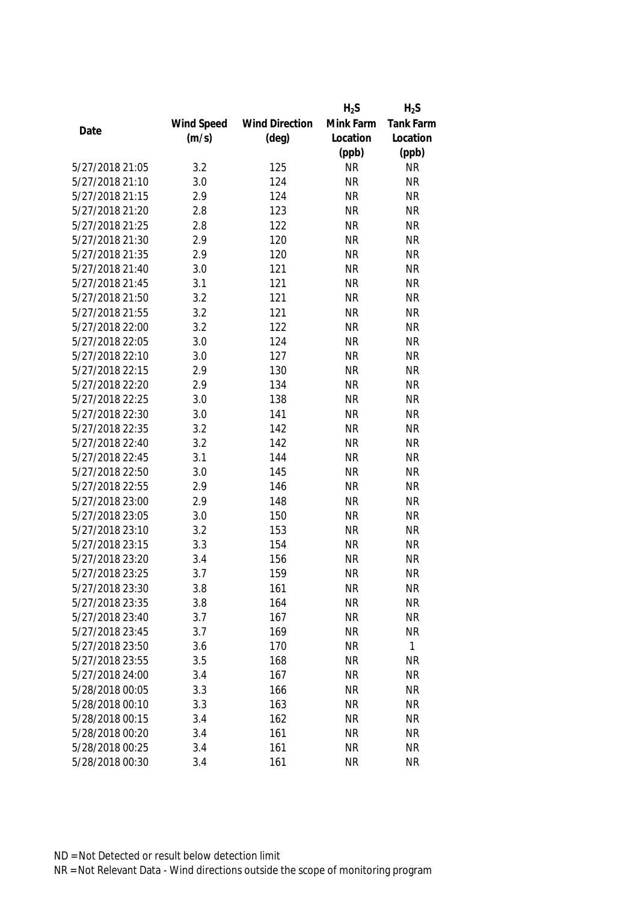|                 |            |                       | $H_2S$    | $H_2S$       |
|-----------------|------------|-----------------------|-----------|--------------|
|                 | Wind Speed | <b>Wind Direction</b> | Mink Farm | Tank Farm    |
| Date            | (m/s)      | $(\text{deg})$        | Location  | Location     |
|                 |            |                       | (ppb)     | (ppb)        |
| 5/27/2018 21:05 | 3.2        | 125                   | <b>NR</b> | <b>NR</b>    |
| 5/27/2018 21:10 | 3.0        | 124                   | <b>NR</b> | <b>NR</b>    |
| 5/27/2018 21:15 | 2.9        | 124                   | <b>NR</b> | <b>NR</b>    |
| 5/27/2018 21:20 | 2.8        | 123                   | <b>NR</b> | <b>NR</b>    |
| 5/27/2018 21:25 | 2.8        | 122                   | <b>NR</b> | <b>NR</b>    |
| 5/27/2018 21:30 | 2.9        | 120                   | <b>NR</b> | <b>NR</b>    |
| 5/27/2018 21:35 | 2.9        | 120                   | <b>NR</b> | <b>NR</b>    |
| 5/27/2018 21:40 | 3.0        | 121                   | <b>NR</b> | <b>NR</b>    |
| 5/27/2018 21:45 | 3.1        | 121                   | <b>NR</b> | <b>NR</b>    |
| 5/27/2018 21:50 | 3.2        | 121                   | <b>NR</b> | <b>NR</b>    |
| 5/27/2018 21:55 | 3.2        | 121                   | <b>NR</b> | <b>NR</b>    |
| 5/27/2018 22:00 | 3.2        | 122                   | <b>NR</b> | <b>NR</b>    |
| 5/27/2018 22:05 | 3.0        | 124                   | <b>NR</b> | <b>NR</b>    |
| 5/27/2018 22:10 | 3.0        | 127                   | <b>NR</b> | <b>NR</b>    |
| 5/27/2018 22:15 | 2.9        | 130                   | <b>NR</b> | <b>NR</b>    |
| 5/27/2018 22:20 | 2.9        | 134                   | <b>NR</b> | <b>NR</b>    |
| 5/27/2018 22:25 | 3.0        | 138                   | <b>NR</b> | <b>NR</b>    |
| 5/27/2018 22:30 | 3.0        | 141                   | <b>NR</b> | <b>NR</b>    |
| 5/27/2018 22:35 | 3.2        | 142                   | <b>NR</b> | <b>NR</b>    |
| 5/27/2018 22:40 | 3.2        | 142                   | <b>NR</b> | <b>NR</b>    |
| 5/27/2018 22:45 | 3.1        | 144                   | <b>NR</b> | <b>NR</b>    |
| 5/27/2018 22:50 | 3.0        | 145                   | <b>NR</b> | <b>NR</b>    |
| 5/27/2018 22:55 | 2.9        | 146                   | <b>NR</b> | <b>NR</b>    |
| 5/27/2018 23:00 | 2.9        | 148                   | <b>NR</b> | <b>NR</b>    |
| 5/27/2018 23:05 | 3.0        | 150                   | <b>NR</b> | <b>NR</b>    |
| 5/27/2018 23:10 | 3.2        | 153                   | <b>NR</b> | <b>NR</b>    |
| 5/27/2018 23:15 | 3.3        | 154                   | <b>NR</b> | <b>NR</b>    |
| 5/27/2018 23:20 | 3.4        | 156                   | <b>NR</b> | <b>NR</b>    |
| 5/27/2018 23:25 | 3.7        | 159                   | <b>NR</b> | <b>NR</b>    |
| 5/27/2018 23:30 | 3.8        | 161                   | <b>NR</b> | <b>NR</b>    |
| 5/27/2018 23:35 | 3.8        | 164                   | <b>NR</b> | <b>NR</b>    |
| 5/27/2018 23:40 | 3.7        | 167                   | <b>NR</b> | <b>NR</b>    |
| 5/27/2018 23:45 | 3.7        | 169                   | <b>NR</b> | <b>NR</b>    |
| 5/27/2018 23:50 | 3.6        | 170                   | <b>NR</b> | $\mathbf{1}$ |
| 5/27/2018 23:55 | 3.5        | 168                   | <b>NR</b> | <b>NR</b>    |
| 5/27/2018 24:00 | 3.4        | 167                   | <b>NR</b> | <b>NR</b>    |
| 5/28/2018 00:05 | 3.3        | 166                   | <b>NR</b> | <b>NR</b>    |
| 5/28/2018 00:10 | 3.3        | 163                   | <b>NR</b> | <b>NR</b>    |
| 5/28/2018 00:15 | 3.4        | 162                   | <b>NR</b> | <b>NR</b>    |
| 5/28/2018 00:20 | 3.4        | 161                   | <b>NR</b> | <b>NR</b>    |
| 5/28/2018 00:25 | 3.4        | 161                   | <b>NR</b> | <b>NR</b>    |
| 5/28/2018 00:30 | 3.4        | 161                   | <b>NR</b> | <b>NR</b>    |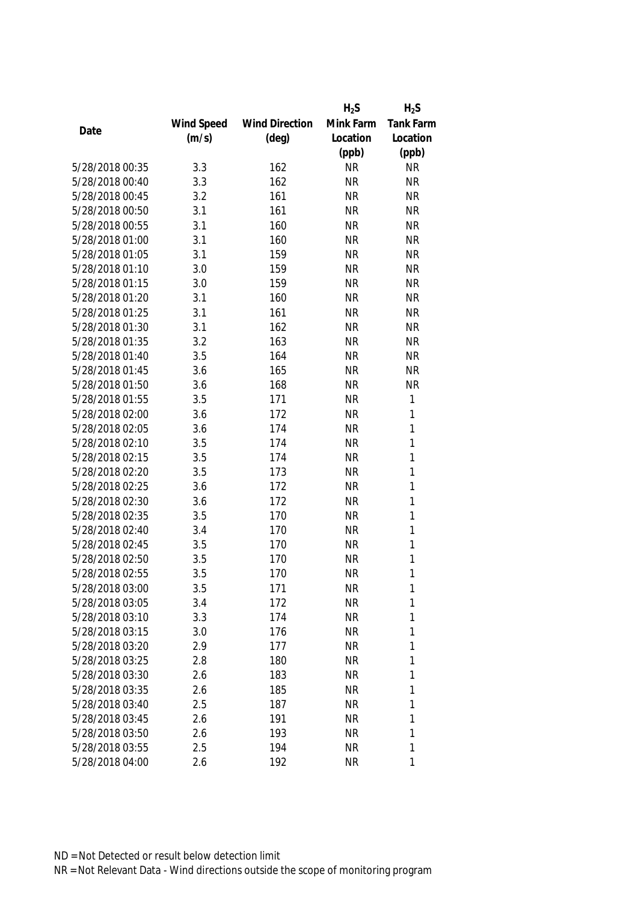|                 |            |                       | $H_2S$    | $H_2S$       |
|-----------------|------------|-----------------------|-----------|--------------|
|                 | Wind Speed | <b>Wind Direction</b> | Mink Farm | Tank Farm    |
| Date            | (m/s)      | $(\text{deg})$        | Location  | Location     |
|                 |            |                       | (ppb)     | (ppb)        |
| 5/28/2018 00:35 | 3.3        | 162                   | <b>NR</b> | <b>NR</b>    |
| 5/28/2018 00:40 | 3.3        | 162                   | <b>NR</b> | <b>NR</b>    |
| 5/28/2018 00:45 | 3.2        | 161                   | <b>NR</b> | <b>NR</b>    |
| 5/28/2018 00:50 | 3.1        | 161                   | <b>NR</b> | <b>NR</b>    |
| 5/28/2018 00:55 | 3.1        | 160                   | <b>NR</b> | <b>NR</b>    |
| 5/28/2018 01:00 | 3.1        | 160                   | <b>NR</b> | <b>NR</b>    |
| 5/28/2018 01:05 | 3.1        | 159                   | <b>NR</b> | <b>NR</b>    |
| 5/28/2018 01:10 | 3.0        | 159                   | <b>NR</b> | <b>NR</b>    |
| 5/28/2018 01:15 | 3.0        | 159                   | <b>NR</b> | <b>NR</b>    |
| 5/28/2018 01:20 | 3.1        | 160                   | <b>NR</b> | <b>NR</b>    |
| 5/28/2018 01:25 | 3.1        | 161                   | <b>NR</b> | <b>NR</b>    |
| 5/28/2018 01:30 | 3.1        | 162                   | <b>NR</b> | <b>NR</b>    |
| 5/28/2018 01:35 | 3.2        | 163                   | <b>NR</b> | <b>NR</b>    |
| 5/28/2018 01:40 | 3.5        | 164                   | <b>NR</b> | <b>NR</b>    |
| 5/28/2018 01:45 | 3.6        | 165                   | <b>NR</b> | <b>NR</b>    |
| 5/28/2018 01:50 | 3.6        | 168                   | <b>NR</b> | <b>NR</b>    |
| 5/28/2018 01:55 | 3.5        | 171                   | <b>NR</b> | 1            |
| 5/28/2018 02:00 | 3.6        | 172                   | <b>NR</b> | 1            |
| 5/28/2018 02:05 | 3.6        | 174                   | <b>NR</b> | 1            |
| 5/28/2018 02:10 | 3.5        | 174                   | <b>NR</b> | 1            |
| 5/28/2018 02:15 | 3.5        | 174                   | <b>NR</b> | $\mathbf{1}$ |
| 5/28/2018 02:20 | 3.5        | 173                   | <b>NR</b> | $\mathbf{1}$ |
| 5/28/2018 02:25 | 3.6        | 172                   | <b>NR</b> | 1            |
| 5/28/2018 02:30 | 3.6        | 172                   | <b>NR</b> | $\mathbf{1}$ |
| 5/28/2018 02:35 | 3.5        | 170                   | <b>NR</b> | $\mathbf{1}$ |
| 5/28/2018 02:40 | 3.4        | 170                   | <b>NR</b> | 1            |
| 5/28/2018 02:45 | 3.5        | 170                   | <b>NR</b> | 1            |
| 5/28/2018 02:50 | 3.5        | 170                   | <b>NR</b> | 1            |
| 5/28/2018 02:55 | 3.5        | 170                   | <b>NR</b> | 1            |
| 5/28/2018 03:00 | 3.5        | 171                   | <b>NR</b> | 1            |
| 5/28/2018 03:05 | 3.4        | 172                   | <b>NR</b> | 1            |
| 5/28/2018 03:10 | 3.3        | 174                   | <b>NR</b> | 1            |
| 5/28/2018 03:15 | 3.0        | 176                   | <b>NR</b> | 1            |
| 5/28/2018 03:20 | 2.9        | 177                   | NR        | 1            |
| 5/28/2018 03:25 | 2.8        | 180                   | <b>NR</b> | 1            |
| 5/28/2018 03:30 | 2.6        | 183                   | <b>NR</b> | 1            |
| 5/28/2018 03:35 | 2.6        | 185                   | <b>NR</b> | 1            |
| 5/28/2018 03:40 | 2.5        | 187                   | <b>NR</b> | 1            |
| 5/28/2018 03:45 | 2.6        | 191                   | <b>NR</b> | 1            |
| 5/28/2018 03:50 | 2.6        | 193                   | <b>NR</b> | 1            |
| 5/28/2018 03:55 | 2.5        | 194                   | <b>NR</b> | 1            |
| 5/28/2018 04:00 | 2.6        | 192                   | <b>NR</b> | 1            |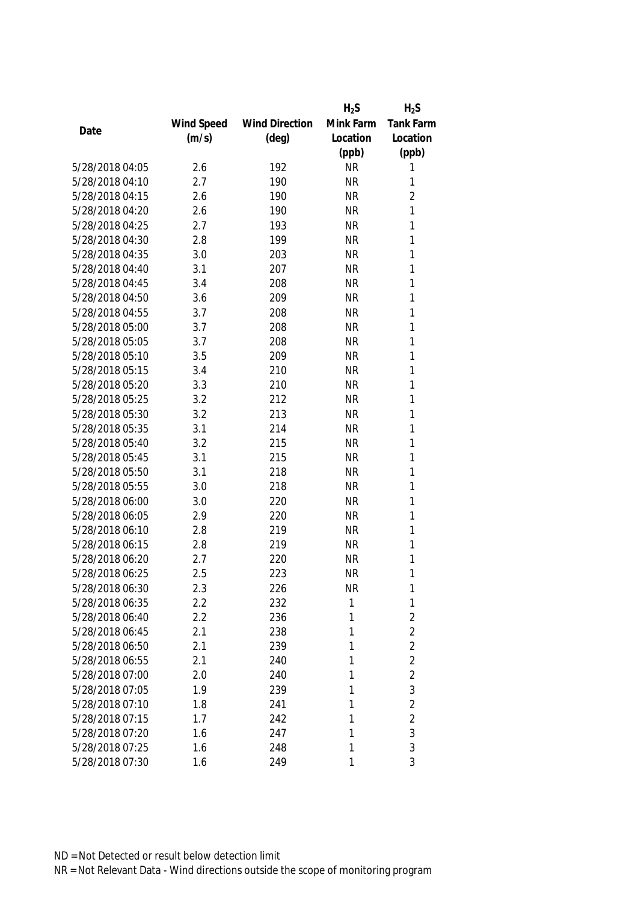|                 |            |                       | $H_2S$    | $H_2S$         |
|-----------------|------------|-----------------------|-----------|----------------|
|                 | Wind Speed | <b>Wind Direction</b> | Mink Farm | Tank Farm      |
| Date            | (m/s)      | $(\text{deg})$        | Location  | Location       |
|                 |            |                       | (ppb)     | (ppb)          |
| 5/28/2018 04:05 | 2.6        | 192                   | <b>NR</b> | 1              |
| 5/28/2018 04:10 | 2.7        | 190                   | <b>NR</b> | 1              |
| 5/28/2018 04:15 | 2.6        | 190                   | <b>NR</b> | $\overline{2}$ |
| 5/28/2018 04:20 | 2.6        | 190                   | <b>NR</b> | $\mathbf{1}$   |
| 5/28/2018 04:25 | 2.7        | 193                   | <b>NR</b> | 1              |
| 5/28/2018 04:30 | 2.8        | 199                   | <b>NR</b> | 1              |
| 5/28/2018 04:35 | 3.0        | 203                   | <b>NR</b> | 1              |
| 5/28/2018 04:40 | 3.1        | 207                   | <b>NR</b> | 1              |
| 5/28/2018 04:45 | 3.4        | 208                   | <b>NR</b> | 1              |
| 5/28/2018 04:50 | 3.6        | 209                   | <b>NR</b> | 1              |
| 5/28/2018 04:55 | 3.7        | 208                   | <b>NR</b> | 1              |
| 5/28/2018 05:00 | 3.7        | 208                   | <b>NR</b> | 1              |
| 5/28/2018 05:05 | 3.7        | 208                   | <b>NR</b> | 1              |
| 5/28/2018 05:10 | 3.5        | 209                   | <b>NR</b> | 1              |
| 5/28/2018 05:15 | 3.4        | 210                   | <b>NR</b> | 1              |
| 5/28/2018 05:20 | 3.3        | 210                   | <b>NR</b> | $\mathbf{1}$   |
| 5/28/2018 05:25 | 3.2        | 212                   | <b>NR</b> | 1              |
| 5/28/2018 05:30 | 3.2        | 213                   | <b>NR</b> | 1              |
| 5/28/2018 05:35 | 3.1        | 214                   | <b>NR</b> | 1              |
| 5/28/2018 05:40 | 3.2        | 215                   | <b>NR</b> | 1              |
| 5/28/2018 05:45 | 3.1        | 215                   | <b>NR</b> | 1              |
| 5/28/2018 05:50 | 3.1        | 218                   | <b>NR</b> | 1              |
| 5/28/2018 05:55 | 3.0        | 218                   | <b>NR</b> | $\mathbf{1}$   |
| 5/28/2018 06:00 | 3.0        | 220                   | <b>NR</b> | 1              |
| 5/28/2018 06:05 | 2.9        | 220                   | <b>NR</b> | 1              |
| 5/28/2018 06:10 | 2.8        | 219                   | <b>NR</b> | 1              |
| 5/28/2018 06:15 | 2.8        | 219                   | <b>NR</b> | 1              |
| 5/28/2018 06:20 | 2.7        | 220                   | <b>NR</b> | 1              |
| 5/28/2018 06:25 | 2.5        | 223                   | <b>NR</b> | 1              |
| 5/28/2018 06:30 | $2.3\,$    | 226                   | <b>NR</b> | 1              |
| 5/28/2018 06:35 | 2.2        | 232                   | 1         | $\mathbf{1}$   |
| 5/28/2018 06:40 | 2.2        | 236                   | 1         | $\overline{2}$ |
| 5/28/2018 06:45 | 2.1        | 238                   | 1         | $\overline{2}$ |
| 5/28/2018 06:50 | 2.1        | 239                   | 1         | $\overline{2}$ |
| 5/28/2018 06:55 | 2.1        | 240                   | 1         | $\overline{2}$ |
| 5/28/2018 07:00 | 2.0        | 240                   | 1         | $\overline{2}$ |
| 5/28/2018 07:05 | 1.9        | 239                   | 1         | 3              |
| 5/28/2018 07:10 | 1.8        | 241                   | 1         | $\overline{2}$ |
| 5/28/2018 07:15 | 1.7        | 242                   | 1         | $\overline{2}$ |
| 5/28/2018 07:20 | 1.6        | 247                   | 1         | 3              |
| 5/28/2018 07:25 | 1.6        | 248                   | 1         | 3              |
| 5/28/2018 07:30 | 1.6        | 249                   | 1         | 3              |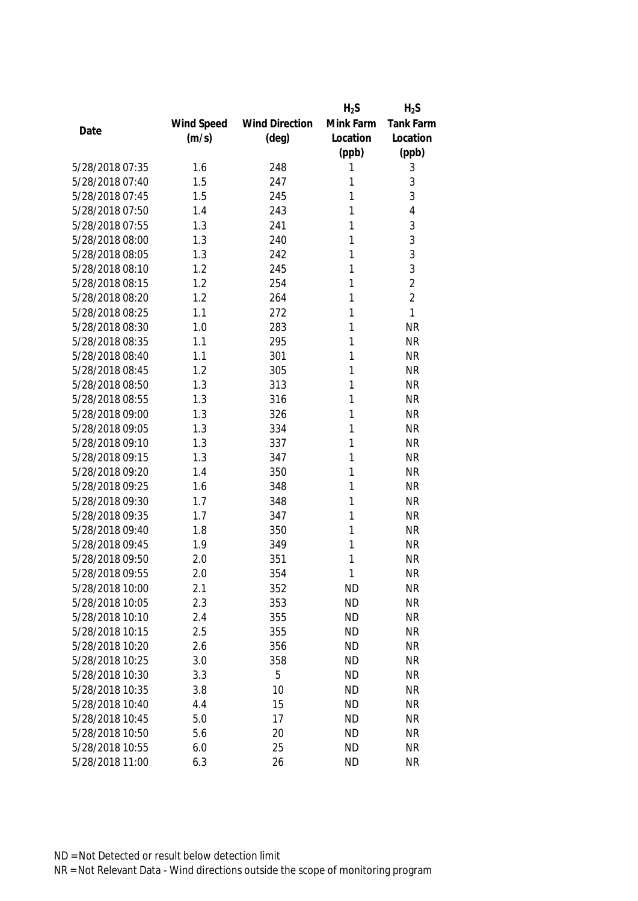|                 |            |                       | $H_2S$    | $H_2S$           |
|-----------------|------------|-----------------------|-----------|------------------|
|                 | Wind Speed | <b>Wind Direction</b> | Mink Farm | <b>Tank Farm</b> |
| Date            | (m/s)      | $(\text{deg})$        | Location  | Location         |
|                 |            |                       | (ppb)     | (ppb)            |
| 5/28/2018 07:35 | 1.6        | 248                   | 1         | 3                |
| 5/28/2018 07:40 | 1.5        | 247                   | 1         | 3                |
| 5/28/2018 07:45 | 1.5        | 245                   | 1         | 3                |
| 5/28/2018 07:50 | 1.4        | 243                   | 1         | 4                |
| 5/28/2018 07:55 | 1.3        | 241                   | 1         | 3                |
| 5/28/2018 08:00 | 1.3        | 240                   | 1         | 3                |
| 5/28/2018 08:05 | 1.3        | 242                   | 1         | 3                |
| 5/28/2018 08:10 | 1.2        | 245                   | 1         | 3                |
| 5/28/2018 08:15 | 1.2        | 254                   | 1         | $\overline{2}$   |
| 5/28/2018 08:20 | 1.2        | 264                   | 1         | $\overline{2}$   |
| 5/28/2018 08:25 | 1.1        | 272                   | 1         | 1                |
| 5/28/2018 08:30 | 1.0        | 283                   | 1         | <b>NR</b>        |
| 5/28/2018 08:35 | 1.1        | 295                   | 1         | <b>NR</b>        |
| 5/28/2018 08:40 | 1.1        | 301                   | 1         | <b>NR</b>        |
| 5/28/2018 08:45 | 1.2        | 305                   | 1         | <b>NR</b>        |
| 5/28/2018 08:50 | 1.3        | 313                   | 1         | <b>NR</b>        |
| 5/28/2018 08:55 | 1.3        | 316                   | 1         | <b>NR</b>        |
| 5/28/2018 09:00 | 1.3        | 326                   | 1         | <b>NR</b>        |
| 5/28/2018 09:05 | 1.3        | 334                   | 1         | <b>NR</b>        |
| 5/28/2018 09:10 | 1.3        | 337                   | 1         | <b>NR</b>        |
| 5/28/2018 09:15 | 1.3        | 347                   | 1         | <b>NR</b>        |
| 5/28/2018 09:20 | 1.4        | 350                   | 1         | <b>NR</b>        |
| 5/28/2018 09:25 | 1.6        | 348                   | 1         | <b>NR</b>        |
| 5/28/2018 09:30 | 1.7        | 348                   | 1         | <b>NR</b>        |
| 5/28/2018 09:35 | 1.7        | 347                   | 1         | <b>NR</b>        |
| 5/28/2018 09:40 | 1.8        | 350                   | 1         | <b>NR</b>        |
| 5/28/2018 09:45 | 1.9        | 349                   | 1         | <b>NR</b>        |
| 5/28/2018 09:50 | 2.0        | 351                   | 1         | <b>NR</b>        |
| 5/28/2018 09:55 | 2.0        | 354                   | 1         | <b>NR</b>        |
| 5/28/2018 10:00 | 2.1        | 352                   | <b>ND</b> | <b>NR</b>        |
| 5/28/2018 10:05 | 2.3        | 353                   | <b>ND</b> | <b>NR</b>        |
| 5/28/2018 10:10 | 2.4        | 355                   | <b>ND</b> | <b>NR</b>        |
| 5/28/2018 10:15 | 2.5        | 355                   | <b>ND</b> | <b>NR</b>        |
| 5/28/2018 10:20 | 2.6        | 356                   | <b>ND</b> | <b>NR</b>        |
| 5/28/2018 10:25 | 3.0        | 358                   | <b>ND</b> | <b>NR</b>        |
| 5/28/2018 10:30 | 3.3        | 5                     | <b>ND</b> | <b>NR</b>        |
| 5/28/2018 10:35 | 3.8        | 10                    | <b>ND</b> | <b>NR</b>        |
| 5/28/2018 10:40 | 4.4        | 15                    | <b>ND</b> | <b>NR</b>        |
| 5/28/2018 10:45 | 5.0        | 17                    | <b>ND</b> | <b>NR</b>        |
| 5/28/2018 10:50 | 5.6        | 20                    | <b>ND</b> | <b>NR</b>        |
| 5/28/2018 10:55 | 6.0        | 25                    | <b>ND</b> | <b>NR</b>        |
| 5/28/2018 11:00 | 6.3        | 26                    | <b>ND</b> | <b>NR</b>        |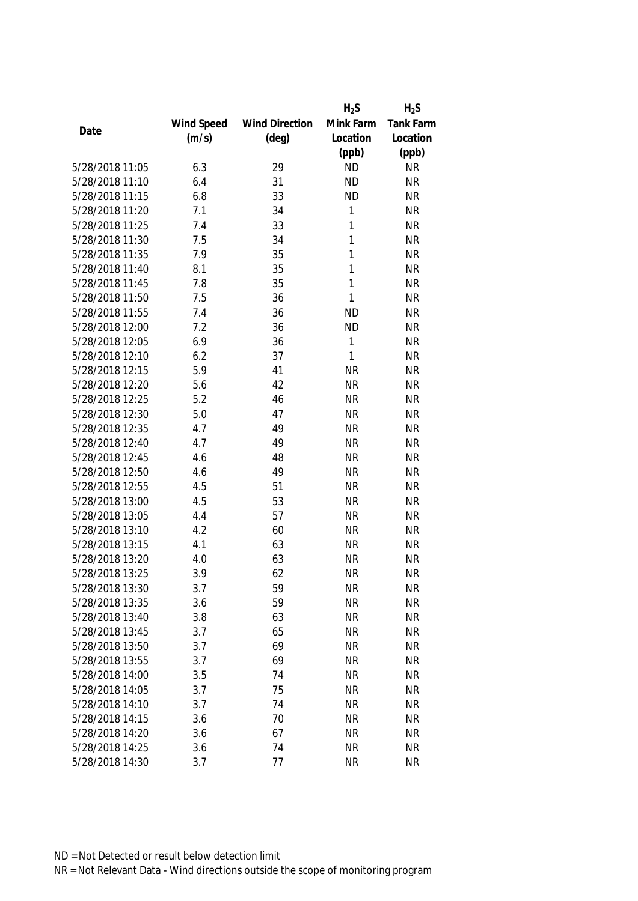|                 |            |                       | $H_2S$    | $H_2S$           |
|-----------------|------------|-----------------------|-----------|------------------|
|                 | Wind Speed | <b>Wind Direction</b> | Mink Farm | <b>Tank Farm</b> |
| Date            | (m/s)      | $(\text{deg})$        | Location  | Location         |
|                 |            |                       | (ppb)     | (ppb)            |
| 5/28/2018 11:05 | 6.3        | 29                    | <b>ND</b> | <b>NR</b>        |
| 5/28/2018 11:10 | 6.4        | 31                    | <b>ND</b> | <b>NR</b>        |
| 5/28/2018 11:15 | 6.8        | 33                    | <b>ND</b> | <b>NR</b>        |
| 5/28/2018 11:20 | 7.1        | 34                    | 1         | <b>NR</b>        |
| 5/28/2018 11:25 | 7.4        | 33                    | 1         | <b>NR</b>        |
| 5/28/2018 11:30 | 7.5        | 34                    | 1         | <b>NR</b>        |
| 5/28/2018 11:35 | 7.9        | 35                    | 1         | <b>NR</b>        |
| 5/28/2018 11:40 | 8.1        | 35                    | 1         | <b>NR</b>        |
| 5/28/2018 11:45 | 7.8        | 35                    | 1         | <b>NR</b>        |
| 5/28/2018 11:50 | 7.5        | 36                    | 1         | <b>NR</b>        |
| 5/28/2018 11:55 | 7.4        | 36                    | <b>ND</b> | <b>NR</b>        |
| 5/28/2018 12:00 | 7.2        | 36                    | <b>ND</b> | <b>NR</b>        |
| 5/28/2018 12:05 | 6.9        | 36                    | 1         | <b>NR</b>        |
| 5/28/2018 12:10 | 6.2        | 37                    | 1         | <b>NR</b>        |
| 5/28/2018 12:15 | 5.9        | 41                    | <b>NR</b> | <b>NR</b>        |
| 5/28/2018 12:20 | 5.6        | 42                    | <b>NR</b> | <b>NR</b>        |
| 5/28/2018 12:25 | 5.2        | 46                    | <b>NR</b> | <b>NR</b>        |
| 5/28/2018 12:30 | 5.0        | 47                    | <b>NR</b> | <b>NR</b>        |
| 5/28/2018 12:35 | 4.7        | 49                    | <b>NR</b> | <b>NR</b>        |
| 5/28/2018 12:40 | 4.7        | 49                    | <b>NR</b> | <b>NR</b>        |
| 5/28/2018 12:45 | 4.6        | 48                    | <b>NR</b> | <b>NR</b>        |
| 5/28/2018 12:50 | 4.6        | 49                    | <b>NR</b> | <b>NR</b>        |
| 5/28/2018 12:55 | 4.5        | 51                    | <b>NR</b> | <b>NR</b>        |
| 5/28/2018 13:00 | 4.5        | 53                    | <b>NR</b> | <b>NR</b>        |
| 5/28/2018 13:05 | 4.4        | 57                    | <b>NR</b> | <b>NR</b>        |
| 5/28/2018 13:10 | 4.2        | 60                    | <b>NR</b> | <b>NR</b>        |
| 5/28/2018 13:15 | 4.1        | 63                    | <b>NR</b> | <b>NR</b>        |
| 5/28/2018 13:20 | 4.0        | 63                    | <b>NR</b> | <b>NR</b>        |
| 5/28/2018 13:25 | 3.9        | 62                    | <b>NR</b> | <b>NR</b>        |
| 5/28/2018 13:30 | 3.7        | 59                    | <b>NR</b> | <b>NR</b>        |
| 5/28/2018 13:35 | 3.6        | 59                    | <b>NR</b> | <b>NR</b>        |
| 5/28/2018 13:40 | 3.8        | 63                    | <b>NR</b> | <b>NR</b>        |
| 5/28/2018 13:45 | 3.7        | 65                    | <b>NR</b> | <b>NR</b>        |
| 5/28/2018 13:50 | 3.7        | 69                    | <b>NR</b> | NR               |
| 5/28/2018 13:55 | 3.7        | 69                    | <b>NR</b> | <b>NR</b>        |
| 5/28/2018 14:00 | 3.5        | 74                    | <b>NR</b> | <b>NR</b>        |
| 5/28/2018 14:05 | 3.7        | 75                    | <b>NR</b> | <b>NR</b>        |
| 5/28/2018 14:10 | 3.7        | 74                    | <b>NR</b> | <b>NR</b>        |
| 5/28/2018 14:15 | 3.6        | 70                    | <b>NR</b> | <b>NR</b>        |
| 5/28/2018 14:20 | 3.6        | 67                    | <b>NR</b> | <b>NR</b>        |
| 5/28/2018 14:25 | 3.6        | 74                    | <b>NR</b> | <b>NR</b>        |
| 5/28/2018 14:30 | 3.7        | 77                    | <b>NR</b> | <b>NR</b>        |
|                 |            |                       |           |                  |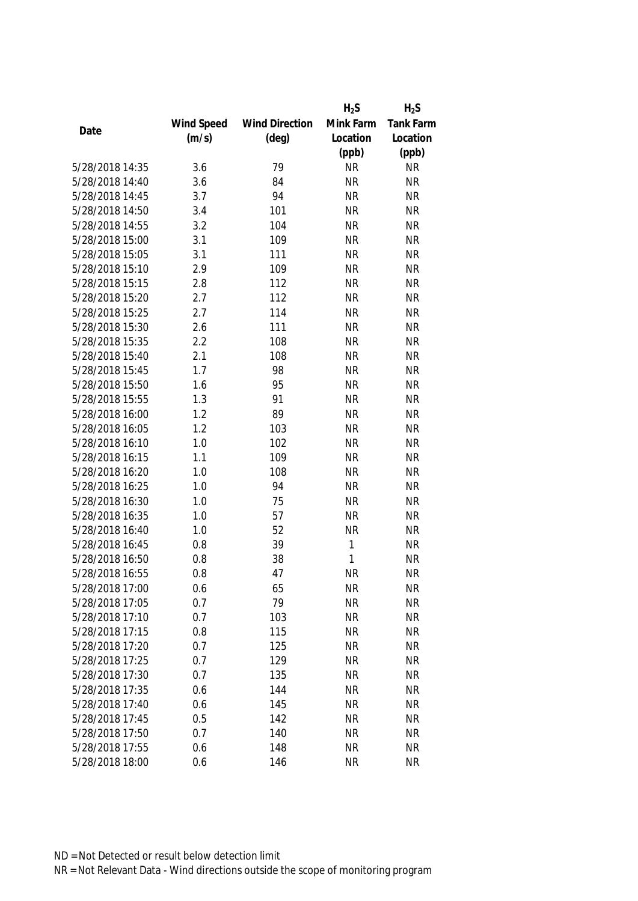|                 |            |                       | $H_2S$    | $H_2S$    |
|-----------------|------------|-----------------------|-----------|-----------|
|                 | Wind Speed | <b>Wind Direction</b> | Mink Farm | Tank Farm |
| Date            | (m/s)      | $(\text{deg})$        | Location  | Location  |
|                 |            |                       | (ppb)     | (ppb)     |
| 5/28/2018 14:35 | 3.6        | 79                    | <b>NR</b> | <b>NR</b> |
| 5/28/2018 14:40 | 3.6        | 84                    | <b>NR</b> | <b>NR</b> |
| 5/28/2018 14:45 | 3.7        | 94                    | <b>NR</b> | <b>NR</b> |
| 5/28/2018 14:50 | 3.4        | 101                   | <b>NR</b> | <b>NR</b> |
| 5/28/2018 14:55 | 3.2        | 104                   | <b>NR</b> | <b>NR</b> |
| 5/28/2018 15:00 | 3.1        | 109                   | <b>NR</b> | <b>NR</b> |
| 5/28/2018 15:05 | 3.1        | 111                   | <b>NR</b> | <b>NR</b> |
| 5/28/2018 15:10 | 2.9        | 109                   | <b>NR</b> | <b>NR</b> |
| 5/28/2018 15:15 | 2.8        | 112                   | <b>NR</b> | <b>NR</b> |
| 5/28/2018 15:20 | 2.7        | 112                   | <b>NR</b> | <b>NR</b> |
| 5/28/2018 15:25 | 2.7        | 114                   | <b>NR</b> | <b>NR</b> |
| 5/28/2018 15:30 | 2.6        | 111                   | <b>NR</b> | <b>NR</b> |
| 5/28/2018 15:35 | 2.2        | 108                   | <b>NR</b> | <b>NR</b> |
| 5/28/2018 15:40 | 2.1        | 108                   | <b>NR</b> | <b>NR</b> |
| 5/28/2018 15:45 | 1.7        | 98                    | <b>NR</b> | <b>NR</b> |
| 5/28/2018 15:50 | 1.6        | 95                    | <b>NR</b> | <b>NR</b> |
| 5/28/2018 15:55 | 1.3        | 91                    | <b>NR</b> | <b>NR</b> |
| 5/28/2018 16:00 | 1.2        | 89                    | <b>NR</b> | <b>NR</b> |
| 5/28/2018 16:05 | 1.2        | 103                   | <b>NR</b> | <b>NR</b> |
| 5/28/2018 16:10 | 1.0        | 102                   | <b>NR</b> | <b>NR</b> |
| 5/28/2018 16:15 | 1.1        | 109                   | <b>NR</b> | <b>NR</b> |
| 5/28/2018 16:20 | 1.0        | 108                   | <b>NR</b> | <b>NR</b> |
| 5/28/2018 16:25 | 1.0        | 94                    | <b>NR</b> | <b>NR</b> |
| 5/28/2018 16:30 | 1.0        | 75                    | <b>NR</b> | <b>NR</b> |
| 5/28/2018 16:35 | 1.0        | 57                    | <b>NR</b> | <b>NR</b> |
| 5/28/2018 16:40 | 1.0        | 52                    | <b>NR</b> | <b>NR</b> |
| 5/28/2018 16:45 | 0.8        | 39                    | 1         | <b>NR</b> |
| 5/28/2018 16:50 | 0.8        | 38                    | 1         | <b>NR</b> |
| 5/28/2018 16:55 | 0.8        | 47                    | <b>NR</b> | <b>NR</b> |
| 5/28/2018 17:00 | 0.6        | 65                    | <b>NR</b> | <b>NR</b> |
| 5/28/2018 17:05 | 0.7        | 79                    | <b>NR</b> | <b>NR</b> |
| 5/28/2018 17:10 | 0.7        | 103                   | <b>NR</b> | <b>NR</b> |
| 5/28/2018 17:15 | 0.8        | 115                   | <b>NR</b> | <b>NR</b> |
| 5/28/2018 17:20 | 0.7        | 125                   | <b>NR</b> | <b>NR</b> |
| 5/28/2018 17:25 | 0.7        | 129                   | <b>NR</b> | <b>NR</b> |
| 5/28/2018 17:30 | 0.7        | 135                   | <b>NR</b> | <b>NR</b> |
| 5/28/2018 17:35 | 0.6        | 144                   | <b>NR</b> | <b>NR</b> |
| 5/28/2018 17:40 | 0.6        | 145                   | <b>NR</b> | <b>NR</b> |
| 5/28/2018 17:45 | 0.5        | 142                   | <b>NR</b> | <b>NR</b> |
| 5/28/2018 17:50 | 0.7        | 140                   | <b>NR</b> | <b>NR</b> |
| 5/28/2018 17:55 | 0.6        | 148                   | <b>NR</b> | <b>NR</b> |
| 5/28/2018 18:00 | 0.6        | 146                   | <b>NR</b> | <b>NR</b> |
|                 |            |                       |           |           |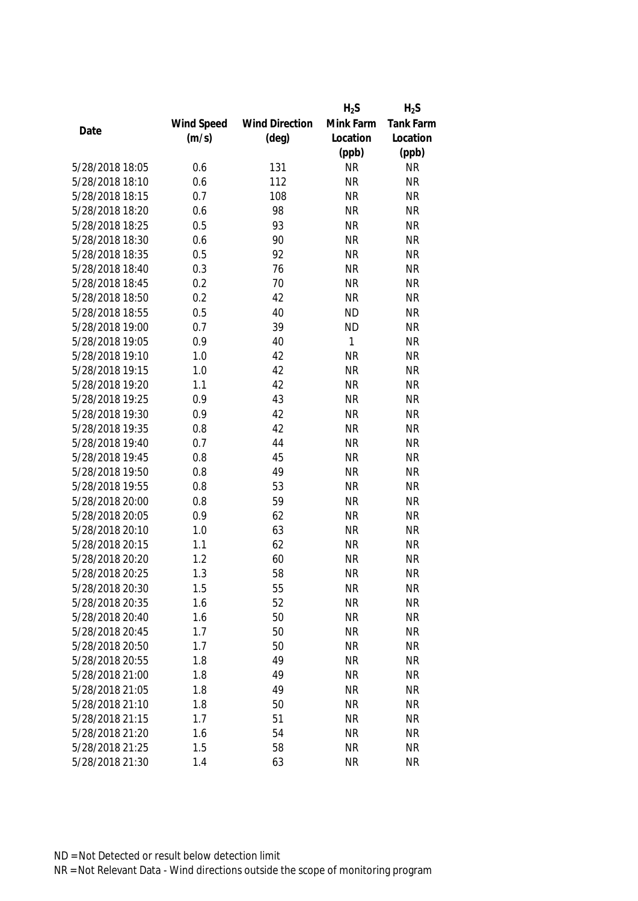|                 |            |                       | $H_2S$    | $H_2S$           |
|-----------------|------------|-----------------------|-----------|------------------|
|                 | Wind Speed | <b>Wind Direction</b> | Mink Farm | <b>Tank Farm</b> |
| Date            | (m/s)      | $(\text{deg})$        | Location  | Location         |
|                 |            |                       | (ppb)     | (ppb)            |
| 5/28/2018 18:05 | 0.6        | 131                   | <b>NR</b> | <b>NR</b>        |
| 5/28/2018 18:10 | 0.6        | 112                   | <b>NR</b> | <b>NR</b>        |
| 5/28/2018 18:15 | 0.7        | 108                   | <b>NR</b> | <b>NR</b>        |
| 5/28/2018 18:20 | 0.6        | 98                    | <b>NR</b> | <b>NR</b>        |
| 5/28/2018 18:25 | 0.5        | 93                    | <b>NR</b> | <b>NR</b>        |
| 5/28/2018 18:30 | 0.6        | 90                    | <b>NR</b> | <b>NR</b>        |
| 5/28/2018 18:35 | 0.5        | 92                    | <b>NR</b> | <b>NR</b>        |
| 5/28/2018 18:40 | 0.3        | 76                    | <b>NR</b> | <b>NR</b>        |
| 5/28/2018 18:45 | 0.2        | 70                    | <b>NR</b> | <b>NR</b>        |
| 5/28/2018 18:50 | 0.2        | 42                    | <b>NR</b> | <b>NR</b>        |
| 5/28/2018 18:55 | 0.5        | 40                    | <b>ND</b> | <b>NR</b>        |
| 5/28/2018 19:00 | 0.7        | 39                    | <b>ND</b> | <b>NR</b>        |
| 5/28/2018 19:05 | 0.9        | 40                    | 1         | <b>NR</b>        |
| 5/28/2018 19:10 | 1.0        | 42                    | <b>NR</b> | <b>NR</b>        |
| 5/28/2018 19:15 | 1.0        | 42                    | <b>NR</b> | <b>NR</b>        |
| 5/28/2018 19:20 | 1.1        | 42                    | <b>NR</b> | <b>NR</b>        |
| 5/28/2018 19:25 | 0.9        | 43                    | <b>NR</b> | <b>NR</b>        |
| 5/28/2018 19:30 | 0.9        | 42                    | <b>NR</b> | <b>NR</b>        |
| 5/28/2018 19:35 | 0.8        | 42                    | <b>NR</b> | <b>NR</b>        |
| 5/28/2018 19:40 | 0.7        | 44                    | <b>NR</b> | <b>NR</b>        |
| 5/28/2018 19:45 | 0.8        | 45                    | <b>NR</b> | <b>NR</b>        |
| 5/28/2018 19:50 | 0.8        | 49                    | <b>NR</b> | <b>NR</b>        |
| 5/28/2018 19:55 | 0.8        | 53                    | <b>NR</b> | <b>NR</b>        |
| 5/28/2018 20:00 | 0.8        | 59                    | <b>NR</b> | <b>NR</b>        |
| 5/28/2018 20:05 | 0.9        | 62                    | <b>NR</b> | <b>NR</b>        |
| 5/28/2018 20:10 | 1.0        | 63                    | <b>NR</b> | <b>NR</b>        |
| 5/28/2018 20:15 | 1.1        | 62                    | <b>NR</b> | <b>NR</b>        |
| 5/28/2018 20:20 | 1.2        | 60                    | <b>NR</b> | <b>NR</b>        |
| 5/28/2018 20:25 | 1.3        | 58                    | <b>NR</b> | <b>NR</b>        |
| 5/28/2018 20:30 | 1.5        | 55                    | NR        | <b>NR</b>        |
| 5/28/2018 20:35 | 1.6        | 52                    | <b>NR</b> | <b>NR</b>        |
| 5/28/2018 20:40 | 1.6        | 50                    | <b>NR</b> | <b>NR</b>        |
| 5/28/2018 20:45 | 1.7        | 50                    | <b>NR</b> | <b>NR</b>        |
| 5/28/2018 20:50 | 1.7        | 50                    | <b>NR</b> | <b>NR</b>        |
| 5/28/2018 20:55 | 1.8        | 49                    | <b>NR</b> | <b>NR</b>        |
| 5/28/2018 21:00 | 1.8        | 49                    | <b>NR</b> | <b>NR</b>        |
| 5/28/2018 21:05 | 1.8        | 49                    | <b>NR</b> | <b>NR</b>        |
| 5/28/2018 21:10 | 1.8        | 50                    | <b>NR</b> | <b>NR</b>        |
| 5/28/2018 21:15 | 1.7        | 51                    | <b>NR</b> | <b>NR</b>        |
| 5/28/2018 21:20 | 1.6        | 54                    | <b>NR</b> | <b>NR</b>        |
| 5/28/2018 21:25 | 1.5        | 58                    | <b>NR</b> | NR               |
| 5/28/2018 21:30 | 1.4        | 63                    | <b>NR</b> | <b>NR</b>        |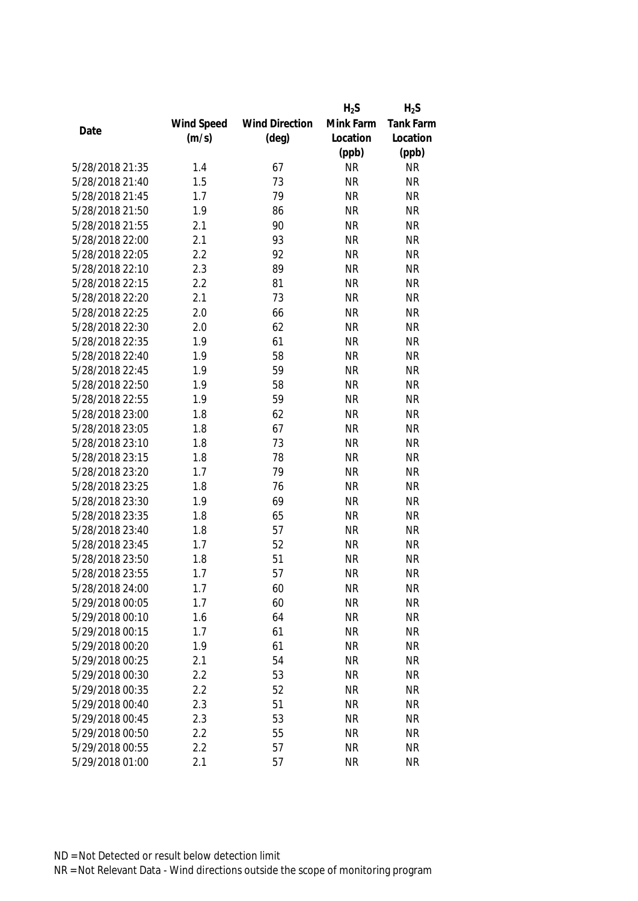|                 |            |                       | $H_2S$    | $H_2S$           |
|-----------------|------------|-----------------------|-----------|------------------|
|                 | Wind Speed | <b>Wind Direction</b> | Mink Farm | <b>Tank Farm</b> |
| Date            | (m/s)      | $(\text{deg})$        | Location  | Location         |
|                 |            |                       | (ppb)     | (ppb)            |
| 5/28/2018 21:35 | 1.4        | 67                    | <b>NR</b> | <b>NR</b>        |
| 5/28/2018 21:40 | 1.5        | 73                    | <b>NR</b> | <b>NR</b>        |
| 5/28/2018 21:45 | 1.7        | 79                    | <b>NR</b> | <b>NR</b>        |
| 5/28/2018 21:50 | 1.9        | 86                    | <b>NR</b> | <b>NR</b>        |
| 5/28/2018 21:55 | 2.1        | 90                    | <b>NR</b> | <b>NR</b>        |
| 5/28/2018 22:00 | 2.1        | 93                    | <b>NR</b> | <b>NR</b>        |
| 5/28/2018 22:05 | 2.2        | 92                    | <b>NR</b> | <b>NR</b>        |
| 5/28/2018 22:10 | 2.3        | 89                    | <b>NR</b> | <b>NR</b>        |
| 5/28/2018 22:15 | 2.2        | 81                    | <b>NR</b> | <b>NR</b>        |
| 5/28/2018 22:20 | 2.1        | 73                    | <b>NR</b> | <b>NR</b>        |
| 5/28/2018 22:25 | 2.0        | 66                    | <b>NR</b> | <b>NR</b>        |
| 5/28/2018 22:30 | 2.0        | 62                    | <b>NR</b> | <b>NR</b>        |
| 5/28/2018 22:35 | 1.9        | 61                    | <b>NR</b> | <b>NR</b>        |
| 5/28/2018 22:40 | 1.9        | 58                    | <b>NR</b> | <b>NR</b>        |
| 5/28/2018 22:45 | 1.9        | 59                    | <b>NR</b> | <b>NR</b>        |
| 5/28/2018 22:50 | 1.9        | 58                    | <b>NR</b> | <b>NR</b>        |
| 5/28/2018 22:55 | 1.9        | 59                    | <b>NR</b> | <b>NR</b>        |
| 5/28/2018 23:00 | 1.8        | 62                    | <b>NR</b> | <b>NR</b>        |
| 5/28/2018 23:05 | 1.8        | 67                    | <b>NR</b> | <b>NR</b>        |
| 5/28/2018 23:10 | 1.8        | 73                    | <b>NR</b> | <b>NR</b>        |
| 5/28/2018 23:15 | 1.8        | 78                    | <b>NR</b> | <b>NR</b>        |
| 5/28/2018 23:20 | 1.7        | 79                    | <b>NR</b> | <b>NR</b>        |
| 5/28/2018 23:25 | 1.8        | 76                    | <b>NR</b> | <b>NR</b>        |
| 5/28/2018 23:30 | 1.9        | 69                    | <b>NR</b> | <b>NR</b>        |
| 5/28/2018 23:35 | 1.8        | 65                    | <b>NR</b> | <b>NR</b>        |
| 5/28/2018 23:40 | 1.8        | 57                    | <b>NR</b> | <b>NR</b>        |
| 5/28/2018 23:45 | 1.7        | 52                    | <b>NR</b> | <b>NR</b>        |
| 5/28/2018 23:50 | 1.8        | 51                    | <b>NR</b> | <b>NR</b>        |
| 5/28/2018 23:55 | 1.7        | 57                    | <b>NR</b> | <b>NR</b>        |
| 5/28/2018 24:00 | 1.7        | 60                    | <b>NR</b> | <b>NR</b>        |
| 5/29/2018 00:05 | 1.7        | 60                    | <b>NR</b> | <b>NR</b>        |
| 5/29/2018 00:10 | 1.6        | 64                    | <b>NR</b> | <b>NR</b>        |
| 5/29/2018 00:15 | 1.7        | 61                    | <b>NR</b> | <b>NR</b>        |
| 5/29/2018 00:20 | 1.9        | 61                    | <b>NR</b> | <b>NR</b>        |
| 5/29/2018 00:25 | 2.1        | 54                    | <b>NR</b> | <b>NR</b>        |
| 5/29/2018 00:30 | 2.2        | 53                    | <b>NR</b> | <b>NR</b>        |
| 5/29/2018 00:35 | 2.2        | 52                    | <b>NR</b> | <b>NR</b>        |
| 5/29/2018 00:40 | 2.3        | 51                    | <b>NR</b> | <b>NR</b>        |
| 5/29/2018 00:45 | 2.3        | 53                    | <b>NR</b> | <b>NR</b>        |
| 5/29/2018 00:50 | 2.2        | 55                    | <b>NR</b> | <b>NR</b>        |
| 5/29/2018 00:55 | 2.2        | 57                    | <b>NR</b> | <b>NR</b>        |
| 5/29/2018 01:00 |            |                       |           |                  |
|                 | 2.1        | 57                    | <b>NR</b> | <b>NR</b>        |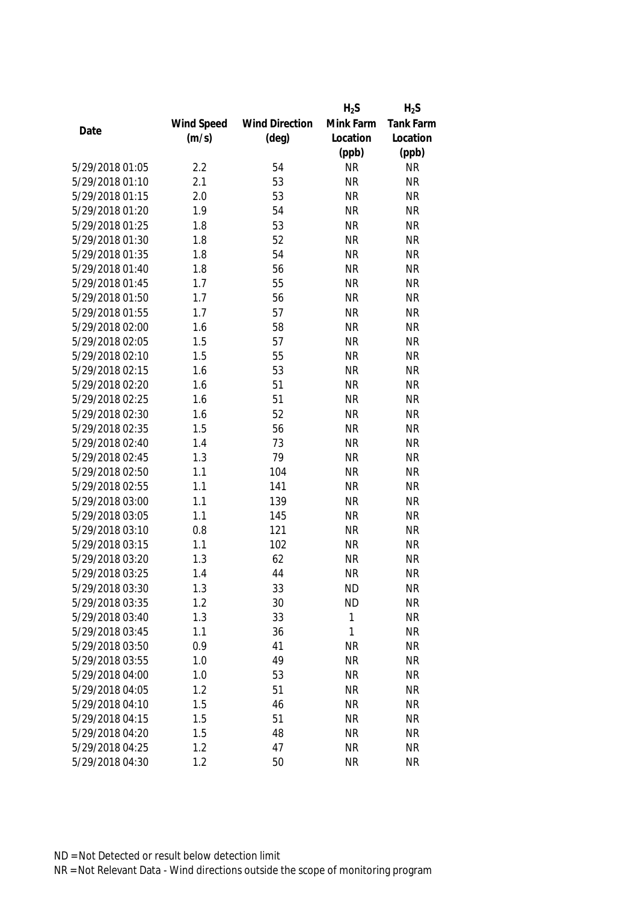|                 |            |                       | $H_2S$       | $H_2S$           |
|-----------------|------------|-----------------------|--------------|------------------|
|                 | Wind Speed | <b>Wind Direction</b> | Mink Farm    | <b>Tank Farm</b> |
| Date            | (m/s)      | $(\text{deg})$        | Location     | Location         |
|                 |            |                       | (ppb)        | (ppb)            |
| 5/29/2018 01:05 | 2.2        | 54                    | <b>NR</b>    | <b>NR</b>        |
| 5/29/2018 01:10 | 2.1        | 53                    | <b>NR</b>    | <b>NR</b>        |
| 5/29/2018 01:15 | 2.0        | 53                    | <b>NR</b>    | <b>NR</b>        |
| 5/29/2018 01:20 | 1.9        | 54                    | <b>NR</b>    | <b>NR</b>        |
| 5/29/2018 01:25 | 1.8        | 53                    | <b>NR</b>    | <b>NR</b>        |
| 5/29/2018 01:30 | 1.8        | 52                    | <b>NR</b>    | <b>NR</b>        |
| 5/29/2018 01:35 | 1.8        | 54                    | <b>NR</b>    | <b>NR</b>        |
| 5/29/2018 01:40 | 1.8        | 56                    | <b>NR</b>    | <b>NR</b>        |
| 5/29/2018 01:45 | 1.7        | 55                    | <b>NR</b>    | <b>NR</b>        |
| 5/29/2018 01:50 | 1.7        | 56                    | <b>NR</b>    | <b>NR</b>        |
| 5/29/2018 01:55 | 1.7        | 57                    | <b>NR</b>    | <b>NR</b>        |
| 5/29/2018 02:00 | 1.6        | 58                    | <b>NR</b>    | <b>NR</b>        |
| 5/29/2018 02:05 | 1.5        | 57                    | <b>NR</b>    | <b>NR</b>        |
| 5/29/2018 02:10 | 1.5        | 55                    | <b>NR</b>    | <b>NR</b>        |
| 5/29/2018 02:15 | 1.6        | 53                    | <b>NR</b>    | <b>NR</b>        |
| 5/29/2018 02:20 | 1.6        | 51                    | <b>NR</b>    | <b>NR</b>        |
| 5/29/2018 02:25 | 1.6        | 51                    | <b>NR</b>    | <b>NR</b>        |
| 5/29/2018 02:30 | 1.6        | 52                    | <b>NR</b>    | <b>NR</b>        |
| 5/29/2018 02:35 | 1.5        | 56                    | <b>NR</b>    | <b>NR</b>        |
| 5/29/2018 02:40 | 1.4        | 73                    | <b>NR</b>    | <b>NR</b>        |
| 5/29/2018 02:45 | 1.3        | 79                    | <b>NR</b>    | <b>NR</b>        |
| 5/29/2018 02:50 | 1.1        | 104                   | <b>NR</b>    | <b>NR</b>        |
| 5/29/2018 02:55 | 1.1        | 141                   | <b>NR</b>    | <b>NR</b>        |
| 5/29/2018 03:00 | 1.1        | 139                   | <b>NR</b>    | <b>NR</b>        |
| 5/29/2018 03:05 | 1.1        | 145                   | <b>NR</b>    | <b>NR</b>        |
| 5/29/2018 03:10 | 0.8        | 121                   | <b>NR</b>    | <b>NR</b>        |
| 5/29/2018 03:15 | 1.1        | 102                   | <b>NR</b>    | <b>NR</b>        |
| 5/29/2018 03:20 | 1.3        | 62                    | <b>NR</b>    | <b>NR</b>        |
| 5/29/2018 03:25 | 1.4        | 44                    | <b>NR</b>    | <b>NR</b>        |
| 5/29/2018 03:30 | 1.3        | 33                    | <b>ND</b>    | <b>NR</b>        |
| 5/29/2018 03:35 | 1.2        | 30                    | <b>ND</b>    | <b>NR</b>        |
| 5/29/2018 03:40 | 1.3        | 33                    | 1            | <b>NR</b>        |
| 5/29/2018 03:45 | 1.1        | 36                    | $\mathbf{1}$ | <b>NR</b>        |
| 5/29/2018 03:50 | 0.9        | 41                    | <b>NR</b>    | <b>NR</b>        |
| 5/29/2018 03:55 | 1.0        | 49                    | <b>NR</b>    | <b>NR</b>        |
| 5/29/2018 04:00 | 1.0        | 53                    | <b>NR</b>    | <b>NR</b>        |
| 5/29/2018 04:05 | 1.2        | 51                    | <b>NR</b>    | <b>NR</b>        |
| 5/29/2018 04:10 | 1.5        | 46                    | <b>NR</b>    | <b>NR</b>        |
| 5/29/2018 04:15 | 1.5        | 51                    | <b>NR</b>    | <b>NR</b>        |
| 5/29/2018 04:20 | 1.5        | 48                    | <b>NR</b>    | <b>NR</b>        |
| 5/29/2018 04:25 | 1.2        | 47                    | <b>NR</b>    | <b>NR</b>        |
| 5/29/2018 04:30 | 1.2        | 50                    | <b>NR</b>    | <b>NR</b>        |
|                 |            |                       |              |                  |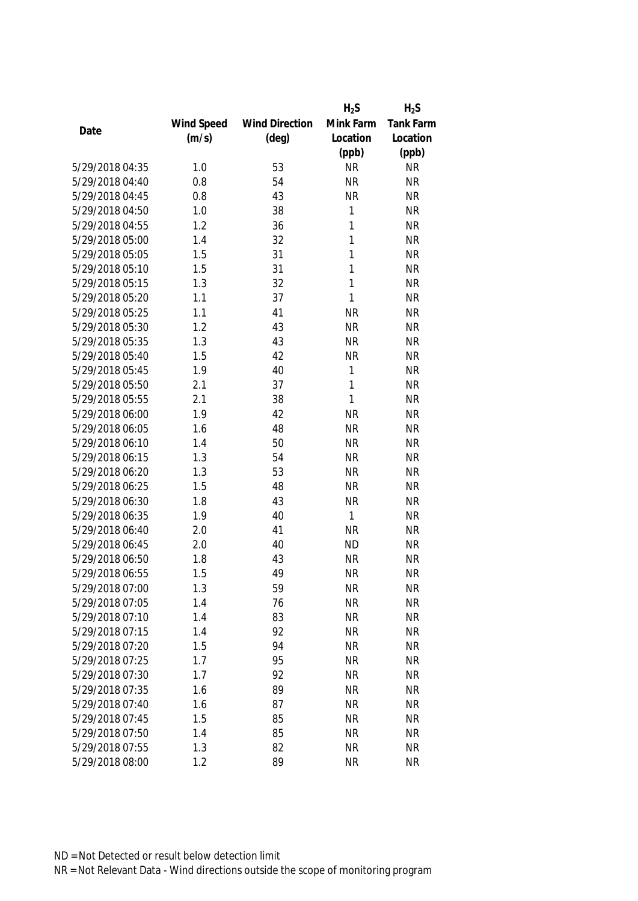|                 |            |                       | $H_2S$       | $H_2S$    |
|-----------------|------------|-----------------------|--------------|-----------|
|                 | Wind Speed | <b>Wind Direction</b> | Mink Farm    | Tank Farm |
| Date            | (m/s)      | $(\text{deg})$        | Location     | Location  |
|                 |            |                       | (ppb)        | (ppb)     |
| 5/29/2018 04:35 | 1.0        | 53                    | <b>NR</b>    | <b>NR</b> |
| 5/29/2018 04:40 | 0.8        | 54                    | <b>NR</b>    | <b>NR</b> |
| 5/29/2018 04:45 | 0.8        | 43                    | <b>NR</b>    | <b>NR</b> |
| 5/29/2018 04:50 | 1.0        | 38                    | 1            | <b>NR</b> |
| 5/29/2018 04:55 | 1.2        | 36                    | 1            | <b>NR</b> |
| 5/29/2018 05:00 | 1.4        | 32                    | 1            | <b>NR</b> |
| 5/29/2018 05:05 | 1.5        | 31                    | 1            | <b>NR</b> |
| 5/29/2018 05:10 | 1.5        | 31                    | 1            | <b>NR</b> |
| 5/29/2018 05:15 | 1.3        | 32                    | 1            | <b>NR</b> |
| 5/29/2018 05:20 | 1.1        | 37                    | 1            | <b>NR</b> |
| 5/29/2018 05:25 | 1.1        | 41                    | <b>NR</b>    | <b>NR</b> |
| 5/29/2018 05:30 | 1.2        | 43                    | <b>NR</b>    | <b>NR</b> |
| 5/29/2018 05:35 | 1.3        | 43                    | <b>NR</b>    | <b>NR</b> |
| 5/29/2018 05:40 | 1.5        | 42                    | <b>NR</b>    | <b>NR</b> |
| 5/29/2018 05:45 | 1.9        | 40                    | 1            | <b>NR</b> |
| 5/29/2018 05:50 | 2.1        | 37                    | 1            | <b>NR</b> |
| 5/29/2018 05:55 | 2.1        | 38                    | 1            | <b>NR</b> |
| 5/29/2018 06:00 | 1.9        | 42                    | <b>NR</b>    | <b>NR</b> |
| 5/29/2018 06:05 | 1.6        | 48                    | <b>NR</b>    | <b>NR</b> |
| 5/29/2018 06:10 | 1.4        | 50                    | <b>NR</b>    | <b>NR</b> |
| 5/29/2018 06:15 | 1.3        | 54                    | <b>NR</b>    | <b>NR</b> |
| 5/29/2018 06:20 | 1.3        | 53                    | <b>NR</b>    | <b>NR</b> |
| 5/29/2018 06:25 | 1.5        | 48                    | <b>NR</b>    | <b>NR</b> |
| 5/29/2018 06:30 | 1.8        | 43                    | <b>NR</b>    | <b>NR</b> |
| 5/29/2018 06:35 | 1.9        | 40                    | $\mathbf{1}$ | <b>NR</b> |
| 5/29/2018 06:40 | 2.0        | 41                    | <b>NR</b>    | <b>NR</b> |
| 5/29/2018 06:45 | 2.0        | 40                    | <b>ND</b>    | <b>NR</b> |
| 5/29/2018 06:50 | 1.8        | 43                    | <b>NR</b>    | <b>NR</b> |
| 5/29/2018 06:55 | 1.5        | 49                    | <b>NR</b>    | <b>NR</b> |
| 5/29/2018 07:00 | 1.3        | 59                    | <b>NR</b>    | <b>NR</b> |
| 5/29/2018 07:05 | 1.4        | 76                    | <b>NR</b>    | <b>NR</b> |
| 5/29/2018 07:10 | 1.4        | 83                    | <b>NR</b>    | <b>NR</b> |
| 5/29/2018 07:15 | 1.4        | 92                    | <b>NR</b>    | <b>NR</b> |
| 5/29/2018 07:20 | 1.5        | 94                    | <b>NR</b>    | <b>NR</b> |
| 5/29/2018 07:25 | 1.7        | 95                    | <b>NR</b>    | <b>NR</b> |
| 5/29/2018 07:30 | 1.7        | 92                    | <b>NR</b>    | <b>NR</b> |
| 5/29/2018 07:35 | 1.6        | 89                    | <b>NR</b>    | <b>NR</b> |
| 5/29/2018 07:40 | 1.6        | 87                    | <b>NR</b>    | <b>NR</b> |
| 5/29/2018 07:45 | 1.5        | 85                    | <b>NR</b>    | <b>NR</b> |
| 5/29/2018 07:50 | 1.4        | 85                    | <b>NR</b>    | <b>NR</b> |
| 5/29/2018 07:55 | 1.3        | 82                    | <b>NR</b>    | <b>NR</b> |
| 5/29/2018 08:00 | 1.2        | 89                    | <b>NR</b>    | <b>NR</b> |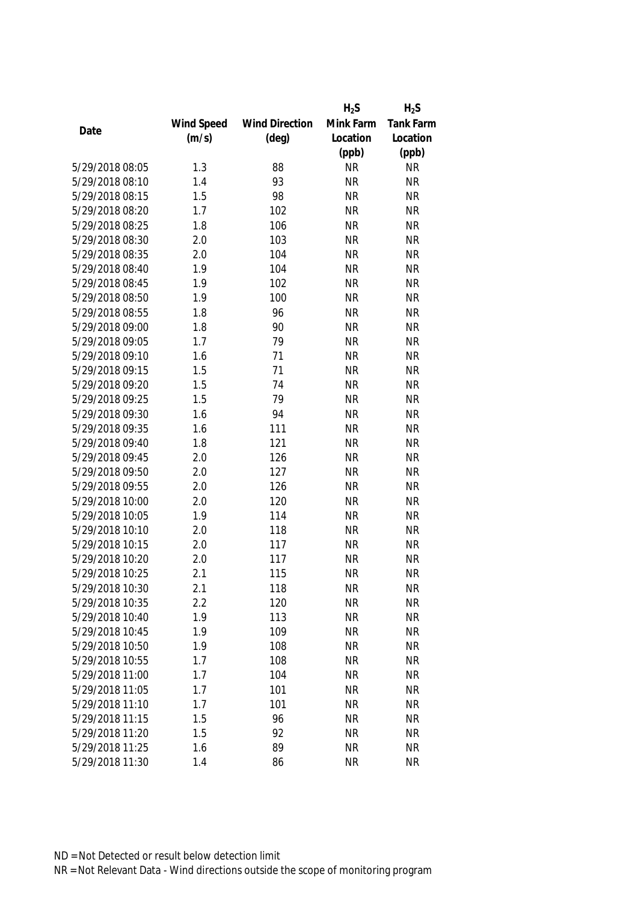|                 |            |                       | $H_2S$    | $H_2S$    |
|-----------------|------------|-----------------------|-----------|-----------|
|                 | Wind Speed | <b>Wind Direction</b> | Mink Farm | Tank Farm |
| Date            | (m/s)      | $(\text{deg})$        | Location  | Location  |
|                 |            |                       | (ppb)     | (ppb)     |
| 5/29/2018 08:05 | 1.3        | 88                    | <b>NR</b> | <b>NR</b> |
| 5/29/2018 08:10 | 1.4        | 93                    | <b>NR</b> | <b>NR</b> |
| 5/29/2018 08:15 | 1.5        | 98                    | <b>NR</b> | <b>NR</b> |
| 5/29/2018 08:20 | 1.7        | 102                   | <b>NR</b> | <b>NR</b> |
| 5/29/2018 08:25 | 1.8        | 106                   | <b>NR</b> | <b>NR</b> |
| 5/29/2018 08:30 | 2.0        | 103                   | <b>NR</b> | <b>NR</b> |
| 5/29/2018 08:35 | 2.0        | 104                   | <b>NR</b> | <b>NR</b> |
| 5/29/2018 08:40 | 1.9        | 104                   | <b>NR</b> | <b>NR</b> |
| 5/29/2018 08:45 | 1.9        | 102                   | <b>NR</b> | <b>NR</b> |
| 5/29/2018 08:50 | 1.9        | 100                   | <b>NR</b> | <b>NR</b> |
| 5/29/2018 08:55 | 1.8        | 96                    | <b>NR</b> | <b>NR</b> |
| 5/29/2018 09:00 | 1.8        | 90                    | <b>NR</b> | <b>NR</b> |
| 5/29/2018 09:05 | 1.7        | 79                    | <b>NR</b> | <b>NR</b> |
| 5/29/2018 09:10 | 1.6        | 71                    | <b>NR</b> | <b>NR</b> |
| 5/29/2018 09:15 | 1.5        | 71                    | <b>NR</b> | <b>NR</b> |
| 5/29/2018 09:20 | 1.5        | 74                    | <b>NR</b> | <b>NR</b> |
| 5/29/2018 09:25 | 1.5        | 79                    | <b>NR</b> | <b>NR</b> |
| 5/29/2018 09:30 | 1.6        | 94                    | <b>NR</b> | <b>NR</b> |
| 5/29/2018 09:35 | 1.6        | 111                   | <b>NR</b> | <b>NR</b> |
| 5/29/2018 09:40 | 1.8        | 121                   | <b>NR</b> | <b>NR</b> |
| 5/29/2018 09:45 | 2.0        | 126                   | <b>NR</b> | <b>NR</b> |
| 5/29/2018 09:50 | 2.0        | 127                   | <b>NR</b> | <b>NR</b> |
| 5/29/2018 09:55 | 2.0        | 126                   | <b>NR</b> | <b>NR</b> |
| 5/29/2018 10:00 | 2.0        | 120                   | <b>NR</b> | <b>NR</b> |
| 5/29/2018 10:05 | 1.9        | 114                   | <b>NR</b> | <b>NR</b> |
| 5/29/2018 10:10 | 2.0        | 118                   | <b>NR</b> | <b>NR</b> |
| 5/29/2018 10:15 | 2.0        | 117                   | <b>NR</b> | <b>NR</b> |
| 5/29/2018 10:20 | 2.0        | 117                   | <b>NR</b> | <b>NR</b> |
| 5/29/2018 10:25 | 2.1        | 115                   | <b>NR</b> | <b>NR</b> |
| 5/29/2018 10:30 | 2.1        | 118                   | <b>NR</b> | <b>NR</b> |
| 5/29/2018 10:35 | 2.2        | 120                   | <b>NR</b> | <b>NR</b> |
| 5/29/2018 10:40 | 1.9        | 113                   | <b>NR</b> | <b>NR</b> |
| 5/29/2018 10:45 | 1.9        | 109                   | <b>NR</b> | <b>NR</b> |
| 5/29/2018 10:50 | 1.9        | 108                   | <b>NR</b> | <b>NR</b> |
| 5/29/2018 10:55 | 1.7        | 108                   | <b>NR</b> | <b>NR</b> |
| 5/29/2018 11:00 | 1.7        | 104                   | <b>NR</b> | <b>NR</b> |
| 5/29/2018 11:05 | 1.7        | 101                   | <b>NR</b> | <b>NR</b> |
| 5/29/2018 11:10 | 1.7        | 101                   | <b>NR</b> | <b>NR</b> |
| 5/29/2018 11:15 | 1.5        | 96                    | <b>NR</b> | <b>NR</b> |
| 5/29/2018 11:20 | 1.5        | 92                    | <b>NR</b> | <b>NR</b> |
| 5/29/2018 11:25 | 1.6        | 89                    | <b>NR</b> | <b>NR</b> |
| 5/29/2018 11:30 | 1.4        | 86                    | <b>NR</b> | <b>NR</b> |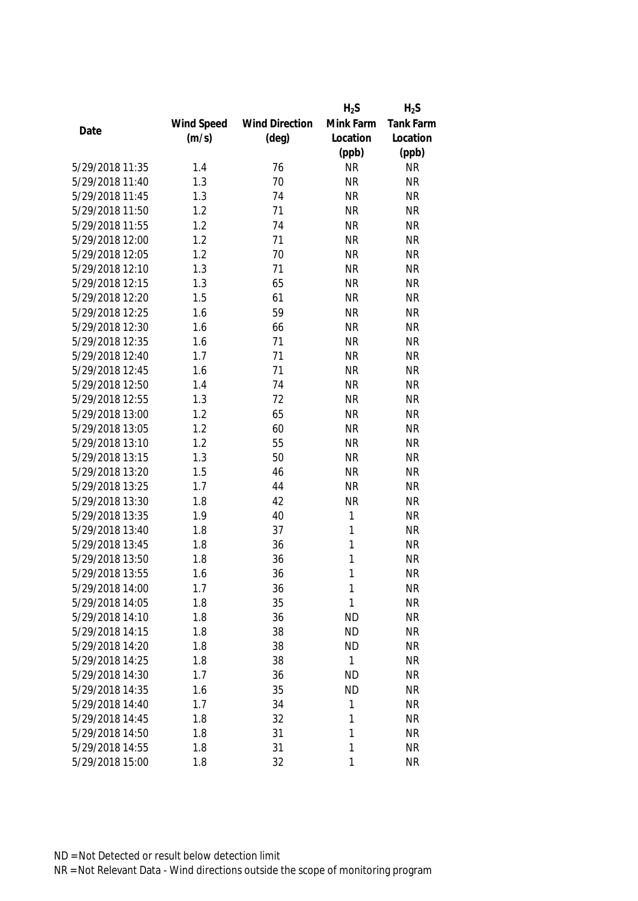|                 |            |                       | $H_2S$    | $H_2S$           |
|-----------------|------------|-----------------------|-----------|------------------|
|                 | Wind Speed | <b>Wind Direction</b> | Mink Farm | <b>Tank Farm</b> |
| Date            | (m/s)      | $(\text{deg})$        | Location  | Location         |
|                 |            |                       | (ppb)     | (ppb)            |
| 5/29/2018 11:35 | 1.4        | 76                    | <b>NR</b> | <b>NR</b>        |
| 5/29/2018 11:40 | 1.3        | 70                    | <b>NR</b> | <b>NR</b>        |
| 5/29/2018 11:45 | 1.3        | 74                    | <b>NR</b> | <b>NR</b>        |
| 5/29/2018 11:50 | 1.2        | 71                    | <b>NR</b> | <b>NR</b>        |
| 5/29/2018 11:55 | 1.2        | 74                    | <b>NR</b> | <b>NR</b>        |
| 5/29/2018 12:00 | 1.2        | 71                    | <b>NR</b> | <b>NR</b>        |
| 5/29/2018 12:05 | 1.2        | 70                    | <b>NR</b> | <b>NR</b>        |
| 5/29/2018 12:10 | 1.3        | 71                    | <b>NR</b> | <b>NR</b>        |
| 5/29/2018 12:15 | 1.3        | 65                    | <b>NR</b> | <b>NR</b>        |
| 5/29/2018 12:20 | 1.5        | 61                    | <b>NR</b> | <b>NR</b>        |
| 5/29/2018 12:25 | 1.6        | 59                    | <b>NR</b> | <b>NR</b>        |
| 5/29/2018 12:30 | 1.6        | 66                    | <b>NR</b> | <b>NR</b>        |
| 5/29/2018 12:35 | 1.6        | 71                    | <b>NR</b> | <b>NR</b>        |
| 5/29/2018 12:40 | 1.7        | 71                    | <b>NR</b> | <b>NR</b>        |
| 5/29/2018 12:45 | 1.6        | 71                    | <b>NR</b> | <b>NR</b>        |
| 5/29/2018 12:50 | 1.4        | 74                    | <b>NR</b> | <b>NR</b>        |
| 5/29/2018 12:55 | 1.3        | 72                    | <b>NR</b> | <b>NR</b>        |
| 5/29/2018 13:00 | 1.2        | 65                    | <b>NR</b> | <b>NR</b>        |
| 5/29/2018 13:05 | 1.2        | 60                    | <b>NR</b> | <b>NR</b>        |
| 5/29/2018 13:10 | 1.2        | 55                    | <b>NR</b> | <b>NR</b>        |
| 5/29/2018 13:15 | 1.3        | 50                    | <b>NR</b> | <b>NR</b>        |
| 5/29/2018 13:20 | 1.5        | 46                    | <b>NR</b> | <b>NR</b>        |
| 5/29/2018 13:25 | 1.7        | 44                    | <b>NR</b> | <b>NR</b>        |
| 5/29/2018 13:30 | 1.8        | 42                    | <b>NR</b> | <b>NR</b>        |
| 5/29/2018 13:35 | 1.9        | 40                    | 1         | <b>NR</b>        |
| 5/29/2018 13:40 | 1.8        | 37                    | 1         | <b>NR</b>        |
| 5/29/2018 13:45 | 1.8        | 36                    | 1         | <b>NR</b>        |
| 5/29/2018 13:50 | 1.8        | 36                    | 1         | <b>NR</b>        |
| 5/29/2018 13:55 | 1.6        | 36                    | 1         | <b>NR</b>        |
| 5/29/2018 14:00 | 1.7        | 36                    | 1         | <b>NR</b>        |
| 5/29/2018 14:05 | 1.8        | 35                    | 1         | <b>NR</b>        |
| 5/29/2018 14:10 | 1.8        | 36                    | <b>ND</b> | <b>NR</b>        |
| 5/29/2018 14:15 | 1.8        | 38                    | <b>ND</b> | <b>NR</b>        |
| 5/29/2018 14:20 | 1.8        | 38                    | <b>ND</b> | <b>NR</b>        |
| 5/29/2018 14:25 | 1.8        | 38                    | 1         | <b>NR</b>        |
| 5/29/2018 14:30 | 1.7        | 36                    | <b>ND</b> | <b>NR</b>        |
| 5/29/2018 14:35 | 1.6        | 35                    | <b>ND</b> | <b>NR</b>        |
| 5/29/2018 14:40 | 1.7        | 34                    | 1         | <b>NR</b>        |
| 5/29/2018 14:45 | 1.8        | 32                    | 1         | <b>NR</b>        |
| 5/29/2018 14:50 | 1.8        | 31                    | 1         | <b>NR</b>        |
| 5/29/2018 14:55 | 1.8        | 31                    | 1         | <b>NR</b>        |
| 5/29/2018 15:00 | 1.8        | 32                    | 1         | <b>NR</b>        |
|                 |            |                       |           |                  |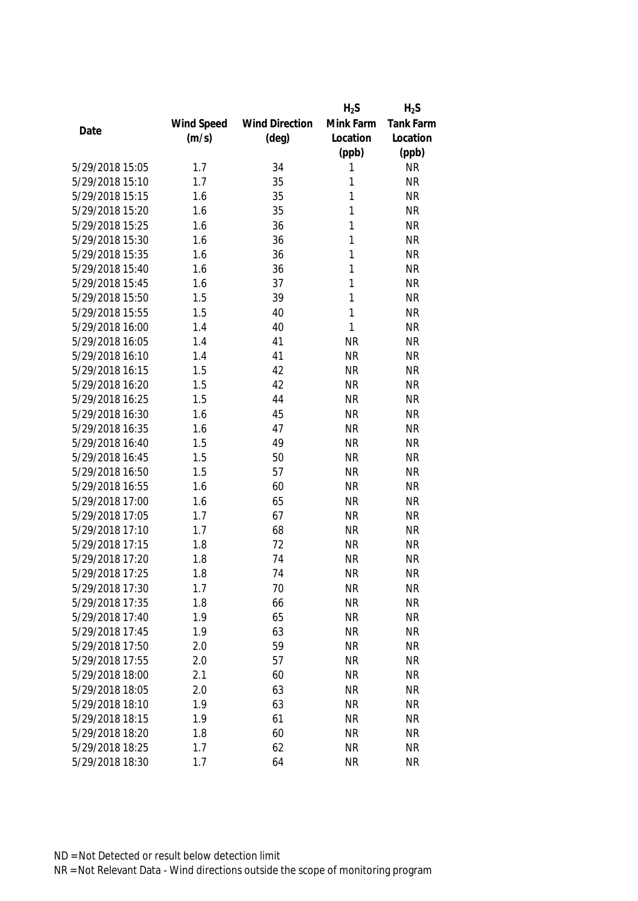|                 |            |                       | $H_2S$    | $H_2S$           |
|-----------------|------------|-----------------------|-----------|------------------|
|                 | Wind Speed | <b>Wind Direction</b> | Mink Farm | <b>Tank Farm</b> |
| Date            | (m/s)      | $(\text{deg})$        | Location  | Location         |
|                 |            |                       | (ppb)     | (ppb)            |
| 5/29/2018 15:05 | 1.7        | 34                    | 1         | <b>NR</b>        |
| 5/29/2018 15:10 | 1.7        | 35                    | 1         | <b>NR</b>        |
| 5/29/2018 15:15 | 1.6        | 35                    | 1         | <b>NR</b>        |
| 5/29/2018 15:20 | 1.6        | 35                    | 1         | <b>NR</b>        |
| 5/29/2018 15:25 | 1.6        | 36                    | 1         | <b>NR</b>        |
| 5/29/2018 15:30 | 1.6        | 36                    | 1         | <b>NR</b>        |
| 5/29/2018 15:35 | 1.6        | 36                    | 1         | <b>NR</b>        |
| 5/29/2018 15:40 | 1.6        | 36                    | 1         | <b>NR</b>        |
| 5/29/2018 15:45 | 1.6        | 37                    | 1         | <b>NR</b>        |
| 5/29/2018 15:50 | 1.5        | 39                    | 1         | <b>NR</b>        |
| 5/29/2018 15:55 | 1.5        | 40                    | 1         | <b>NR</b>        |
| 5/29/2018 16:00 | 1.4        | 40                    | 1         | <b>NR</b>        |
| 5/29/2018 16:05 | 1.4        | 41                    | <b>NR</b> | <b>NR</b>        |
| 5/29/2018 16:10 | 1.4        | 41                    | <b>NR</b> | <b>NR</b>        |
| 5/29/2018 16:15 | 1.5        | 42                    | <b>NR</b> | <b>NR</b>        |
| 5/29/2018 16:20 | 1.5        | 42                    | <b>NR</b> | <b>NR</b>        |
| 5/29/2018 16:25 | 1.5        | 44                    | <b>NR</b> | <b>NR</b>        |
| 5/29/2018 16:30 | 1.6        | 45                    | <b>NR</b> | <b>NR</b>        |
| 5/29/2018 16:35 | 1.6        | 47                    | <b>NR</b> | <b>NR</b>        |
| 5/29/2018 16:40 | 1.5        | 49                    | <b>NR</b> | <b>NR</b>        |
| 5/29/2018 16:45 | 1.5        | 50                    | <b>NR</b> | <b>NR</b>        |
| 5/29/2018 16:50 | 1.5        | 57                    | <b>NR</b> | <b>NR</b>        |
| 5/29/2018 16:55 | 1.6        | 60                    | <b>NR</b> | <b>NR</b>        |
| 5/29/2018 17:00 | 1.6        | 65                    | <b>NR</b> | <b>NR</b>        |
| 5/29/2018 17:05 | 1.7        | 67                    | <b>NR</b> | <b>NR</b>        |
| 5/29/2018 17:10 | 1.7        | 68                    | <b>NR</b> | <b>NR</b>        |
| 5/29/2018 17:15 | 1.8        | 72                    | <b>NR</b> | <b>NR</b>        |
| 5/29/2018 17:20 | 1.8        | 74                    | <b>NR</b> | <b>NR</b>        |
| 5/29/2018 17:25 | 1.8        | 74                    | <b>NR</b> | <b>NR</b>        |
| 5/29/2018 17:30 | 1.7        | 70                    | <b>NR</b> | <b>NR</b>        |
| 5/29/2018 17:35 | 1.8        | 66                    | <b>NR</b> | <b>NR</b>        |
| 5/29/2018 17:40 | 1.9        | 65                    | <b>NR</b> | <b>NR</b>        |
| 5/29/2018 17:45 | 1.9        | 63                    | <b>NR</b> | <b>NR</b>        |
| 5/29/2018 17:50 | 2.0        | 59                    | <b>NR</b> | <b>NR</b>        |
| 5/29/2018 17:55 | 2.0        | 57                    | <b>NR</b> | <b>NR</b>        |
| 5/29/2018 18:00 | 2.1        | 60                    | <b>NR</b> | <b>NR</b>        |
| 5/29/2018 18:05 | 2.0        | 63                    | <b>NR</b> | <b>NR</b>        |
| 5/29/2018 18:10 | 1.9        | 63                    | <b>NR</b> | <b>NR</b>        |
| 5/29/2018 18:15 | 1.9        | 61                    | <b>NR</b> | <b>NR</b>        |
| 5/29/2018 18:20 | 1.8        | 60                    | <b>NR</b> | <b>NR</b>        |
| 5/29/2018 18:25 | 1.7        | 62                    | <b>NR</b> | <b>NR</b>        |
| 5/29/2018 18:30 |            |                       |           |                  |
|                 | 1.7        | 64                    | <b>NR</b> | <b>NR</b>        |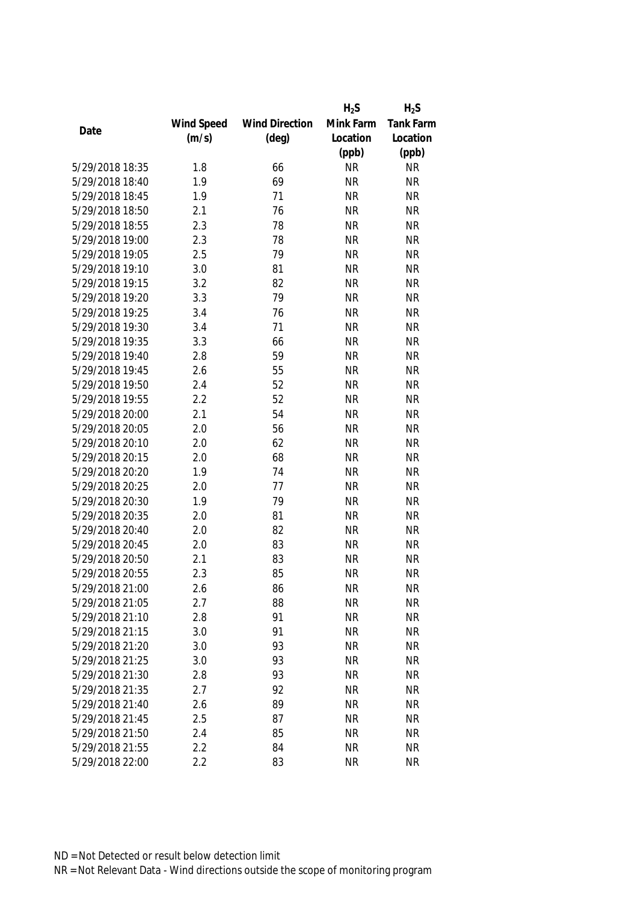|                 |            |                       | $H_2S$    | $H_2S$           |
|-----------------|------------|-----------------------|-----------|------------------|
|                 | Wind Speed | <b>Wind Direction</b> | Mink Farm | <b>Tank Farm</b> |
| Date            | (m/s)      | $(\text{deg})$        | Location  | Location         |
|                 |            |                       | (ppb)     | (ppb)            |
| 5/29/2018 18:35 | 1.8        | 66                    | <b>NR</b> | <b>NR</b>        |
| 5/29/2018 18:40 | 1.9        | 69                    | <b>NR</b> | <b>NR</b>        |
| 5/29/2018 18:45 | 1.9        | 71                    | <b>NR</b> | <b>NR</b>        |
| 5/29/2018 18:50 | 2.1        | 76                    | <b>NR</b> | <b>NR</b>        |
| 5/29/2018 18:55 | 2.3        | 78                    | <b>NR</b> | <b>NR</b>        |
| 5/29/2018 19:00 | 2.3        | 78                    | <b>NR</b> | <b>NR</b>        |
| 5/29/2018 19:05 | 2.5        | 79                    | <b>NR</b> | <b>NR</b>        |
| 5/29/2018 19:10 | 3.0        | 81                    | <b>NR</b> | <b>NR</b>        |
| 5/29/2018 19:15 | 3.2        | 82                    | <b>NR</b> | <b>NR</b>        |
| 5/29/2018 19:20 | 3.3        | 79                    | <b>NR</b> | <b>NR</b>        |
| 5/29/2018 19:25 | 3.4        | 76                    | <b>NR</b> | <b>NR</b>        |
| 5/29/2018 19:30 | 3.4        | 71                    | <b>NR</b> | <b>NR</b>        |
| 5/29/2018 19:35 | 3.3        | 66                    | <b>NR</b> | <b>NR</b>        |
| 5/29/2018 19:40 | 2.8        | 59                    | <b>NR</b> | <b>NR</b>        |
| 5/29/2018 19:45 | 2.6        | 55                    | <b>NR</b> | <b>NR</b>        |
| 5/29/2018 19:50 | 2.4        | 52                    | <b>NR</b> | <b>NR</b>        |
| 5/29/2018 19:55 | 2.2        | 52                    | <b>NR</b> | <b>NR</b>        |
| 5/29/2018 20:00 | 2.1        | 54                    | <b>NR</b> | <b>NR</b>        |
| 5/29/2018 20:05 | 2.0        | 56                    | <b>NR</b> | <b>NR</b>        |
| 5/29/2018 20:10 | 2.0        | 62                    | <b>NR</b> | <b>NR</b>        |
| 5/29/2018 20:15 | 2.0        | 68                    | <b>NR</b> | <b>NR</b>        |
| 5/29/2018 20:20 | 1.9        | 74                    | <b>NR</b> | <b>NR</b>        |
| 5/29/2018 20:25 | 2.0        | 77                    | <b>NR</b> | <b>NR</b>        |
| 5/29/2018 20:30 | 1.9        | 79                    | <b>NR</b> | <b>NR</b>        |
| 5/29/2018 20:35 | 2.0        | 81                    | <b>NR</b> | <b>NR</b>        |
| 5/29/2018 20:40 | 2.0        | 82                    | <b>NR</b> | <b>NR</b>        |
| 5/29/2018 20:45 | 2.0        | 83                    | <b>NR</b> | <b>NR</b>        |
| 5/29/2018 20:50 | 2.1        | 83                    | <b>NR</b> | <b>NR</b>        |
| 5/29/2018 20:55 | 2.3        | 85                    | <b>NR</b> | <b>NR</b>        |
| 5/29/2018 21:00 | 2.6        | 86                    | NR        | <b>NR</b>        |
| 5/29/2018 21:05 | 2.7        | 88                    | <b>NR</b> | <b>NR</b>        |
| 5/29/2018 21:10 | 2.8        | 91                    | <b>NR</b> | <b>NR</b>        |
| 5/29/2018 21:15 | 3.0        | 91                    | <b>NR</b> | <b>NR</b>        |
| 5/29/2018 21:20 | 3.0        | 93                    | <b>NR</b> | <b>NR</b>        |
| 5/29/2018 21:25 | 3.0        | 93                    | <b>NR</b> | <b>NR</b>        |
| 5/29/2018 21:30 | 2.8        | 93                    | <b>NR</b> | <b>NR</b>        |
| 5/29/2018 21:35 | 2.7        | 92                    | <b>NR</b> | <b>NR</b>        |
| 5/29/2018 21:40 | 2.6        | 89                    | <b>NR</b> | <b>NR</b>        |
| 5/29/2018 21:45 | 2.5        | 87                    | <b>NR</b> | <b>NR</b>        |
| 5/29/2018 21:50 | 2.4        | 85                    | <b>NR</b> | <b>NR</b>        |
| 5/29/2018 21:55 | 2.2        | 84                    | <b>NR</b> | <b>NR</b>        |
| 5/29/2018 22:00 | 2.2        | 83                    | <b>NR</b> | <b>NR</b>        |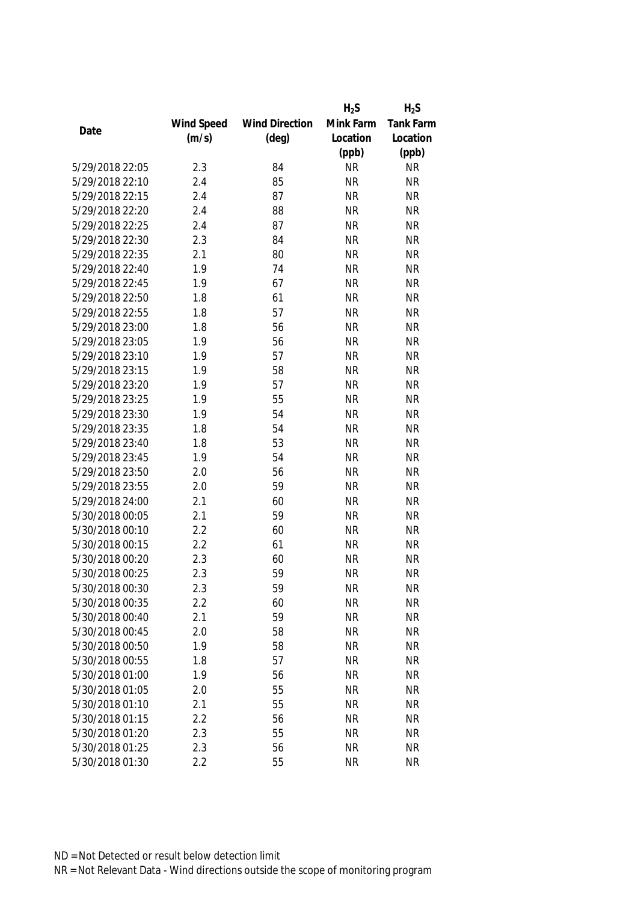|                 |            |                       | $H_2S$    | $H_2S$           |
|-----------------|------------|-----------------------|-----------|------------------|
|                 | Wind Speed | <b>Wind Direction</b> | Mink Farm | <b>Tank Farm</b> |
| Date            | (m/s)      | $(\text{deg})$        | Location  | Location         |
|                 |            |                       | (ppb)     | (ppb)            |
| 5/29/2018 22:05 | 2.3        | 84                    | <b>NR</b> | <b>NR</b>        |
| 5/29/2018 22:10 | 2.4        | 85                    | <b>NR</b> | <b>NR</b>        |
| 5/29/2018 22:15 | 2.4        | 87                    | <b>NR</b> | <b>NR</b>        |
| 5/29/2018 22:20 | 2.4        | 88                    | <b>NR</b> | <b>NR</b>        |
| 5/29/2018 22:25 | 2.4        | 87                    | <b>NR</b> | <b>NR</b>        |
| 5/29/2018 22:30 | 2.3        | 84                    | <b>NR</b> | <b>NR</b>        |
| 5/29/2018 22:35 | 2.1        | 80                    | <b>NR</b> | <b>NR</b>        |
| 5/29/2018 22:40 | 1.9        | 74                    | <b>NR</b> | <b>NR</b>        |
| 5/29/2018 22:45 | 1.9        | 67                    | <b>NR</b> | <b>NR</b>        |
| 5/29/2018 22:50 | 1.8        | 61                    | <b>NR</b> | <b>NR</b>        |
| 5/29/2018 22:55 | 1.8        | 57                    | <b>NR</b> | <b>NR</b>        |
| 5/29/2018 23:00 | 1.8        | 56                    | <b>NR</b> | <b>NR</b>        |
| 5/29/2018 23:05 | 1.9        | 56                    | <b>NR</b> | <b>NR</b>        |
| 5/29/2018 23:10 | 1.9        | 57                    | <b>NR</b> | <b>NR</b>        |
| 5/29/2018 23:15 | 1.9        | 58                    | <b>NR</b> | <b>NR</b>        |
| 5/29/2018 23:20 | 1.9        | 57                    | <b>NR</b> | <b>NR</b>        |
| 5/29/2018 23:25 | 1.9        | 55                    | <b>NR</b> | <b>NR</b>        |
| 5/29/2018 23:30 | 1.9        | 54                    | <b>NR</b> | <b>NR</b>        |
| 5/29/2018 23:35 | 1.8        | 54                    | <b>NR</b> | <b>NR</b>        |
| 5/29/2018 23:40 | 1.8        | 53                    | <b>NR</b> | <b>NR</b>        |
| 5/29/2018 23:45 | 1.9        | 54                    | <b>NR</b> | <b>NR</b>        |
| 5/29/2018 23:50 | 2.0        | 56                    | <b>NR</b> | <b>NR</b>        |
| 5/29/2018 23:55 | 2.0        | 59                    | <b>NR</b> | <b>NR</b>        |
| 5/29/2018 24:00 | 2.1        | 60                    | <b>NR</b> | <b>NR</b>        |
| 5/30/2018 00:05 | 2.1        | 59                    | <b>NR</b> | <b>NR</b>        |
| 5/30/2018 00:10 | 2.2        | 60                    | <b>NR</b> | <b>NR</b>        |
| 5/30/2018 00:15 | 2.2        | 61                    | <b>NR</b> | <b>NR</b>        |
| 5/30/2018 00:20 | 2.3        | 60                    | <b>NR</b> | <b>NR</b>        |
| 5/30/2018 00:25 | 2.3        | 59                    | <b>NR</b> | <b>NR</b>        |
| 5/30/2018 00:30 | 2.3        | 59                    | <b>NR</b> | <b>NR</b>        |
| 5/30/2018 00:35 | 2.2        | 60                    | <b>NR</b> | <b>NR</b>        |
| 5/30/2018 00:40 | 2.1        | 59                    | <b>NR</b> | <b>NR</b>        |
| 5/30/2018 00:45 | 2.0        | 58                    | <b>NR</b> | <b>NR</b>        |
| 5/30/2018 00:50 | 1.9        | 58                    | <b>NR</b> | <b>NR</b>        |
| 5/30/2018 00:55 | 1.8        | 57                    | <b>NR</b> | <b>NR</b>        |
| 5/30/2018 01:00 | 1.9        | 56                    | <b>NR</b> | <b>NR</b>        |
| 5/30/2018 01:05 | 2.0        | 55                    | <b>NR</b> | <b>NR</b>        |
| 5/30/2018 01:10 | 2.1        | 55                    | <b>NR</b> | <b>NR</b>        |
| 5/30/2018 01:15 | 2.2        | 56                    | <b>NR</b> | <b>NR</b>        |
| 5/30/2018 01:20 | 2.3        | 55                    | <b>NR</b> | <b>NR</b>        |
| 5/30/2018 01:25 | 2.3        | 56                    | <b>NR</b> | <b>NR</b>        |
|                 |            |                       |           |                  |
| 5/30/2018 01:30 | 2.2        | 55                    | <b>NR</b> | <b>NR</b>        |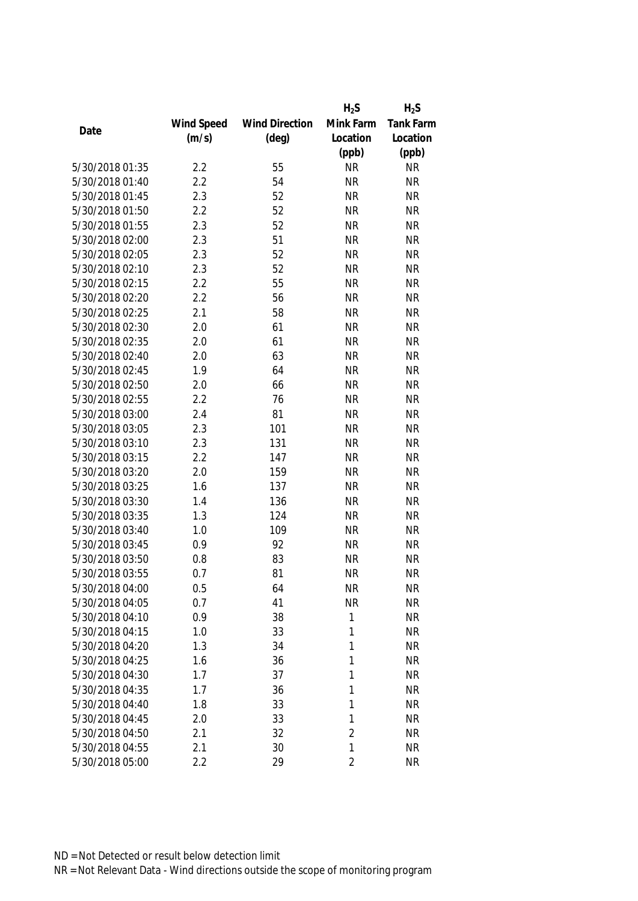|                 |            |                       | $H_2S$         | $H_2S$           |
|-----------------|------------|-----------------------|----------------|------------------|
|                 | Wind Speed | <b>Wind Direction</b> | Mink Farm      | <b>Tank Farm</b> |
| Date            | (m/s)      | $(\text{deg})$        | Location       | Location         |
|                 |            |                       | (ppb)          | (ppb)            |
| 5/30/2018 01:35 | 2.2        | 55                    | <b>NR</b>      | <b>NR</b>        |
| 5/30/2018 01:40 | 2.2        | 54                    | <b>NR</b>      | <b>NR</b>        |
| 5/30/2018 01:45 | 2.3        | 52                    | <b>NR</b>      | <b>NR</b>        |
| 5/30/2018 01:50 | 2.2        | 52                    | <b>NR</b>      | <b>NR</b>        |
| 5/30/2018 01:55 | 2.3        | 52                    | <b>NR</b>      | <b>NR</b>        |
| 5/30/2018 02:00 | 2.3        | 51                    | <b>NR</b>      | <b>NR</b>        |
| 5/30/2018 02:05 | 2.3        | 52                    | <b>NR</b>      | <b>NR</b>        |
| 5/30/2018 02:10 | 2.3        | 52                    | <b>NR</b>      | <b>NR</b>        |
| 5/30/2018 02:15 | 2.2        | 55                    | <b>NR</b>      | <b>NR</b>        |
| 5/30/2018 02:20 | 2.2        | 56                    | <b>NR</b>      | <b>NR</b>        |
| 5/30/2018 02:25 | 2.1        | 58                    | <b>NR</b>      | <b>NR</b>        |
| 5/30/2018 02:30 | 2.0        | 61                    | <b>NR</b>      | <b>NR</b>        |
| 5/30/2018 02:35 | 2.0        | 61                    | <b>NR</b>      | <b>NR</b>        |
| 5/30/2018 02:40 | 2.0        | 63                    | <b>NR</b>      | <b>NR</b>        |
| 5/30/2018 02:45 | 1.9        | 64                    | <b>NR</b>      | <b>NR</b>        |
| 5/30/2018 02:50 | 2.0        | 66                    | <b>NR</b>      | <b>NR</b>        |
| 5/30/2018 02:55 | 2.2        | 76                    | <b>NR</b>      | <b>NR</b>        |
| 5/30/2018 03:00 | 2.4        | 81                    | <b>NR</b>      | <b>NR</b>        |
| 5/30/2018 03:05 | 2.3        | 101                   | <b>NR</b>      | <b>NR</b>        |
| 5/30/2018 03:10 | 2.3        | 131                   | <b>NR</b>      | <b>NR</b>        |
| 5/30/2018 03:15 | 2.2        | 147                   | <b>NR</b>      | <b>NR</b>        |
| 5/30/2018 03:20 | 2.0        | 159                   | <b>NR</b>      | <b>NR</b>        |
| 5/30/2018 03:25 | 1.6        | 137                   | <b>NR</b>      | <b>NR</b>        |
| 5/30/2018 03:30 | 1.4        | 136                   | <b>NR</b>      | <b>NR</b>        |
| 5/30/2018 03:35 | 1.3        | 124                   | <b>NR</b>      | <b>NR</b>        |
| 5/30/2018 03:40 | 1.0        | 109                   | <b>NR</b>      | <b>NR</b>        |
| 5/30/2018 03:45 | 0.9        | 92                    | <b>NR</b>      | <b>NR</b>        |
| 5/30/2018 03:50 | 0.8        | 83                    | <b>NR</b>      | <b>NR</b>        |
| 5/30/2018 03:55 | 0.7        | 81                    | <b>NR</b>      | <b>NR</b>        |
| 5/30/2018 04:00 | 0.5        | 64                    | <b>NR</b>      | <b>NR</b>        |
| 5/30/2018 04:05 | 0.7        | 41                    | <b>NR</b>      | <b>NR</b>        |
| 5/30/2018 04:10 | 0.9        | 38                    | 1              | <b>NR</b>        |
| 5/30/2018 04:15 | 1.0        | 33                    | 1              | <b>NR</b>        |
| 5/30/2018 04:20 | 1.3        | 34                    | 1              | <b>NR</b>        |
| 5/30/2018 04:25 | 1.6        | 36                    | 1              | <b>NR</b>        |
| 5/30/2018 04:30 | 1.7        | 37                    | 1              | <b>NR</b>        |
| 5/30/2018 04:35 | 1.7        | 36                    | 1              | <b>NR</b>        |
| 5/30/2018 04:40 |            |                       |                |                  |
| 5/30/2018 04:45 | 1.8        | 33                    | 1<br>1         | <b>NR</b>        |
|                 | 2.0        | 33                    | $\overline{2}$ | <b>NR</b>        |
| 5/30/2018 04:50 | 2.1        | 32                    |                | <b>NR</b>        |
| 5/30/2018 04:55 | 2.1        | 30                    | 1              | <b>NR</b>        |
| 5/30/2018 05:00 | 2.2        | 29                    | 2              | <b>NR</b>        |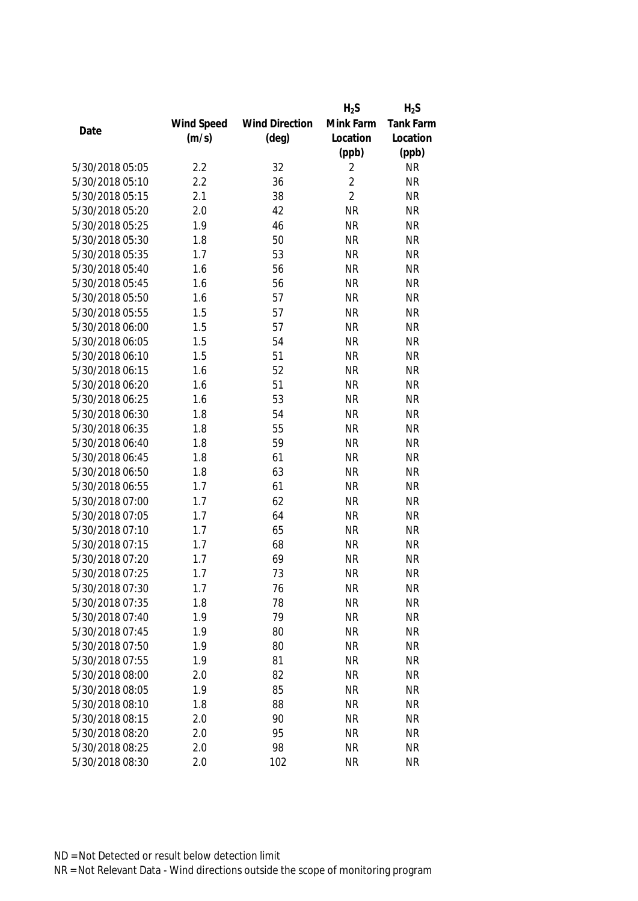|                 |            |                       | $H_2S$         | $H_2S$           |
|-----------------|------------|-----------------------|----------------|------------------|
|                 | Wind Speed | <b>Wind Direction</b> | Mink Farm      | <b>Tank Farm</b> |
| Date            | (m/s)      | $(\text{deg})$        | Location       | Location         |
|                 |            |                       | (ppb)          | (ppb)            |
| 5/30/2018 05:05 | 2.2        | 32                    | $\overline{2}$ | <b>NR</b>        |
| 5/30/2018 05:10 | 2.2        | 36                    | $\overline{2}$ | <b>NR</b>        |
| 5/30/2018 05:15 | 2.1        | 38                    | $\overline{2}$ | <b>NR</b>        |
| 5/30/2018 05:20 | 2.0        | 42                    | <b>NR</b>      | <b>NR</b>        |
| 5/30/2018 05:25 | 1.9        | 46                    | <b>NR</b>      | <b>NR</b>        |
| 5/30/2018 05:30 | 1.8        | 50                    | <b>NR</b>      | <b>NR</b>        |
| 5/30/2018 05:35 | 1.7        | 53                    | <b>NR</b>      | <b>NR</b>        |
| 5/30/2018 05:40 | 1.6        | 56                    | <b>NR</b>      | <b>NR</b>        |
| 5/30/2018 05:45 | 1.6        | 56                    | <b>NR</b>      | <b>NR</b>        |
| 5/30/2018 05:50 | 1.6        | 57                    | <b>NR</b>      | <b>NR</b>        |
| 5/30/2018 05:55 | 1.5        | 57                    | <b>NR</b>      | <b>NR</b>        |
| 5/30/2018 06:00 | 1.5        | 57                    | <b>NR</b>      | <b>NR</b>        |
| 5/30/2018 06:05 | 1.5        | 54                    | <b>NR</b>      | <b>NR</b>        |
| 5/30/2018 06:10 | 1.5        | 51                    | <b>NR</b>      | <b>NR</b>        |
| 5/30/2018 06:15 | 1.6        | 52                    | <b>NR</b>      | <b>NR</b>        |
| 5/30/2018 06:20 | 1.6        | 51                    | <b>NR</b>      | <b>NR</b>        |
| 5/30/2018 06:25 | 1.6        | 53                    | <b>NR</b>      | <b>NR</b>        |
| 5/30/2018 06:30 | 1.8        | 54                    | <b>NR</b>      | <b>NR</b>        |
| 5/30/2018 06:35 | 1.8        | 55                    | <b>NR</b>      | <b>NR</b>        |
| 5/30/2018 06:40 | 1.8        | 59                    | <b>NR</b>      | <b>NR</b>        |
| 5/30/2018 06:45 | 1.8        | 61                    | <b>NR</b>      | <b>NR</b>        |
| 5/30/2018 06:50 | 1.8        | 63                    | <b>NR</b>      | <b>NR</b>        |
| 5/30/2018 06:55 | 1.7        | 61                    | <b>NR</b>      | <b>NR</b>        |
| 5/30/2018 07:00 | 1.7        | 62                    | <b>NR</b>      | <b>NR</b>        |
| 5/30/2018 07:05 | 1.7        | 64                    | <b>NR</b>      | <b>NR</b>        |
| 5/30/2018 07:10 | 1.7        | 65                    | <b>NR</b>      | <b>NR</b>        |
| 5/30/2018 07:15 | 1.7        | 68                    | <b>NR</b>      | <b>NR</b>        |
| 5/30/2018 07:20 | 1.7        | 69                    | <b>NR</b>      | <b>NR</b>        |
| 5/30/2018 07:25 | 1.7        | 73                    | <b>NR</b>      | <b>NR</b>        |
| 5/30/2018 07:30 | 1.7        | 76                    | <b>NR</b>      | <b>NR</b>        |
| 5/30/2018 07:35 | 1.8        | 78                    | <b>NR</b>      | <b>NR</b>        |
| 5/30/2018 07:40 | 1.9        | 79                    | <b>NR</b>      | <b>NR</b>        |
| 5/30/2018 07:45 | 1.9        | 80                    | <b>NR</b>      | <b>NR</b>        |
| 5/30/2018 07:50 | 1.9        | 80                    | <b>NR</b>      | <b>NR</b>        |
| 5/30/2018 07:55 | 1.9        | 81                    | <b>NR</b>      | <b>NR</b>        |
| 5/30/2018 08:00 | 2.0        | 82                    | <b>NR</b>      | <b>NR</b>        |
| 5/30/2018 08:05 | 1.9        | 85                    | <b>NR</b>      | <b>NR</b>        |
| 5/30/2018 08:10 | 1.8        | 88                    | <b>NR</b>      | <b>NR</b>        |
| 5/30/2018 08:15 | 2.0        | 90                    | <b>NR</b>      | <b>NR</b>        |
| 5/30/2018 08:20 | 2.0        | 95                    | <b>NR</b>      | <b>NR</b>        |
|                 |            |                       |                |                  |
| 5/30/2018 08:25 | 2.0        | 98                    | <b>NR</b>      | <b>NR</b>        |
| 5/30/2018 08:30 | 2.0        | 102                   | <b>NR</b>      | <b>NR</b>        |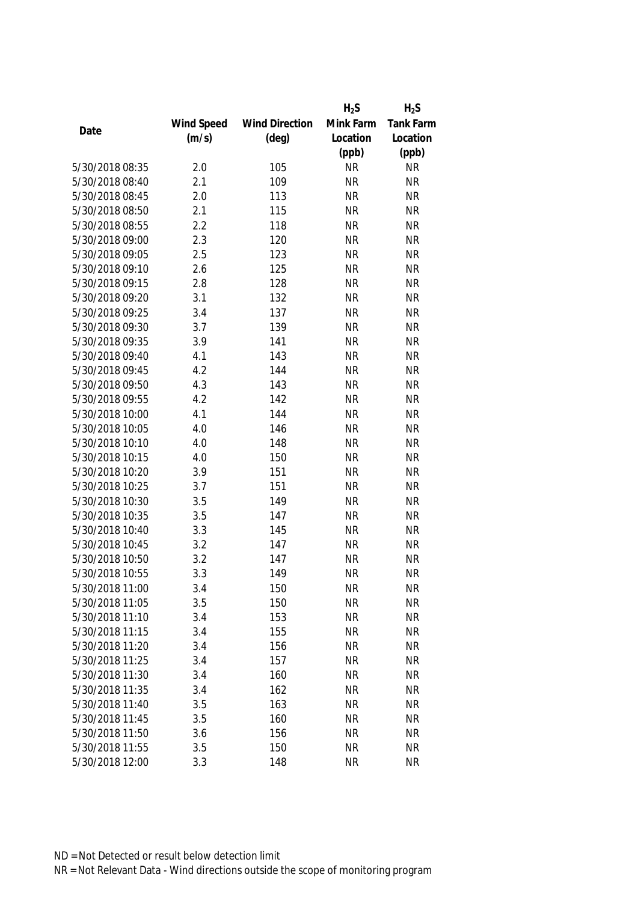|                 |            |                       | $H_2S$    | $H_2S$    |
|-----------------|------------|-----------------------|-----------|-----------|
|                 | Wind Speed | <b>Wind Direction</b> | Mink Farm | Tank Farm |
| Date            | (m/s)      | $(\text{deg})$        | Location  | Location  |
|                 |            |                       | (ppb)     | (ppb)     |
| 5/30/2018 08:35 | 2.0        | 105                   | <b>NR</b> | <b>NR</b> |
| 5/30/2018 08:40 | 2.1        | 109                   | <b>NR</b> | <b>NR</b> |
| 5/30/2018 08:45 | 2.0        | 113                   | <b>NR</b> | <b>NR</b> |
| 5/30/2018 08:50 | 2.1        | 115                   | <b>NR</b> | <b>NR</b> |
| 5/30/2018 08:55 | 2.2        | 118                   | <b>NR</b> | <b>NR</b> |
| 5/30/2018 09:00 | 2.3        | 120                   | <b>NR</b> | <b>NR</b> |
| 5/30/2018 09:05 | 2.5        | 123                   | <b>NR</b> | <b>NR</b> |
| 5/30/2018 09:10 | 2.6        | 125                   | <b>NR</b> | <b>NR</b> |
| 5/30/2018 09:15 | 2.8        | 128                   | <b>NR</b> | <b>NR</b> |
| 5/30/2018 09:20 | 3.1        | 132                   | <b>NR</b> | <b>NR</b> |
| 5/30/2018 09:25 | 3.4        | 137                   | <b>NR</b> | <b>NR</b> |
| 5/30/2018 09:30 | 3.7        | 139                   | <b>NR</b> | <b>NR</b> |
| 5/30/2018 09:35 | 3.9        | 141                   | <b>NR</b> | <b>NR</b> |
| 5/30/2018 09:40 | 4.1        | 143                   | <b>NR</b> | <b>NR</b> |
| 5/30/2018 09:45 | 4.2        | 144                   | <b>NR</b> | <b>NR</b> |
| 5/30/2018 09:50 | 4.3        | 143                   | <b>NR</b> | <b>NR</b> |
| 5/30/2018 09:55 | 4.2        | 142                   | <b>NR</b> | <b>NR</b> |
| 5/30/2018 10:00 | 4.1        | 144                   | <b>NR</b> | <b>NR</b> |
| 5/30/2018 10:05 | 4.0        | 146                   | <b>NR</b> | <b>NR</b> |
| 5/30/2018 10:10 | 4.0        | 148                   | <b>NR</b> | <b>NR</b> |
| 5/30/2018 10:15 | 4.0        | 150                   | <b>NR</b> | <b>NR</b> |
| 5/30/2018 10:20 | 3.9        | 151                   | <b>NR</b> | <b>NR</b> |
| 5/30/2018 10:25 | 3.7        | 151                   | <b>NR</b> | <b>NR</b> |
| 5/30/2018 10:30 | 3.5        | 149                   | <b>NR</b> | <b>NR</b> |
| 5/30/2018 10:35 | 3.5        | 147                   | <b>NR</b> | <b>NR</b> |
| 5/30/2018 10:40 | 3.3        | 145                   | <b>NR</b> | <b>NR</b> |
| 5/30/2018 10:45 | 3.2        | 147                   | <b>NR</b> | <b>NR</b> |
| 5/30/2018 10:50 | 3.2        | 147                   | <b>NR</b> | <b>NR</b> |
| 5/30/2018 10:55 | 3.3        | 149                   | <b>NR</b> | <b>NR</b> |
| 5/30/2018 11:00 | 3.4        | 150                   | <b>NR</b> | <b>NR</b> |
| 5/30/2018 11:05 | 3.5        | 150                   | <b>NR</b> | <b>NR</b> |
| 5/30/2018 11:10 | 3.4        | 153                   | <b>NR</b> | <b>NR</b> |
| 5/30/2018 11:15 | 3.4        | 155                   | <b>NR</b> | <b>NR</b> |
| 5/30/2018 11:20 | 3.4        | 156                   | <b>NR</b> | <b>NR</b> |
| 5/30/2018 11:25 | 3.4        | 157                   | <b>NR</b> | <b>NR</b> |
| 5/30/2018 11:30 | 3.4        | 160                   | <b>NR</b> | <b>NR</b> |
| 5/30/2018 11:35 | 3.4        | 162                   | <b>NR</b> | <b>NR</b> |
| 5/30/2018 11:40 | 3.5        | 163                   | <b>NR</b> | <b>NR</b> |
| 5/30/2018 11:45 | 3.5        | 160                   | <b>NR</b> | <b>NR</b> |
| 5/30/2018 11:50 | 3.6        | 156                   | <b>NR</b> | <b>NR</b> |
| 5/30/2018 11:55 | 3.5        | 150                   | <b>NR</b> | <b>NR</b> |
| 5/30/2018 12:00 | 3.3        | 148                   | <b>NR</b> | <b>NR</b> |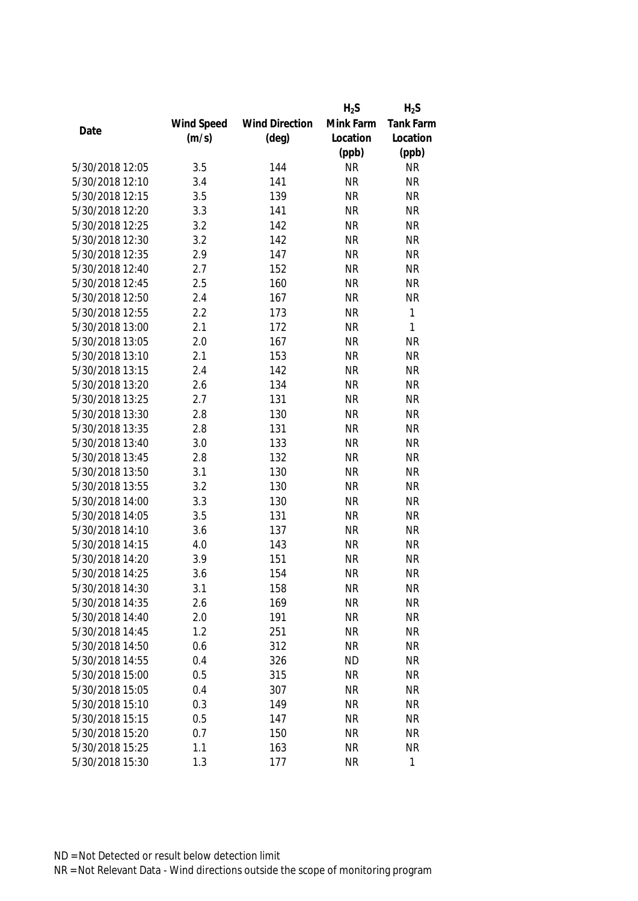|                 |            |                       | $H_2S$    | $H_2S$    |
|-----------------|------------|-----------------------|-----------|-----------|
|                 | Wind Speed | <b>Wind Direction</b> | Mink Farm | Tank Farm |
| Date            | (m/s)      | $(\text{deg})$        | Location  | Location  |
|                 |            |                       | (ppb)     | (ppb)     |
| 5/30/2018 12:05 | 3.5        | 144                   | <b>NR</b> | <b>NR</b> |
| 5/30/2018 12:10 | 3.4        | 141                   | <b>NR</b> | <b>NR</b> |
| 5/30/2018 12:15 | 3.5        | 139                   | <b>NR</b> | <b>NR</b> |
| 5/30/2018 12:20 | 3.3        | 141                   | <b>NR</b> | <b>NR</b> |
| 5/30/2018 12:25 | 3.2        | 142                   | <b>NR</b> | <b>NR</b> |
| 5/30/2018 12:30 | 3.2        | 142                   | <b>NR</b> | <b>NR</b> |
| 5/30/2018 12:35 | 2.9        | 147                   | <b>NR</b> | <b>NR</b> |
| 5/30/2018 12:40 | 2.7        | 152                   | <b>NR</b> | <b>NR</b> |
| 5/30/2018 12:45 | 2.5        | 160                   | <b>NR</b> | <b>NR</b> |
| 5/30/2018 12:50 | 2.4        | 167                   | <b>NR</b> | <b>NR</b> |
| 5/30/2018 12:55 | 2.2        | 173                   | <b>NR</b> | 1         |
| 5/30/2018 13:00 | 2.1        | 172                   | <b>NR</b> | 1         |
| 5/30/2018 13:05 | 2.0        | 167                   | <b>NR</b> | <b>NR</b> |
| 5/30/2018 13:10 | 2.1        | 153                   | <b>NR</b> | <b>NR</b> |
| 5/30/2018 13:15 | 2.4        | 142                   | <b>NR</b> | <b>NR</b> |
| 5/30/2018 13:20 | 2.6        | 134                   | <b>NR</b> | <b>NR</b> |
| 5/30/2018 13:25 | 2.7        | 131                   | <b>NR</b> | <b>NR</b> |
| 5/30/2018 13:30 | 2.8        | 130                   | <b>NR</b> | <b>NR</b> |
| 5/30/2018 13:35 | 2.8        | 131                   | <b>NR</b> | <b>NR</b> |
| 5/30/2018 13:40 | 3.0        | 133                   | <b>NR</b> | <b>NR</b> |
| 5/30/2018 13:45 | 2.8        | 132                   | <b>NR</b> | <b>NR</b> |
| 5/30/2018 13:50 | 3.1        | 130                   | <b>NR</b> | <b>NR</b> |
| 5/30/2018 13:55 | 3.2        | 130                   | <b>NR</b> | <b>NR</b> |
| 5/30/2018 14:00 | 3.3        | 130                   | <b>NR</b> | <b>NR</b> |
| 5/30/2018 14:05 | 3.5        | 131                   | <b>NR</b> | <b>NR</b> |
| 5/30/2018 14:10 | 3.6        | 137                   | <b>NR</b> | <b>NR</b> |
| 5/30/2018 14:15 | 4.0        | 143                   | <b>NR</b> | <b>NR</b> |
| 5/30/2018 14:20 | 3.9        | 151                   | <b>NR</b> | <b>NR</b> |
| 5/30/2018 14:25 | 3.6        | 154                   | <b>NR</b> | <b>NR</b> |
| 5/30/2018 14:30 | 3.1        | 158                   | <b>NR</b> | <b>NR</b> |
| 5/30/2018 14:35 | 2.6        | 169                   | <b>NR</b> | <b>NR</b> |
| 5/30/2018 14:40 | 2.0        | 191                   | <b>NR</b> | <b>NR</b> |
| 5/30/2018 14:45 | 1.2        | 251                   | <b>NR</b> | <b>NR</b> |
| 5/30/2018 14:50 | 0.6        | 312                   | <b>NR</b> | <b>NR</b> |
| 5/30/2018 14:55 | 0.4        | 326                   | <b>ND</b> | <b>NR</b> |
| 5/30/2018 15:00 | 0.5        | 315                   | <b>NR</b> | <b>NR</b> |
| 5/30/2018 15:05 | 0.4        | 307                   | <b>NR</b> | <b>NR</b> |
| 5/30/2018 15:10 | 0.3        | 149                   | <b>NR</b> | <b>NR</b> |
| 5/30/2018 15:15 | 0.5        | 147                   | <b>NR</b> | <b>NR</b> |
| 5/30/2018 15:20 | 0.7        | 150                   | <b>NR</b> | <b>NR</b> |
| 5/30/2018 15:25 | 1.1        | 163                   | <b>NR</b> | <b>NR</b> |
| 5/30/2018 15:30 | 1.3        | 177                   | <b>NR</b> | 1         |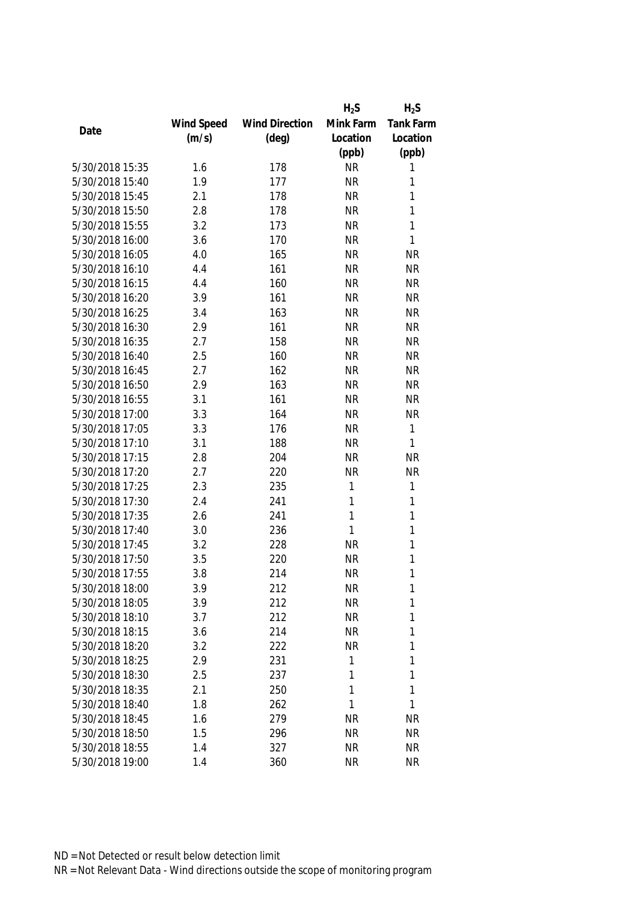|                 |            |                       | $H_2S$    | $H_2S$       |
|-----------------|------------|-----------------------|-----------|--------------|
|                 | Wind Speed | <b>Wind Direction</b> | Mink Farm | Tank Farm    |
| Date            | (m/s)      | $(\text{deg})$        | Location  | Location     |
|                 |            |                       | (ppb)     | (ppb)        |
| 5/30/2018 15:35 | 1.6        | 178                   | <b>NR</b> | 1            |
| 5/30/2018 15:40 | 1.9        | 177                   | <b>NR</b> | 1            |
| 5/30/2018 15:45 | 2.1        | 178                   | <b>NR</b> | 1            |
| 5/30/2018 15:50 | 2.8        | 178                   | <b>NR</b> | 1            |
| 5/30/2018 15:55 | 3.2        | 173                   | <b>NR</b> | 1            |
| 5/30/2018 16:00 | 3.6        | 170                   | <b>NR</b> | 1            |
| 5/30/2018 16:05 | 4.0        | 165                   | <b>NR</b> | <b>NR</b>    |
| 5/30/2018 16:10 | 4.4        | 161                   | <b>NR</b> | <b>NR</b>    |
| 5/30/2018 16:15 | 4.4        | 160                   | <b>NR</b> | <b>NR</b>    |
| 5/30/2018 16:20 | 3.9        | 161                   | <b>NR</b> | <b>NR</b>    |
| 5/30/2018 16:25 | 3.4        | 163                   | <b>NR</b> | <b>NR</b>    |
| 5/30/2018 16:30 | 2.9        | 161                   | <b>NR</b> | <b>NR</b>    |
| 5/30/2018 16:35 | 2.7        | 158                   | <b>NR</b> | <b>NR</b>    |
| 5/30/2018 16:40 | 2.5        | 160                   | <b>NR</b> | <b>NR</b>    |
| 5/30/2018 16:45 | 2.7        | 162                   | <b>NR</b> | <b>NR</b>    |
| 5/30/2018 16:50 | 2.9        | 163                   | <b>NR</b> | <b>NR</b>    |
| 5/30/2018 16:55 | 3.1        | 161                   | <b>NR</b> | <b>NR</b>    |
| 5/30/2018 17:00 | 3.3        | 164                   | <b>NR</b> | <b>NR</b>    |
| 5/30/2018 17:05 | 3.3        | 176                   | <b>NR</b> | $\mathbf{1}$ |
| 5/30/2018 17:10 | 3.1        | 188                   | <b>NR</b> | 1            |
| 5/30/2018 17:15 | 2.8        | 204                   | <b>NR</b> | <b>NR</b>    |
| 5/30/2018 17:20 | 2.7        | 220                   | <b>NR</b> | <b>NR</b>    |
| 5/30/2018 17:25 | 2.3        | 235                   | 1         | $\mathbf{1}$ |
| 5/30/2018 17:30 | 2.4        | 241                   | 1         | $\mathbf{1}$ |
| 5/30/2018 17:35 | 2.6        | 241                   | 1         | $\mathbf{1}$ |
| 5/30/2018 17:40 | 3.0        | 236                   | 1         | 1            |
| 5/30/2018 17:45 | 3.2        | 228                   | <b>NR</b> | 1            |
| 5/30/2018 17:50 | 3.5        | 220                   | <b>NR</b> | 1            |
| 5/30/2018 17:55 | 3.8        | 214                   | <b>NR</b> | 1            |
| 5/30/2018 18:00 | 3.9        | 212                   | <b>NR</b> | 1            |
| 5/30/2018 18:05 | 3.9        | 212                   | <b>NR</b> | 1            |
| 5/30/2018 18:10 | 3.7        | 212                   | <b>NR</b> | 1            |
| 5/30/2018 18:15 | 3.6        | 214                   | <b>NR</b> | 1            |
| 5/30/2018 18:20 | 3.2        | 222                   | <b>NR</b> | 1            |
| 5/30/2018 18:25 | 2.9        | 231                   | 1         | 1            |
| 5/30/2018 18:30 | 2.5        | 237                   | 1         | 1            |
| 5/30/2018 18:35 | 2.1        | 250                   | 1         | 1            |
| 5/30/2018 18:40 | 1.8        | 262                   | 1         | 1            |
| 5/30/2018 18:45 | 1.6        | 279                   | <b>NR</b> | <b>NR</b>    |
| 5/30/2018 18:50 | 1.5        | 296                   | <b>NR</b> | <b>NR</b>    |
| 5/30/2018 18:55 | 1.4        | 327                   | <b>NR</b> | <b>NR</b>    |
| 5/30/2018 19:00 | 1.4        | 360                   | <b>NR</b> | <b>NR</b>    |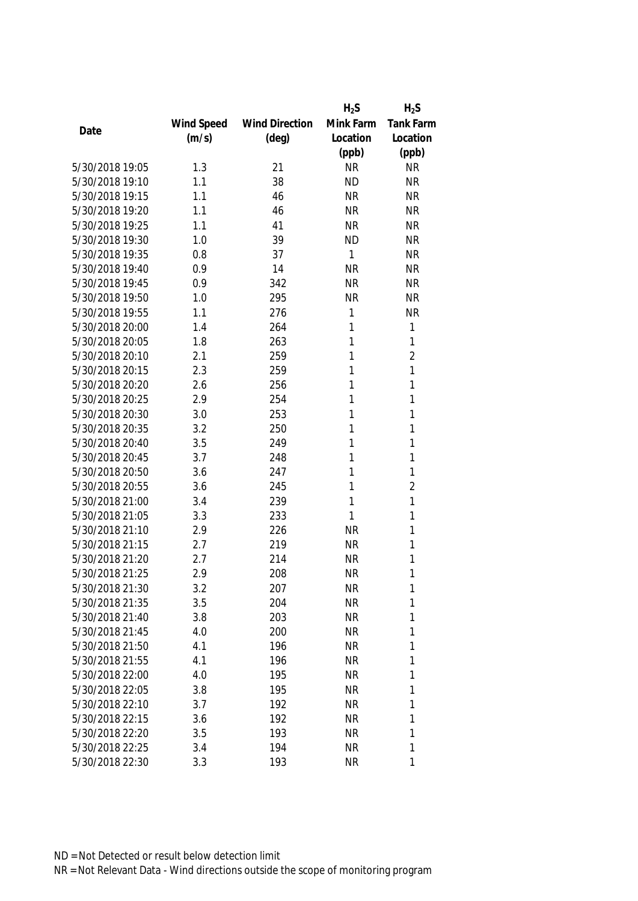|                 |            |                       | $H_2S$    | $H_2S$         |
|-----------------|------------|-----------------------|-----------|----------------|
|                 | Wind Speed | <b>Wind Direction</b> | Mink Farm | Tank Farm      |
| Date            | (m/s)      | $(\text{deg})$        | Location  | Location       |
|                 |            |                       | (ppb)     | (ppb)          |
| 5/30/2018 19:05 | 1.3        | 21                    | <b>NR</b> | <b>NR</b>      |
| 5/30/2018 19:10 | 1.1        | 38                    | <b>ND</b> | <b>NR</b>      |
| 5/30/2018 19:15 | 1.1        | 46                    | <b>NR</b> | <b>NR</b>      |
| 5/30/2018 19:20 | 1.1        | 46                    | <b>NR</b> | <b>NR</b>      |
| 5/30/2018 19:25 | 1.1        | 41                    | <b>NR</b> | <b>NR</b>      |
| 5/30/2018 19:30 | 1.0        | 39                    | <b>ND</b> | <b>NR</b>      |
| 5/30/2018 19:35 | 0.8        | 37                    | 1         | <b>NR</b>      |
| 5/30/2018 19:40 | 0.9        | 14                    | <b>NR</b> | <b>NR</b>      |
| 5/30/2018 19:45 | 0.9        | 342                   | <b>NR</b> | <b>NR</b>      |
| 5/30/2018 19:50 | 1.0        | 295                   | <b>NR</b> | <b>NR</b>      |
| 5/30/2018 19:55 | 1.1        | 276                   | 1         | <b>NR</b>      |
| 5/30/2018 20:00 | 1.4        | 264                   | 1         | $\mathbf{1}$   |
| 5/30/2018 20:05 | 1.8        | 263                   | 1         | 1              |
| 5/30/2018 20:10 | 2.1        | 259                   | 1         | $\overline{2}$ |
| 5/30/2018 20:15 | 2.3        | 259                   | 1         | $\mathbf{1}$   |
| 5/30/2018 20:20 | 2.6        | 256                   | 1         | $\mathbf{1}$   |
| 5/30/2018 20:25 | 2.9        | 254                   | 1         | 1              |
| 5/30/2018 20:30 | 3.0        | 253                   | 1         | 1              |
| 5/30/2018 20:35 | 3.2        | 250                   | 1         | 1              |
| 5/30/2018 20:40 | 3.5        | 249                   | 1         | 1              |
| 5/30/2018 20:45 | 3.7        | 248                   | 1         | 1              |
| 5/30/2018 20:50 | 3.6        | 247                   | 1         | $\mathbf{1}$   |
| 5/30/2018 20:55 | 3.6        | 245                   | 1         | $\overline{2}$ |
| 5/30/2018 21:00 | 3.4        | 239                   | 1         | 1              |
| 5/30/2018 21:05 | 3.3        | 233                   | 1         | 1              |
| 5/30/2018 21:10 | 2.9        | 226                   | <b>NR</b> | 1              |
| 5/30/2018 21:15 | 2.7        | 219                   | <b>NR</b> | 1              |
| 5/30/2018 21:20 | 2.7        | 214                   | <b>NR</b> | 1              |
| 5/30/2018 21:25 | 2.9        | 208                   | <b>NR</b> | 1              |
| 5/30/2018 21:30 | 3.2        | 207                   | <b>NR</b> | 1              |
| 5/30/2018 21:35 | 3.5        | 204                   | <b>NR</b> | 1              |
| 5/30/2018 21:40 | 3.8        | 203                   | <b>NR</b> | 1              |
| 5/30/2018 21:45 | 4.0        | 200                   | <b>NR</b> | 1              |
| 5/30/2018 21:50 | 4.1        | 196                   | NR        | 1              |
| 5/30/2018 21:55 | 4.1        | 196                   | <b>NR</b> | 1              |
| 5/30/2018 22:00 | 4.0        | 195                   | <b>NR</b> | 1              |
| 5/30/2018 22:05 | 3.8        | 195                   | <b>NR</b> | 1              |
| 5/30/2018 22:10 | 3.7        | 192                   | <b>NR</b> | 1              |
| 5/30/2018 22:15 | 3.6        | 192                   | <b>NR</b> | 1              |
| 5/30/2018 22:20 | 3.5        | 193                   | <b>NR</b> | 1              |
| 5/30/2018 22:25 | 3.4        | 194                   | <b>NR</b> | 1              |
| 5/30/2018 22:30 | 3.3        | 193                   | <b>NR</b> | 1              |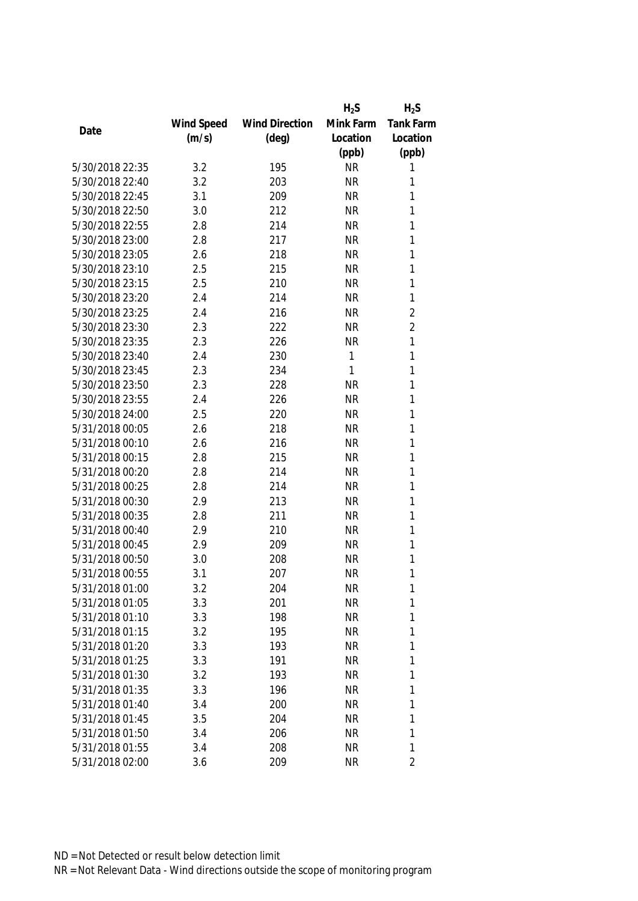|                 |            |                       | $H_2S$    | $H_2S$         |
|-----------------|------------|-----------------------|-----------|----------------|
|                 | Wind Speed | <b>Wind Direction</b> | Mink Farm | Tank Farm      |
| Date            | (m/s)      | $(\text{deg})$        | Location  | Location       |
|                 |            |                       | (ppb)     | (ppb)          |
| 5/30/2018 22:35 | 3.2        | 195                   | <b>NR</b> | 1              |
| 5/30/2018 22:40 | 3.2        | 203                   | <b>NR</b> | 1              |
| 5/30/2018 22:45 | 3.1        | 209                   | <b>NR</b> | 1              |
| 5/30/2018 22:50 | 3.0        | 212                   | <b>NR</b> | 1              |
| 5/30/2018 22:55 | 2.8        | 214                   | <b>NR</b> | 1              |
| 5/30/2018 23:00 | 2.8        | 217                   | <b>NR</b> | 1              |
| 5/30/2018 23:05 | 2.6        | 218                   | <b>NR</b> | 1              |
| 5/30/2018 23:10 | 2.5        | 215                   | <b>NR</b> | 1              |
| 5/30/2018 23:15 | 2.5        | 210                   | <b>NR</b> | 1              |
| 5/30/2018 23:20 | 2.4        | 214                   | <b>NR</b> | 1              |
| 5/30/2018 23:25 | 2.4        | 216                   | <b>NR</b> | $\overline{2}$ |
| 5/30/2018 23:30 | 2.3        | 222                   | <b>NR</b> | $\overline{2}$ |
| 5/30/2018 23:35 | 2.3        | 226                   | <b>NR</b> | 1              |
| 5/30/2018 23:40 | 2.4        | 230                   | 1         | 1              |
| 5/30/2018 23:45 | 2.3        | 234                   | 1         | 1              |
| 5/30/2018 23:50 | 2.3        | 228                   | <b>NR</b> | $\mathbf{1}$   |
| 5/30/2018 23:55 | 2.4        | 226                   | <b>NR</b> | 1              |
| 5/30/2018 24:00 | 2.5        | 220                   | <b>NR</b> | 1              |
| 5/31/2018 00:05 | 2.6        | 218                   | <b>NR</b> | 1              |
| 5/31/2018 00:10 | 2.6        | 216                   | <b>NR</b> | 1              |
| 5/31/2018 00:15 | 2.8        | 215                   | <b>NR</b> | 1              |
| 5/31/2018 00:20 | 2.8        | 214                   | <b>NR</b> | 1              |
| 5/31/2018 00:25 | 2.8        | 214                   | <b>NR</b> | 1              |
| 5/31/2018 00:30 | 2.9        | 213                   | <b>NR</b> | 1              |
| 5/31/2018 00:35 | 2.8        | 211                   | <b>NR</b> | 1              |
| 5/31/2018 00:40 | 2.9        | 210                   | <b>NR</b> | 1              |
| 5/31/2018 00:45 | 2.9        | 209                   | <b>NR</b> | 1              |
| 5/31/2018 00:50 | 3.0        | 208                   | <b>NR</b> | 1              |
| 5/31/2018 00:55 | 3.1        | 207                   | <b>NR</b> | 1              |
| 5/31/2018 01:00 | 3.2        | 204                   | <b>NR</b> | 1              |
| 5/31/2018 01:05 | 3.3        | 201                   | <b>NR</b> | 1              |
| 5/31/2018 01:10 | 3.3        | 198                   | <b>NR</b> | 1              |
| 5/31/2018 01:15 | 3.2        | 195                   | <b>NR</b> | 1              |
| 5/31/2018 01:20 | 3.3        | 193                   | NR        | 1              |
| 5/31/2018 01:25 | 3.3        | 191                   | <b>NR</b> | 1              |
| 5/31/2018 01:30 | 3.2        | 193                   | <b>NR</b> | 1              |
| 5/31/2018 01:35 | 3.3        | 196                   | <b>NR</b> | 1              |
| 5/31/2018 01:40 | 3.4        | 200                   | <b>NR</b> | 1              |
| 5/31/2018 01:45 | 3.5        | 204                   | <b>NR</b> | 1              |
| 5/31/2018 01:50 | 3.4        | 206                   | <b>NR</b> | 1              |
| 5/31/2018 01:55 | 3.4        | 208                   | <b>NR</b> | 1              |
| 5/31/2018 02:00 | 3.6        | 209                   | <b>NR</b> | $\overline{2}$ |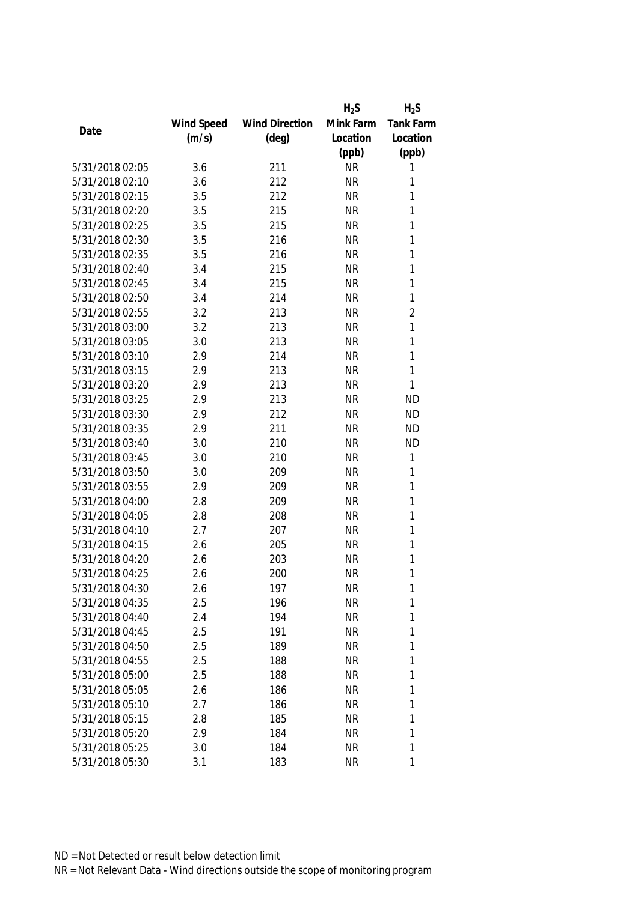|                 |            |                       | $H_2S$    | $H_2S$           |
|-----------------|------------|-----------------------|-----------|------------------|
|                 | Wind Speed | <b>Wind Direction</b> | Mink Farm | <b>Tank Farm</b> |
| Date            | (m/s)      | $(\text{deg})$        | Location  | Location         |
|                 |            |                       | (ppb)     | (ppb)            |
| 5/31/2018 02:05 | 3.6        | 211                   | <b>NR</b> | 1                |
| 5/31/2018 02:10 | 3.6        | 212                   | <b>NR</b> | 1                |
| 5/31/2018 02:15 | 3.5        | 212                   | <b>NR</b> | 1                |
| 5/31/2018 02:20 | 3.5        | 215                   | <b>NR</b> | 1                |
| 5/31/2018 02:25 | 3.5        | 215                   | <b>NR</b> | 1                |
| 5/31/2018 02:30 | 3.5        | 216                   | <b>NR</b> | 1                |
| 5/31/2018 02:35 | 3.5        | 216                   | <b>NR</b> | 1                |
| 5/31/2018 02:40 | 3.4        | 215                   | <b>NR</b> | 1                |
| 5/31/2018 02:45 | 3.4        | 215                   | <b>NR</b> | 1                |
| 5/31/2018 02:50 | 3.4        | 214                   | <b>NR</b> | 1                |
| 5/31/2018 02:55 | 3.2        | 213                   | <b>NR</b> | $\overline{2}$   |
| 5/31/2018 03:00 | 3.2        | 213                   | <b>NR</b> | $\mathbf{1}$     |
| 5/31/2018 03:05 | 3.0        | 213                   | <b>NR</b> | 1                |
| 5/31/2018 03:10 | 2.9        | 214                   | <b>NR</b> | 1                |
| 5/31/2018 03:15 | 2.9        | 213                   | <b>NR</b> | 1                |
| 5/31/2018 03:20 | 2.9        | 213                   | <b>NR</b> | 1                |
| 5/31/2018 03:25 | 2.9        | 213                   | <b>NR</b> | <b>ND</b>        |
| 5/31/2018 03:30 | 2.9        | 212                   | <b>NR</b> | <b>ND</b>        |
| 5/31/2018 03:35 | 2.9        | 211                   | <b>NR</b> | <b>ND</b>        |
| 5/31/2018 03:40 | 3.0        | 210                   | <b>NR</b> | <b>ND</b>        |
| 5/31/2018 03:45 | 3.0        | 210                   | <b>NR</b> | 1                |
| 5/31/2018 03:50 | 3.0        | 209                   | <b>NR</b> | 1                |
| 5/31/2018 03:55 | 2.9        | 209                   | <b>NR</b> | 1                |
| 5/31/2018 04:00 | 2.8        | 209                   | <b>NR</b> | 1                |
| 5/31/2018 04:05 | 2.8        | 208                   | <b>NR</b> | 1                |
| 5/31/2018 04:10 | 2.7        | 207                   | <b>NR</b> | 1                |
| 5/31/2018 04:15 | 2.6        | 205                   | <b>NR</b> | 1                |
| 5/31/2018 04:20 | 2.6        | 203                   | <b>NR</b> | 1                |
| 5/31/2018 04:25 | 2.6        | 200                   | <b>NR</b> | 1                |
| 5/31/2018 04:30 | 2.6        | 197                   | <b>NR</b> | 1                |
| 5/31/2018 04:35 | 2.5        | 196                   | <b>NR</b> | 1                |
| 5/31/2018 04:40 | 2.4        | 194                   | <b>NR</b> | 1                |
| 5/31/2018 04:45 | 2.5        | 191                   | <b>NR</b> | 1                |
| 5/31/2018 04:50 | 2.5        | 189                   | NR        | 1                |
| 5/31/2018 04:55 | 2.5        | 188                   | <b>NR</b> | 1                |
| 5/31/2018 05:00 | 2.5        | 188                   | <b>NR</b> | 1                |
| 5/31/2018 05:05 | 2.6        | 186                   | <b>NR</b> | 1                |
| 5/31/2018 05:10 | 2.7        | 186                   | <b>NR</b> | 1                |
| 5/31/2018 05:15 | 2.8        | 185                   | <b>NR</b> | 1                |
| 5/31/2018 05:20 | 2.9        | 184                   | <b>NR</b> | 1                |
| 5/31/2018 05:25 | 3.0        | 184                   | <b>NR</b> | 1                |
| 5/31/2018 05:30 | 3.1        | 183                   | <b>NR</b> | 1                |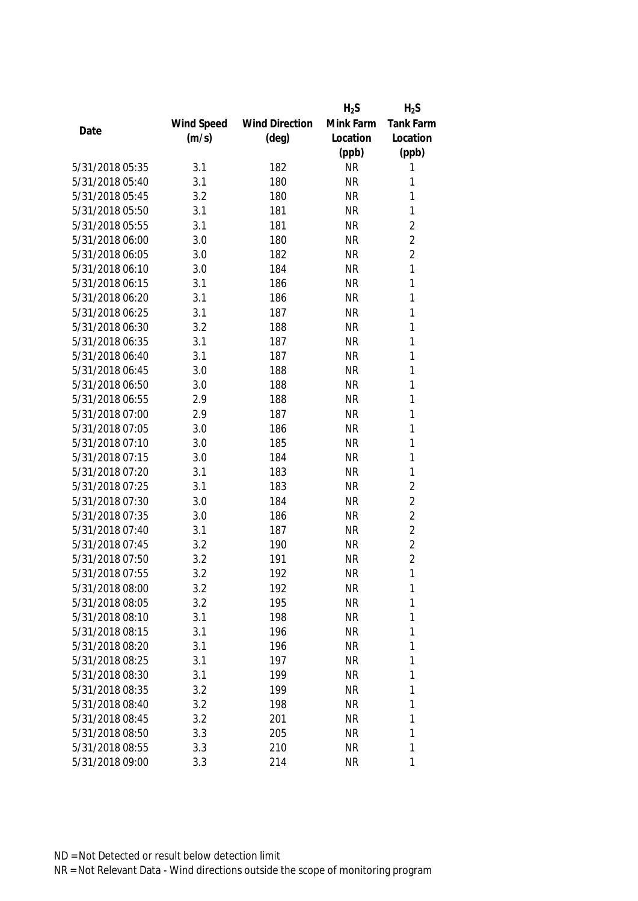|                 |            |                       | $H_2S$    | $H_2S$         |
|-----------------|------------|-----------------------|-----------|----------------|
|                 | Wind Speed | <b>Wind Direction</b> | Mink Farm | Tank Farm      |
| Date            | (m/s)      | $(\text{deg})$        | Location  | Location       |
|                 |            |                       | (ppb)     | (ppb)          |
| 5/31/2018 05:35 | 3.1        | 182                   | <b>NR</b> | 1              |
| 5/31/2018 05:40 | 3.1        | 180                   | <b>NR</b> | 1              |
| 5/31/2018 05:45 | 3.2        | 180                   | <b>NR</b> | 1              |
| 5/31/2018 05:50 | 3.1        | 181                   | <b>NR</b> | $\mathbf{1}$   |
| 5/31/2018 05:55 | 3.1        | 181                   | <b>NR</b> | $\overline{2}$ |
| 5/31/2018 06:00 | 3.0        | 180                   | <b>NR</b> | $\overline{2}$ |
| 5/31/2018 06:05 | 3.0        | 182                   | <b>NR</b> | $\overline{2}$ |
| 5/31/2018 06:10 | 3.0        | 184                   | <b>NR</b> | $\mathbf{1}$   |
| 5/31/2018 06:15 | 3.1        | 186                   | <b>NR</b> | 1              |
| 5/31/2018 06:20 | 3.1        | 186                   | <b>NR</b> | 1              |
| 5/31/2018 06:25 | 3.1        | 187                   | <b>NR</b> | 1              |
| 5/31/2018 06:30 | 3.2        | 188                   | <b>NR</b> | 1              |
| 5/31/2018 06:35 | 3.1        | 187                   | <b>NR</b> | 1              |
| 5/31/2018 06:40 | 3.1        | 187                   | <b>NR</b> | 1              |
| 5/31/2018 06:45 | 3.0        | 188                   | <b>NR</b> | 1              |
| 5/31/2018 06:50 | 3.0        | 188                   | <b>NR</b> | $\mathbf{1}$   |
| 5/31/2018 06:55 | 2.9        | 188                   | <b>NR</b> | 1              |
| 5/31/2018 07:00 | 2.9        | 187                   | <b>NR</b> | 1              |
| 5/31/2018 07:05 | 3.0        | 186                   | <b>NR</b> | $\mathbf{1}$   |
| 5/31/2018 07:10 | 3.0        | 185                   | <b>NR</b> | 1              |
| 5/31/2018 07:15 | 3.0        | 184                   | <b>NR</b> | 1              |
| 5/31/2018 07:20 | 3.1        | 183                   | <b>NR</b> | 1              |
| 5/31/2018 07:25 | 3.1        | 183                   | <b>NR</b> | $\overline{2}$ |
| 5/31/2018 07:30 | 3.0        | 184                   | <b>NR</b> | $\overline{2}$ |
| 5/31/2018 07:35 | 3.0        | 186                   | <b>NR</b> | $\overline{2}$ |
| 5/31/2018 07:40 | 3.1        | 187                   | <b>NR</b> | $\overline{2}$ |
| 5/31/2018 07:45 | 3.2        | 190                   | <b>NR</b> | $\overline{2}$ |
| 5/31/2018 07:50 | 3.2        | 191                   | <b>NR</b> | $\overline{2}$ |
| 5/31/2018 07:55 | 3.2        | 192                   | <b>NR</b> | 1              |
| 5/31/2018 08:00 | 3.2        | 192                   | <b>NR</b> | 1              |
| 5/31/2018 08:05 | 3.2        | 195                   | <b>NR</b> | 1              |
| 5/31/2018 08:10 | 3.1        | 198                   | <b>NR</b> | 1              |
| 5/31/2018 08:15 | 3.1        | 196                   | <b>NR</b> | 1              |
| 5/31/2018 08:20 | 3.1        | 196                   | NR        | 1              |
| 5/31/2018 08:25 | 3.1        | 197                   | <b>NR</b> | 1              |
| 5/31/2018 08:30 | 3.1        | 199                   | <b>NR</b> | 1              |
| 5/31/2018 08:35 | 3.2        | 199                   | <b>NR</b> | 1              |
| 5/31/2018 08:40 | 3.2        | 198                   | <b>NR</b> | 1              |
| 5/31/2018 08:45 | 3.2        | 201                   | <b>NR</b> | 1              |
| 5/31/2018 08:50 | 3.3        | 205                   | <b>NR</b> | 1              |
| 5/31/2018 08:55 | 3.3        | 210                   | <b>NR</b> | 1              |
| 5/31/2018 09:00 | 3.3        | 214                   | <b>NR</b> | 1              |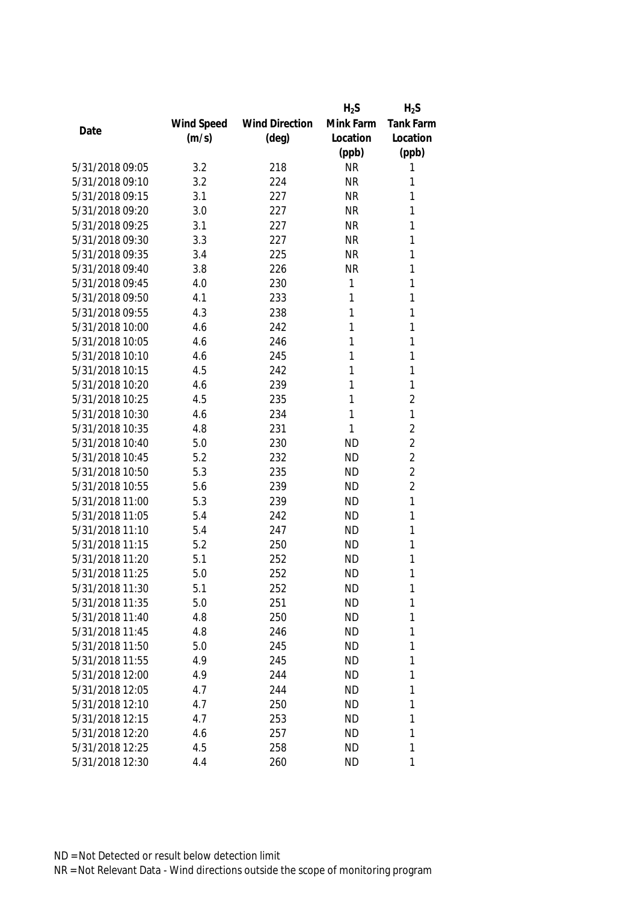|                 |            |                       | $H_2S$    | $H_2S$         |
|-----------------|------------|-----------------------|-----------|----------------|
|                 | Wind Speed | <b>Wind Direction</b> | Mink Farm | Tank Farm      |
| Date            | (m/s)      | $(\text{deg})$        | Location  | Location       |
|                 |            |                       | (ppb)     | (ppb)          |
| 5/31/2018 09:05 | 3.2        | 218                   | <b>NR</b> | 1              |
| 5/31/2018 09:10 | 3.2        | 224                   | <b>NR</b> | 1              |
| 5/31/2018 09:15 | 3.1        | 227                   | <b>NR</b> | 1              |
| 5/31/2018 09:20 | 3.0        | 227                   | <b>NR</b> | 1              |
| 5/31/2018 09:25 | 3.1        | 227                   | <b>NR</b> | 1              |
| 5/31/2018 09:30 | 3.3        | 227                   | <b>NR</b> | 1              |
| 5/31/2018 09:35 | 3.4        | 225                   | <b>NR</b> | 1              |
| 5/31/2018 09:40 | 3.8        | 226                   | <b>NR</b> | 1              |
| 5/31/2018 09:45 | 4.0        | 230                   | 1         | 1              |
| 5/31/2018 09:50 | 4.1        | 233                   | 1         | 1              |
| 5/31/2018 09:55 | 4.3        | 238                   | 1         | 1              |
| 5/31/2018 10:00 | 4.6        | 242                   | 1         | 1              |
| 5/31/2018 10:05 | 4.6        | 246                   | 1         | 1              |
| 5/31/2018 10:10 | 4.6        | 245                   | 1         | 1              |
| 5/31/2018 10:15 | 4.5        | 242                   | 1         | 1              |
| 5/31/2018 10:20 | 4.6        | 239                   | 1         | 1              |
| 5/31/2018 10:25 | 4.5        | 235                   | 1         | $\overline{2}$ |
| 5/31/2018 10:30 | 4.6        | 234                   | 1         | 1              |
| 5/31/2018 10:35 | 4.8        | 231                   | 1         | $\sqrt{2}$     |
| 5/31/2018 10:40 | 5.0        | 230                   | <b>ND</b> | $\overline{2}$ |
| 5/31/2018 10:45 | 5.2        | 232                   | <b>ND</b> | $\overline{2}$ |
| 5/31/2018 10:50 | 5.3        | 235                   | <b>ND</b> | $\overline{2}$ |
| 5/31/2018 10:55 | 5.6        | 239                   | <b>ND</b> | $\overline{2}$ |
| 5/31/2018 11:00 | 5.3        | 239                   | <b>ND</b> | 1              |
| 5/31/2018 11:05 | 5.4        | 242                   | <b>ND</b> | 1              |
| 5/31/2018 11:10 | 5.4        | 247                   | <b>ND</b> | 1              |
| 5/31/2018 11:15 | 5.2        | 250                   | <b>ND</b> | 1              |
| 5/31/2018 11:20 | 5.1        | 252                   | <b>ND</b> | 1              |
| 5/31/2018 11:25 | 5.0        | 252                   | <b>ND</b> | 1              |
| 5/31/2018 11:30 | 5.1        | 252                   | <b>ND</b> | 1              |
| 5/31/2018 11:35 | 5.0        | 251                   | <b>ND</b> | 1              |
| 5/31/2018 11:40 | 4.8        | 250                   | <b>ND</b> | 1              |
| 5/31/2018 11:45 | 4.8        | 246                   | <b>ND</b> | 1              |
| 5/31/2018 11:50 | 5.0        | 245                   | <b>ND</b> | 1              |
| 5/31/2018 11:55 | 4.9        | 245                   | <b>ND</b> | 1              |
| 5/31/2018 12:00 | 4.9        | 244                   | <b>ND</b> | 1              |
| 5/31/2018 12:05 | 4.7        | 244                   | <b>ND</b> | 1              |
| 5/31/2018 12:10 | 4.7        | 250                   | <b>ND</b> | 1              |
| 5/31/2018 12:15 | 4.7        | 253                   | <b>ND</b> | 1              |
| 5/31/2018 12:20 | 4.6        | 257                   | <b>ND</b> | 1              |
| 5/31/2018 12:25 | 4.5        | 258                   | <b>ND</b> | 1              |
| 5/31/2018 12:30 | 4.4        | 260                   | <b>ND</b> | 1              |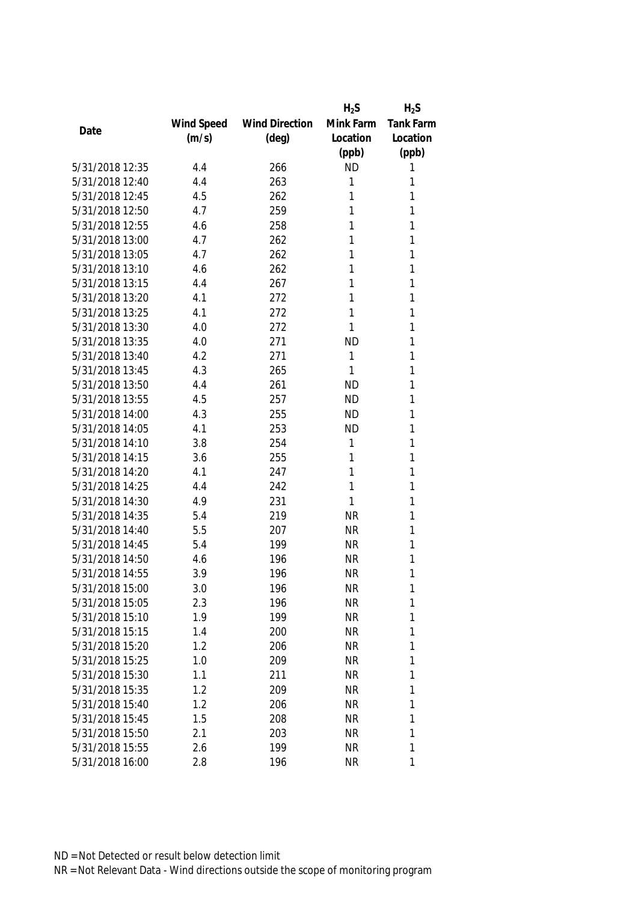|                 |            |                       | $H_2S$    | $H_2S$           |
|-----------------|------------|-----------------------|-----------|------------------|
|                 | Wind Speed | <b>Wind Direction</b> | Mink Farm | <b>Tank Farm</b> |
| Date            | (m/s)      | $(\text{deg})$        | Location  | Location         |
|                 |            |                       | (ppb)     | (ppb)            |
| 5/31/2018 12:35 | 4.4        | 266                   | <b>ND</b> | 1                |
| 5/31/2018 12:40 | 4.4        | 263                   | 1         | 1                |
| 5/31/2018 12:45 | 4.5        | 262                   | 1         | 1                |
| 5/31/2018 12:50 | 4.7        | 259                   | 1         | 1                |
| 5/31/2018 12:55 | 4.6        | 258                   | 1         | 1                |
| 5/31/2018 13:00 | 4.7        | 262                   | 1         | 1                |
| 5/31/2018 13:05 | 4.7        | 262                   | 1         | 1                |
| 5/31/2018 13:10 | 4.6        | 262                   | 1         | 1                |
| 5/31/2018 13:15 | 4.4        | 267                   | 1         | 1                |
| 5/31/2018 13:20 | 4.1        | 272                   | 1         | 1                |
| 5/31/2018 13:25 | 4.1        | 272                   | 1         | 1                |
| 5/31/2018 13:30 | 4.0        | 272                   | 1         | 1                |
| 5/31/2018 13:35 | 4.0        | 271                   | <b>ND</b> | 1                |
| 5/31/2018 13:40 | 4.2        | 271                   | 1         | 1                |
| 5/31/2018 13:45 | 4.3        | 265                   | 1         | 1                |
| 5/31/2018 13:50 | 4.4        | 261                   | <b>ND</b> | 1                |
| 5/31/2018 13:55 | 4.5        | 257                   | <b>ND</b> | 1                |
| 5/31/2018 14:00 | 4.3        | 255                   | <b>ND</b> | 1                |
| 5/31/2018 14:05 | 4.1        | 253                   | <b>ND</b> | 1                |
| 5/31/2018 14:10 | 3.8        | 254                   | 1         | 1                |
| 5/31/2018 14:15 | 3.6        | 255                   | 1         | 1                |
| 5/31/2018 14:20 | 4.1        | 247                   | 1         | 1                |
| 5/31/2018 14:25 | 4.4        | 242                   | 1         | 1                |
| 5/31/2018 14:30 | 4.9        | 231                   | 1         | 1                |
| 5/31/2018 14:35 | 5.4        | 219                   | <b>NR</b> | 1                |
| 5/31/2018 14:40 | 5.5        | 207                   | <b>NR</b> | 1                |
| 5/31/2018 14:45 | 5.4        | 199                   | <b>NR</b> | 1                |
| 5/31/2018 14:50 | 4.6        | 196                   | <b>NR</b> | 1                |
| 5/31/2018 14:55 | 3.9        | 196                   | <b>NR</b> | 1                |
| 5/31/2018 15:00 | 3.0        | 196                   | <b>NR</b> | 1                |
| 5/31/2018 15:05 | 2.3        | 196                   | <b>NR</b> | 1                |
| 5/31/2018 15:10 | 1.9        | 199                   | <b>NR</b> | 1                |
| 5/31/2018 15:15 | 1.4        | 200                   | <b>NR</b> | 1                |
| 5/31/2018 15:20 | 1.2        | 206                   | NR        | 1                |
| 5/31/2018 15:25 | 1.0        | 209                   | <b>NR</b> | 1                |
| 5/31/2018 15:30 | 1.1        | 211                   | <b>NR</b> | 1                |
| 5/31/2018 15:35 | 1.2        | 209                   | <b>NR</b> | 1                |
| 5/31/2018 15:40 | 1.2        | 206                   | <b>NR</b> | 1                |
| 5/31/2018 15:45 | 1.5        | 208                   | <b>NR</b> | 1                |
| 5/31/2018 15:50 | 2.1        | 203                   | <b>NR</b> | 1                |
| 5/31/2018 15:55 | 2.6        | 199                   | <b>NR</b> | 1                |
| 5/31/2018 16:00 | 2.8        | 196                   | <b>NR</b> | 1                |
|                 |            |                       |           |                  |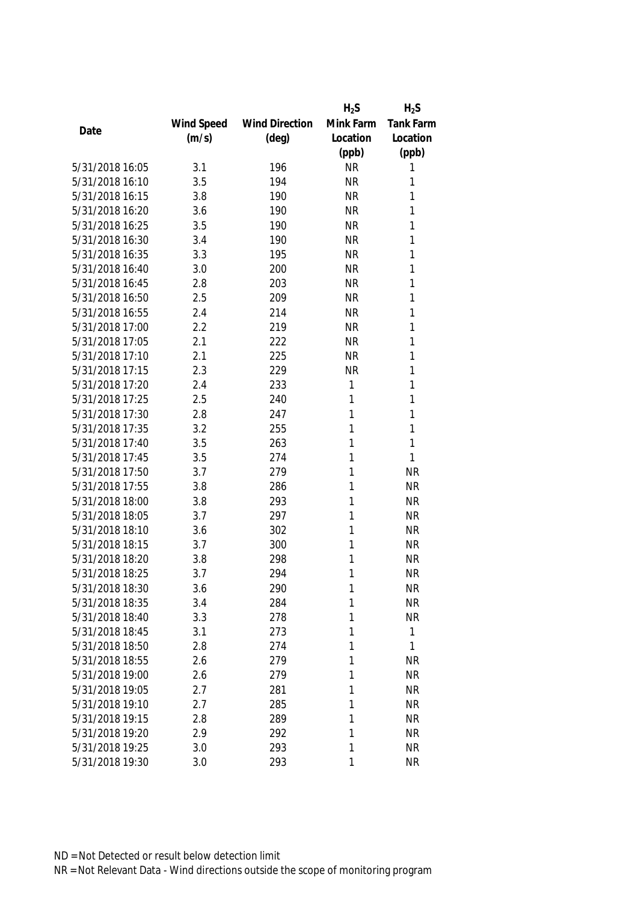|                 |            |                       | $H_2S$    | $H_2S$       |
|-----------------|------------|-----------------------|-----------|--------------|
|                 | Wind Speed | <b>Wind Direction</b> | Mink Farm | Tank Farm    |
| Date            | (m/s)      | $(\text{deg})$        | Location  | Location     |
|                 |            |                       | (ppb)     | (ppb)        |
| 5/31/2018 16:05 | 3.1        | 196                   | <b>NR</b> | 1            |
| 5/31/2018 16:10 | 3.5        | 194                   | <b>NR</b> | 1            |
| 5/31/2018 16:15 | 3.8        | 190                   | <b>NR</b> | 1            |
| 5/31/2018 16:20 | 3.6        | 190                   | <b>NR</b> | 1            |
| 5/31/2018 16:25 | 3.5        | 190                   | <b>NR</b> | 1            |
| 5/31/2018 16:30 | 3.4        | 190                   | <b>NR</b> | 1            |
| 5/31/2018 16:35 | 3.3        | 195                   | <b>NR</b> | 1            |
| 5/31/2018 16:40 | 3.0        | 200                   | <b>NR</b> | 1            |
| 5/31/2018 16:45 | 2.8        | 203                   | <b>NR</b> | 1            |
| 5/31/2018 16:50 | 2.5        | 209                   | <b>NR</b> | 1            |
| 5/31/2018 16:55 | 2.4        | 214                   | <b>NR</b> | 1            |
| 5/31/2018 17:00 | 2.2        | 219                   | <b>NR</b> | 1            |
| 5/31/2018 17:05 | 2.1        | 222                   | <b>NR</b> | 1            |
| 5/31/2018 17:10 | 2.1        | 225                   | <b>NR</b> | 1            |
| 5/31/2018 17:15 | 2.3        | 229                   | <b>NR</b> | 1            |
| 5/31/2018 17:20 | 2.4        | 233                   | 1         | 1            |
| 5/31/2018 17:25 | 2.5        | 240                   | 1         | 1            |
| 5/31/2018 17:30 | 2.8        | 247                   | 1         | 1            |
| 5/31/2018 17:35 | 3.2        | 255                   | 1         | 1            |
| 5/31/2018 17:40 | 3.5        | 263                   | 1         | 1            |
| 5/31/2018 17:45 | 3.5        | 274                   | 1         | 1            |
| 5/31/2018 17:50 | 3.7        | 279                   | 1         | <b>NR</b>    |
| 5/31/2018 17:55 | 3.8        | 286                   | 1         | <b>NR</b>    |
| 5/31/2018 18:00 | 3.8        | 293                   | 1         | <b>NR</b>    |
| 5/31/2018 18:05 | 3.7        | 297                   | 1         | <b>NR</b>    |
| 5/31/2018 18:10 | 3.6        | 302                   | 1         | <b>NR</b>    |
| 5/31/2018 18:15 | 3.7        | 300                   | 1         | <b>NR</b>    |
| 5/31/2018 18:20 | 3.8        | 298                   | 1         | <b>NR</b>    |
| 5/31/2018 18:25 | 3.7        | 294                   | 1         | <b>NR</b>    |
| 5/31/2018 18:30 | 3.6        | 290                   | 1         | <b>NR</b>    |
| 5/31/2018 18:35 | 3.4        | 284                   | 1         | <b>NR</b>    |
| 5/31/2018 18:40 | 3.3        | 278                   | 1         | <b>NR</b>    |
| 5/31/2018 18:45 | 3.1        | 273                   | 1         | $\mathbf{1}$ |
| 5/31/2018 18:50 | 2.8        | 274                   | 1         | 1            |
| 5/31/2018 18:55 | 2.6        | 279                   | 1         | <b>NR</b>    |
| 5/31/2018 19:00 | 2.6        | 279                   | 1         | <b>NR</b>    |
| 5/31/2018 19:05 | 2.7        | 281                   | 1         | <b>NR</b>    |
| 5/31/2018 19:10 | 2.7        | 285                   | 1         | <b>NR</b>    |
| 5/31/2018 19:15 | 2.8        | 289                   | 1         | <b>NR</b>    |
| 5/31/2018 19:20 | 2.9        | 292                   | 1         | <b>NR</b>    |
| 5/31/2018 19:25 | 3.0        | 293                   | 1         | <b>NR</b>    |
| 5/31/2018 19:30 | 3.0        | 293                   | 1         | <b>NR</b>    |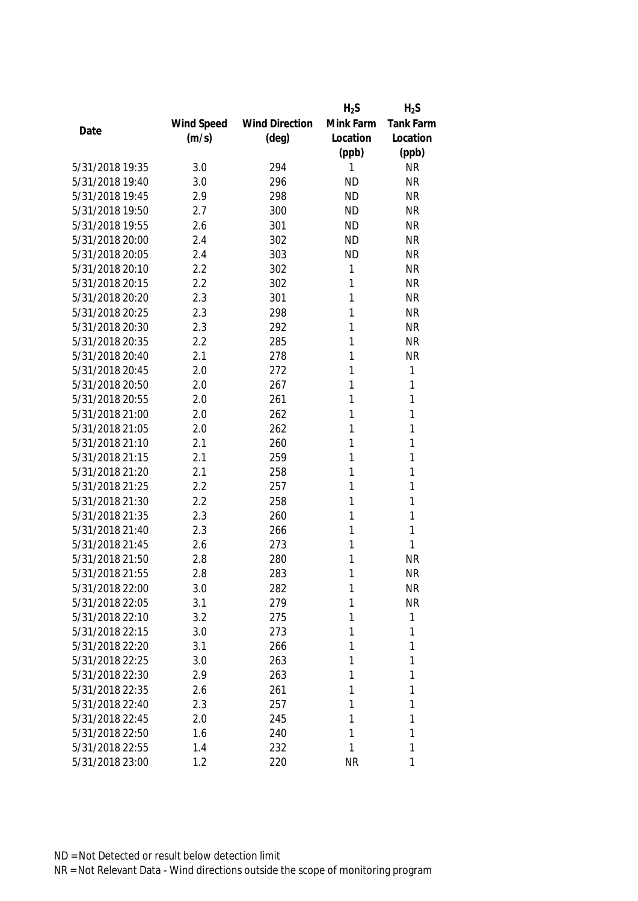|                 |            |                       | $H_2S$    | $H_2S$           |
|-----------------|------------|-----------------------|-----------|------------------|
|                 | Wind Speed | <b>Wind Direction</b> | Mink Farm | <b>Tank Farm</b> |
| Date            | (m/s)      | $(\text{deg})$        | Location  | Location         |
|                 |            |                       | (ppb)     | (ppb)            |
| 5/31/2018 19:35 | 3.0        | 294                   | 1         | <b>NR</b>        |
| 5/31/2018 19:40 | 3.0        | 296                   | <b>ND</b> | <b>NR</b>        |
| 5/31/2018 19:45 | 2.9        | 298                   | <b>ND</b> | <b>NR</b>        |
| 5/31/2018 19:50 | 2.7        | 300                   | <b>ND</b> | <b>NR</b>        |
| 5/31/2018 19:55 | 2.6        | 301                   | <b>ND</b> | <b>NR</b>        |
| 5/31/2018 20:00 | 2.4        | 302                   | <b>ND</b> | <b>NR</b>        |
| 5/31/2018 20:05 | 2.4        | 303                   | <b>ND</b> | <b>NR</b>        |
| 5/31/2018 20:10 | 2.2        | 302                   | 1         | <b>NR</b>        |
| 5/31/2018 20:15 | 2.2        | 302                   | 1         | <b>NR</b>        |
| 5/31/2018 20:20 | 2.3        | 301                   | 1         | <b>NR</b>        |
| 5/31/2018 20:25 | 2.3        | 298                   | 1         | <b>NR</b>        |
| 5/31/2018 20:30 | 2.3        | 292                   | 1         | <b>NR</b>        |
| 5/31/2018 20:35 | 2.2        | 285                   | 1         | <b>NR</b>        |
| 5/31/2018 20:40 | 2.1        | 278                   | 1         | <b>NR</b>        |
| 5/31/2018 20:45 | 2.0        | 272                   | 1         | $\mathbf{1}$     |
| 5/31/2018 20:50 | 2.0        | 267                   | 1         | 1                |
| 5/31/2018 20:55 | 2.0        | 261                   | 1         | 1                |
| 5/31/2018 21:00 | 2.0        | 262                   | 1         | 1                |
| 5/31/2018 21:05 | 2.0        | 262                   | 1         | 1                |
| 5/31/2018 21:10 | 2.1        | 260                   | 1         | 1                |
| 5/31/2018 21:15 | 2.1        | 259                   | 1         | 1                |
| 5/31/2018 21:20 | 2.1        | 258                   | 1         | 1                |
| 5/31/2018 21:25 | 2.2        | 257                   | 1         | 1                |
| 5/31/2018 21:30 | 2.2        | 258                   | 1         | 1                |
| 5/31/2018 21:35 | 2.3        | 260                   | 1         | 1                |
| 5/31/2018 21:40 | 2.3        | 266                   | 1         | 1                |
| 5/31/2018 21:45 | 2.6        | 273                   | 1         | 1                |
| 5/31/2018 21:50 | 2.8        | 280                   | 1         | <b>NR</b>        |
| 5/31/2018 21:55 | 2.8        | 283                   | 1         | <b>NR</b>        |
| 5/31/2018 22:00 | 3.0        | 282                   | 1         | <b>NR</b>        |
| 5/31/2018 22:05 | 3.1        | 279                   | 1         | <b>NR</b>        |
| 5/31/2018 22:10 | 3.2        | 275                   | 1         | 1                |
| 5/31/2018 22:15 | 3.0        | 273                   | 1         | 1                |
| 5/31/2018 22:20 | 3.1        | 266                   | 1         | 1                |
| 5/31/2018 22:25 | 3.0        | 263                   | 1         | 1                |
| 5/31/2018 22:30 | 2.9        | 263                   | 1         | 1                |
| 5/31/2018 22:35 | 2.6        | 261                   | 1         | 1                |
| 5/31/2018 22:40 | 2.3        | 257                   | 1         | 1                |
| 5/31/2018 22:45 | 2.0        | 245                   | 1         | 1                |
| 5/31/2018 22:50 | 1.6        | 240                   | 1         | 1                |
| 5/31/2018 22:55 | 1.4        | 232                   | 1         | 1                |
| 5/31/2018 23:00 | 1.2        | 220                   | <b>NR</b> | 1                |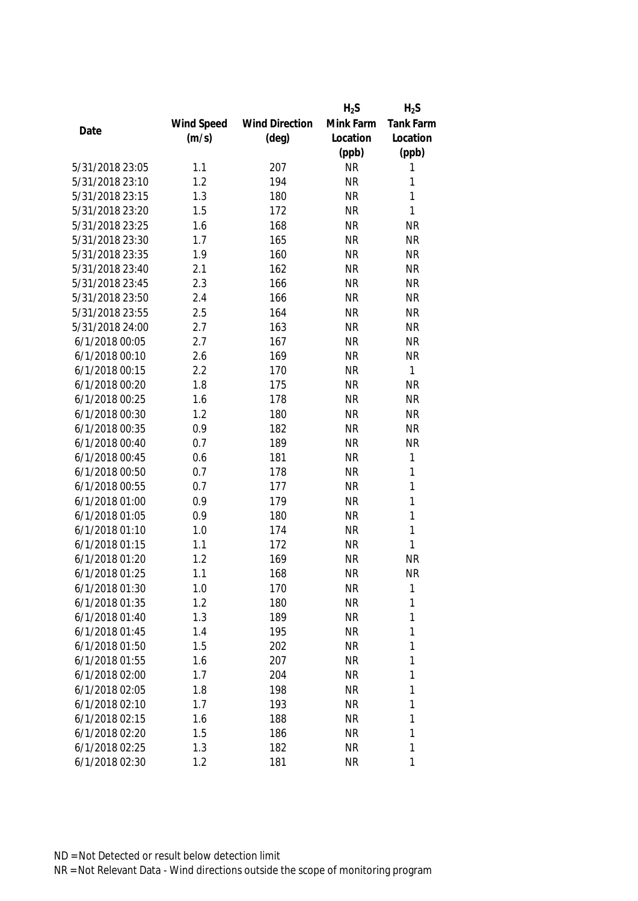|                 |            |                       | $H_2S$    | $H_2S$           |
|-----------------|------------|-----------------------|-----------|------------------|
|                 | Wind Speed | <b>Wind Direction</b> | Mink Farm | <b>Tank Farm</b> |
| Date            | (m/s)      | $(\text{deg})$        | Location  | Location         |
|                 |            |                       | (ppb)     | (ppb)            |
| 5/31/2018 23:05 | 1.1        | 207                   | <b>NR</b> | 1                |
| 5/31/2018 23:10 | 1.2        | 194                   | <b>NR</b> | 1                |
| 5/31/2018 23:15 | 1.3        | 180                   | <b>NR</b> | 1                |
| 5/31/2018 23:20 | 1.5        | 172                   | <b>NR</b> | $\mathbf{1}$     |
| 5/31/2018 23:25 | 1.6        | 168                   | <b>NR</b> | <b>NR</b>        |
| 5/31/2018 23:30 | 1.7        | 165                   | <b>NR</b> | <b>NR</b>        |
| 5/31/2018 23:35 | 1.9        | 160                   | <b>NR</b> | <b>NR</b>        |
| 5/31/2018 23:40 | 2.1        | 162                   | <b>NR</b> | <b>NR</b>        |
| 5/31/2018 23:45 | 2.3        | 166                   | <b>NR</b> | <b>NR</b>        |
| 5/31/2018 23:50 | 2.4        | 166                   | <b>NR</b> | <b>NR</b>        |
| 5/31/2018 23:55 | 2.5        | 164                   | <b>NR</b> | <b>NR</b>        |
| 5/31/2018 24:00 | 2.7        | 163                   | <b>NR</b> | <b>NR</b>        |
| 6/1/2018 00:05  | 2.7        | 167                   | <b>NR</b> | <b>NR</b>        |
| 6/1/2018 00:10  | 2.6        | 169                   | <b>NR</b> | <b>NR</b>        |
| 6/1/2018 00:15  | 2.2        | 170                   | <b>NR</b> | $\mathbf{1}$     |
| 6/1/2018 00:20  | 1.8        | 175                   | <b>NR</b> | <b>NR</b>        |
| 6/1/2018 00:25  | 1.6        | 178                   | <b>NR</b> | <b>NR</b>        |
| 6/1/2018 00:30  | 1.2        | 180                   | <b>NR</b> | <b>NR</b>        |
| 6/1/2018 00:35  | 0.9        | 182                   | <b>NR</b> | <b>NR</b>        |
| 6/1/2018 00:40  | 0.7        | 189                   | <b>NR</b> | <b>NR</b>        |
| 6/1/2018 00:45  | 0.6        | 181                   | <b>NR</b> | $\mathbf{1}$     |
| 6/1/2018 00:50  | 0.7        | 178                   | <b>NR</b> | 1                |
| 6/1/2018 00:55  | 0.7        | 177                   | <b>NR</b> | $\mathbf{1}$     |
| 6/1/2018 01:00  | 0.9        | 179                   | <b>NR</b> | $\mathbf{1}$     |
| 6/1/2018 01:05  | 0.9        | 180                   | <b>NR</b> | $\mathbf{1}$     |
| 6/1/2018 01:10  | 1.0        | 174                   | <b>NR</b> | $\mathbf{1}$     |
| 6/1/2018 01:15  | 1.1        | 172                   | <b>NR</b> | $\mathbf{1}$     |
| 6/1/2018 01:20  | 1.2        | 169                   | <b>NR</b> | <b>NR</b>        |
| 6/1/2018 01:25  | 1.1        | 168                   | <b>NR</b> | <b>NR</b>        |
| 6/1/2018 01:30  | 1.0        | 170                   | <b>NR</b> | 1                |
| 6/1/2018 01:35  | 1.2        | 180                   | <b>NR</b> | 1                |
| 6/1/2018 01:40  | 1.3        | 189                   | <b>NR</b> | 1                |
| 6/1/2018 01:45  | 1.4        | 195                   | <b>NR</b> | 1                |
| 6/1/2018 01:50  | 1.5        | 202                   | <b>NR</b> | 1                |
| 6/1/2018 01:55  | 1.6        | 207                   | <b>NR</b> | 1                |
| 6/1/2018 02:00  | 1.7        | 204                   | <b>NR</b> | 1                |
| 6/1/2018 02:05  | 1.8        | 198                   | <b>NR</b> | 1                |
| 6/1/2018 02:10  | 1.7        | 193                   | <b>NR</b> | 1                |
| 6/1/2018 02:15  | 1.6        | 188                   | <b>NR</b> | 1                |
| 6/1/2018 02:20  | 1.5        | 186                   | <b>NR</b> | 1                |
| 6/1/2018 02:25  | 1.3        | 182                   | <b>NR</b> | 1                |
| 6/1/2018 02:30  | 1.2        | 181                   | <b>NR</b> | 1                |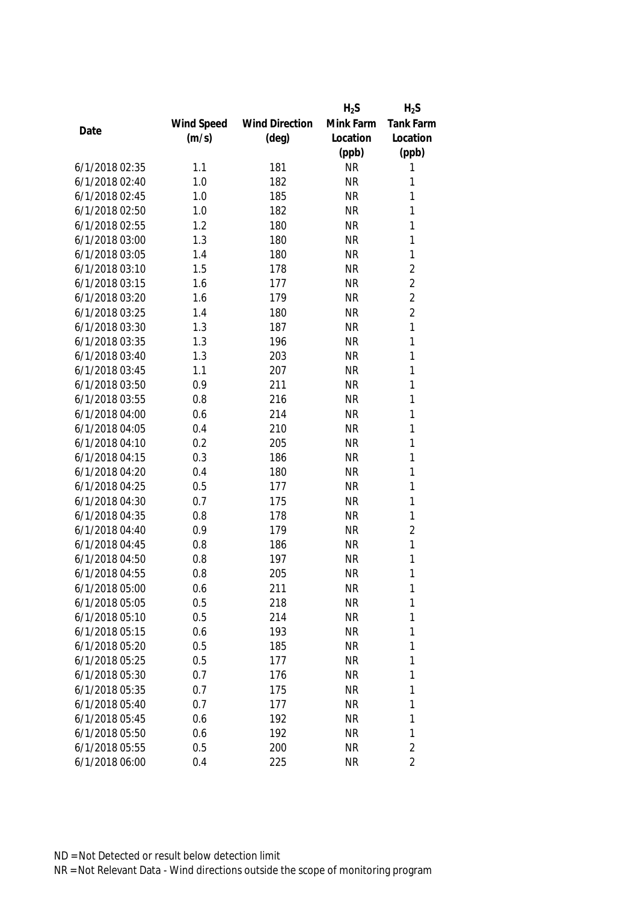|                |            |                       | $H_2S$    | $H_2S$           |
|----------------|------------|-----------------------|-----------|------------------|
|                | Wind Speed | <b>Wind Direction</b> | Mink Farm | <b>Tank Farm</b> |
| Date           | (m/s)      | $(\text{deg})$        | Location  | Location         |
|                |            |                       | (ppb)     | (ppb)            |
| 6/1/2018 02:35 | 1.1        | 181                   | <b>NR</b> | 1                |
| 6/1/2018 02:40 | 1.0        | 182                   | <b>NR</b> | 1                |
| 6/1/2018 02:45 | 1.0        | 185                   | <b>NR</b> | 1                |
| 6/1/2018 02:50 | 1.0        | 182                   | <b>NR</b> | $\mathbf{1}$     |
| 6/1/2018 02:55 | 1.2        | 180                   | <b>NR</b> | 1                |
| 6/1/2018 03:00 | 1.3        | 180                   | <b>NR</b> | $\mathbf{1}$     |
| 6/1/2018 03:05 | 1.4        | 180                   | <b>NR</b> | $\mathbf{1}$     |
| 6/1/2018 03:10 | 1.5        | 178                   | <b>NR</b> | $\overline{2}$   |
| 6/1/2018 03:15 | 1.6        | 177                   | <b>NR</b> | $\overline{2}$   |
| 6/1/2018 03:20 | 1.6        | 179                   | <b>NR</b> | $\overline{2}$   |
| 6/1/2018 03:25 | 1.4        | 180                   | <b>NR</b> | $\overline{2}$   |
| 6/1/2018 03:30 | 1.3        | 187                   | <b>NR</b> | $\mathbf{1}$     |
| 6/1/2018 03:35 | 1.3        | 196                   | <b>NR</b> | 1                |
| 6/1/2018 03:40 | 1.3        | 203                   | <b>NR</b> | 1                |
| 6/1/2018 03:45 | 1.1        | 207                   | <b>NR</b> | 1                |
| 6/1/2018 03:50 | 0.9        | 211                   | <b>NR</b> | $\mathbf{1}$     |
| 6/1/2018 03:55 | 0.8        | 216                   | <b>NR</b> | 1                |
| 6/1/2018 04:00 | 0.6        | 214                   | <b>NR</b> | 1                |
| 6/1/2018 04:05 | 0.4        | 210                   | <b>NR</b> | 1                |
| 6/1/2018 04:10 | 0.2        | 205                   | <b>NR</b> | $\mathbf{1}$     |
| 6/1/2018 04:15 | 0.3        | 186                   | <b>NR</b> | 1                |
| 6/1/2018 04:20 | 0.4        | 180                   | <b>NR</b> | 1                |
| 6/1/2018 04:25 | 0.5        | 177                   | <b>NR</b> | 1                |
| 6/1/2018 04:30 | 0.7        | 175                   | <b>NR</b> | $\mathbf{1}$     |
| 6/1/2018 04:35 | 0.8        | 178                   | <b>NR</b> | 1                |
| 6/1/2018 04:40 | 0.9        | 179                   | <b>NR</b> | $\overline{2}$   |
| 6/1/2018 04:45 | 0.8        | 186                   | <b>NR</b> | $\mathbf{1}$     |
| 6/1/2018 04:50 | 0.8        | 197                   | <b>NR</b> | 1                |
| 6/1/2018 04:55 | 0.8        | 205                   | <b>NR</b> | 1                |
| 6/1/2018 05:00 | 0.6        | 211                   | <b>NR</b> | 1                |
| 6/1/2018 05:05 | 0.5        | 218                   | <b>NR</b> | 1                |
| 6/1/2018 05:10 | 0.5        | 214                   | <b>NR</b> | 1                |
| 6/1/2018 05:15 | 0.6        | 193                   | <b>NR</b> | 1                |
| 6/1/2018 05:20 | 0.5        | 185                   | <b>NR</b> | 1                |
| 6/1/2018 05:25 | 0.5        | 177                   | <b>NR</b> | 1                |
| 6/1/2018 05:30 | 0.7        | 176                   | <b>NR</b> | 1                |
| 6/1/2018 05:35 | 0.7        | 175                   | <b>NR</b> | 1                |
| 6/1/2018 05:40 | 0.7        | 177                   | <b>NR</b> | 1                |
| 6/1/2018 05:45 | 0.6        | 192                   | <b>NR</b> | 1                |
| 6/1/2018 05:50 | 0.6        | 192                   | <b>NR</b> | 1                |
| 6/1/2018 05:55 | 0.5        | 200                   | <b>NR</b> | $\overline{2}$   |
| 6/1/2018 06:00 | 0.4        | 225                   | <b>NR</b> | $\overline{2}$   |
|                |            |                       |           |                  |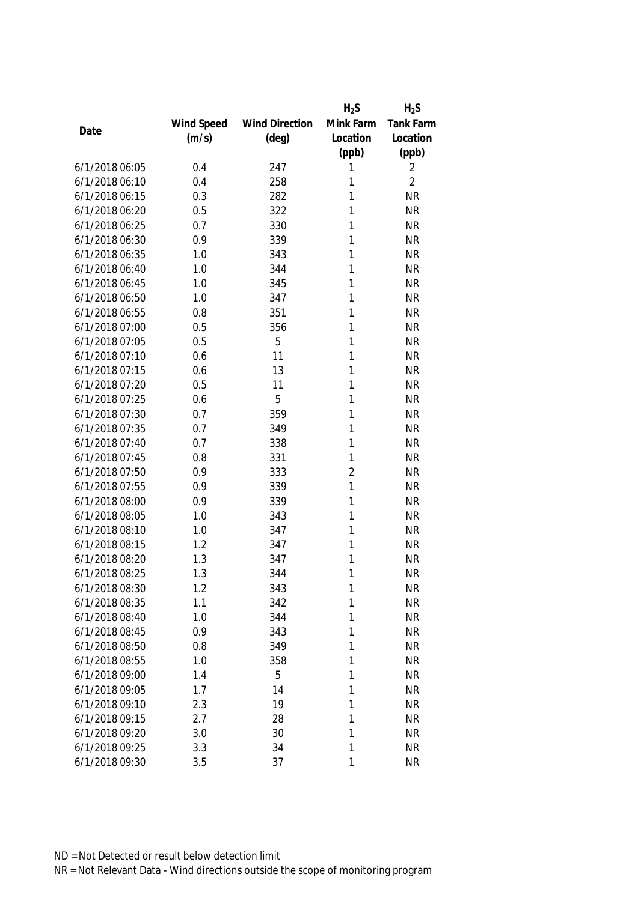|                |            |                       | $H_2S$         | $H_2S$           |
|----------------|------------|-----------------------|----------------|------------------|
|                | Wind Speed | <b>Wind Direction</b> | Mink Farm      | <b>Tank Farm</b> |
| Date           | (m/s)      | $(\text{deg})$        | Location       | Location         |
|                |            |                       | (ppb)          | (ppb)            |
| 6/1/2018 06:05 | 0.4        | 247                   | 1              | 2                |
| 6/1/2018 06:10 | 0.4        | 258                   | 1              | $\overline{2}$   |
| 6/1/2018 06:15 | 0.3        | 282                   | 1              | <b>NR</b>        |
| 6/1/2018 06:20 | 0.5        | 322                   | 1              | <b>NR</b>        |
| 6/1/2018 06:25 | 0.7        | 330                   | 1              | <b>NR</b>        |
| 6/1/2018 06:30 | 0.9        | 339                   | 1              | <b>NR</b>        |
| 6/1/2018 06:35 | 1.0        | 343                   | 1              | <b>NR</b>        |
| 6/1/2018 06:40 | 1.0        | 344                   | 1              | <b>NR</b>        |
| 6/1/2018 06:45 | 1.0        | 345                   | 1              | <b>NR</b>        |
| 6/1/2018 06:50 | 1.0        | 347                   | 1              | <b>NR</b>        |
| 6/1/2018 06:55 | 0.8        | 351                   | 1              | <b>NR</b>        |
| 6/1/2018 07:00 | 0.5        | 356                   | 1              | <b>NR</b>        |
| 6/1/2018 07:05 | 0.5        | 5                     | 1              | <b>NR</b>        |
| 6/1/2018 07:10 | 0.6        | 11                    | 1              | <b>NR</b>        |
| 6/1/2018 07:15 | 0.6        | 13                    | 1              | <b>NR</b>        |
| 6/1/2018 07:20 | 0.5        | 11                    | 1              | <b>NR</b>        |
| 6/1/2018 07:25 | 0.6        | 5                     | 1              | <b>NR</b>        |
| 6/1/2018 07:30 | 0.7        | 359                   | 1              | <b>NR</b>        |
| 6/1/2018 07:35 | 0.7        | 349                   | 1              | <b>NR</b>        |
| 6/1/2018 07:40 | 0.7        | 338                   | 1              | <b>NR</b>        |
| 6/1/2018 07:45 | 0.8        | 331                   | 1              | <b>NR</b>        |
| 6/1/2018 07:50 | 0.9        | 333                   | $\overline{2}$ | <b>NR</b>        |
| 6/1/2018 07:55 | 0.9        | 339                   | 1              | <b>NR</b>        |
| 6/1/2018 08:00 | 0.9        | 339                   | 1              | <b>NR</b>        |
| 6/1/2018 08:05 | 1.0        | 343                   | 1              | <b>NR</b>        |
| 6/1/2018 08:10 | 1.0        | 347                   | 1              | <b>NR</b>        |
| 6/1/2018 08:15 | 1.2        | 347                   | 1              | <b>NR</b>        |
| 6/1/2018 08:20 | 1.3        | 347                   | 1              | <b>NR</b>        |
| 6/1/2018 08:25 | 1.3        | 344                   | 1              | <b>NR</b>        |
| 6/1/2018 08:30 | 1.2        | 343                   | 1              | <b>NR</b>        |
| 6/1/2018 08:35 | 1.1        | 342                   | 1              | <b>NR</b>        |
| 6/1/2018 08:40 | 1.0        | 344                   | 1              | <b>NR</b>        |
| 6/1/2018 08:45 | 0.9        | 343                   | 1              | <b>NR</b>        |
| 6/1/2018 08:50 | 0.8        | 349                   | 1              | <b>NR</b>        |
| 6/1/2018 08:55 | 1.0        | 358                   | 1              | <b>NR</b>        |
| 6/1/2018 09:00 | 1.4        | 5                     | 1              | <b>NR</b>        |
| 6/1/2018 09:05 | 1.7        | 14                    | 1              | <b>NR</b>        |
| 6/1/2018 09:10 | 2.3        | 19                    | 1              | <b>NR</b>        |
| 6/1/2018 09:15 | 2.7        | 28                    | 1              | <b>NR</b>        |
| 6/1/2018 09:20 | 3.0        | 30                    | 1              | <b>NR</b>        |
| 6/1/2018 09:25 | 3.3        | 34                    | 1              | <b>NR</b>        |
| 6/1/2018 09:30 | 3.5        | 37                    | 1              | <b>NR</b>        |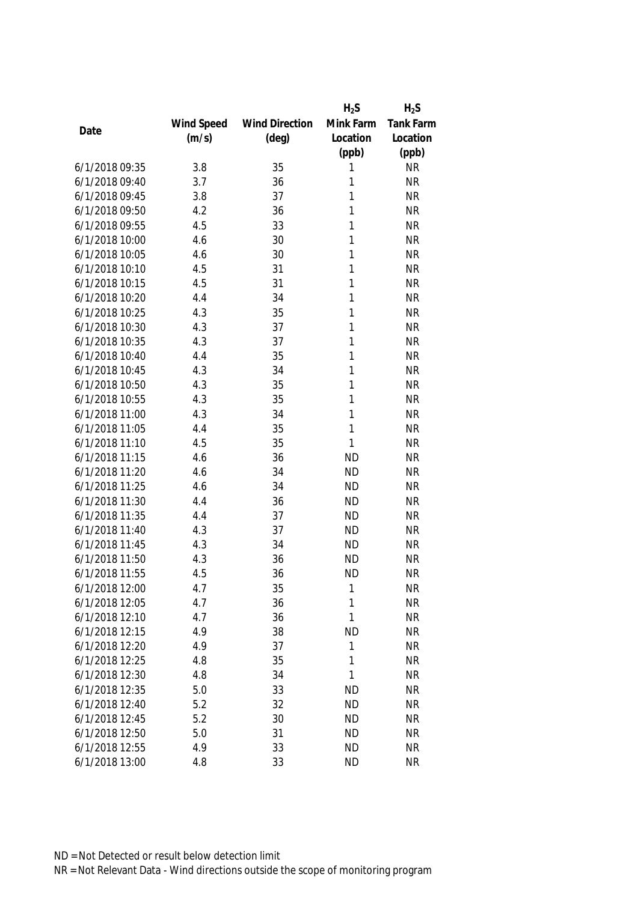|                |            |                       | $H_2S$    | $H_2S$           |
|----------------|------------|-----------------------|-----------|------------------|
|                | Wind Speed | <b>Wind Direction</b> | Mink Farm | <b>Tank Farm</b> |
| Date           | (m/s)      | $(\text{deg})$        | Location  | Location         |
|                |            |                       | (ppb)     | (ppb)            |
| 6/1/2018 09:35 | 3.8        | 35                    | 1         | <b>NR</b>        |
| 6/1/2018 09:40 | 3.7        | 36                    | 1         | <b>NR</b>        |
| 6/1/2018 09:45 | 3.8        | 37                    | 1         | <b>NR</b>        |
| 6/1/2018 09:50 | 4.2        | 36                    | 1         | <b>NR</b>        |
| 6/1/2018 09:55 | 4.5        | 33                    | 1         | <b>NR</b>        |
| 6/1/2018 10:00 | 4.6        | 30                    | 1         | <b>NR</b>        |
| 6/1/2018 10:05 | 4.6        | 30                    | 1         | <b>NR</b>        |
| 6/1/2018 10:10 | 4.5        | 31                    | 1         | <b>NR</b>        |
| 6/1/2018 10:15 | 4.5        | 31                    | 1         | <b>NR</b>        |
| 6/1/2018 10:20 | 4.4        | 34                    | 1         | <b>NR</b>        |
| 6/1/2018 10:25 | 4.3        | 35                    | 1         | <b>NR</b>        |
| 6/1/2018 10:30 | 4.3        | 37                    | 1         | <b>NR</b>        |
| 6/1/2018 10:35 | 4.3        | 37                    | 1         | <b>NR</b>        |
| 6/1/2018 10:40 | 4.4        | 35                    | 1         | <b>NR</b>        |
| 6/1/2018 10:45 | 4.3        | 34                    | 1         | <b>NR</b>        |
| 6/1/2018 10:50 | 4.3        | 35                    | 1         | <b>NR</b>        |
| 6/1/2018 10:55 | 4.3        | 35                    | 1         | <b>NR</b>        |
| 6/1/2018 11:00 | 4.3        | 34                    | 1         | <b>NR</b>        |
| 6/1/2018 11:05 | 4.4        | 35                    | 1         | <b>NR</b>        |
| 6/1/2018 11:10 | 4.5        | 35                    | 1         | <b>NR</b>        |
| 6/1/2018 11:15 | 4.6        | 36                    | <b>ND</b> | <b>NR</b>        |
| 6/1/2018 11:20 | 4.6        | 34                    | <b>ND</b> | <b>NR</b>        |
| 6/1/2018 11:25 | 4.6        | 34                    | <b>ND</b> | <b>NR</b>        |
| 6/1/2018 11:30 | 4.4        | 36                    | <b>ND</b> | <b>NR</b>        |
| 6/1/2018 11:35 | 4.4        | 37                    | <b>ND</b> | <b>NR</b>        |
| 6/1/2018 11:40 | 4.3        | 37                    | <b>ND</b> | <b>NR</b>        |
| 6/1/2018 11:45 | 4.3        | 34                    | <b>ND</b> | <b>NR</b>        |
| 6/1/2018 11:50 | 4.3        | 36                    | <b>ND</b> | <b>NR</b>        |
| 6/1/2018 11:55 | 4.5        | 36                    | <b>ND</b> | <b>NR</b>        |
| 6/1/2018 12:00 | 4.7        | 35                    | 1         | <b>NR</b>        |
| 6/1/2018 12:05 | 4.7        | 36                    | 1         | <b>NR</b>        |
| 6/1/2018 12:10 | 4.7        | 36                    | 1         | <b>NR</b>        |
| 6/1/2018 12:15 | 4.9        | 38                    | <b>ND</b> | <b>NR</b>        |
| 6/1/2018 12:20 | 4.9        | 37                    | 1         | <b>NR</b>        |
| 6/1/2018 12:25 | 4.8        | 35                    | 1         | <b>NR</b>        |
| 6/1/2018 12:30 | 4.8        | 34                    | 1         | <b>NR</b>        |
| 6/1/2018 12:35 | 5.0        | 33                    | <b>ND</b> | <b>NR</b>        |
| 6/1/2018 12:40 | 5.2        | 32                    | <b>ND</b> | <b>NR</b>        |
| 6/1/2018 12:45 | 5.2        | 30                    | <b>ND</b> | <b>NR</b>        |
| 6/1/2018 12:50 | 5.0        | 31                    | <b>ND</b> | <b>NR</b>        |
| 6/1/2018 12:55 | 4.9        | 33                    | <b>ND</b> | <b>NR</b>        |
| 6/1/2018 13:00 |            | 33                    |           |                  |
|                | 4.8        |                       | <b>ND</b> | <b>NR</b>        |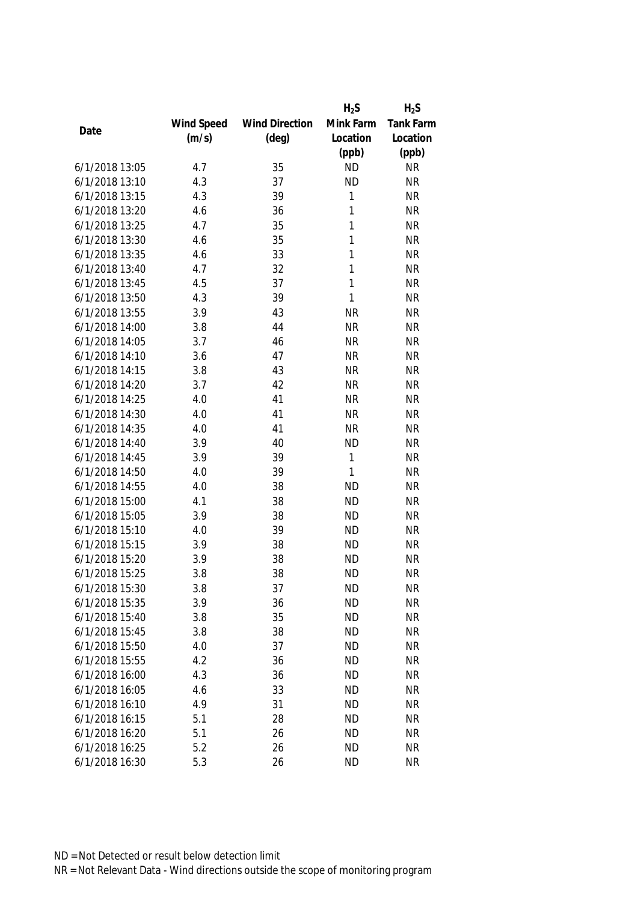|                |            |                       | $H_2S$       | $H_2S$           |
|----------------|------------|-----------------------|--------------|------------------|
|                | Wind Speed | <b>Wind Direction</b> | Mink Farm    | <b>Tank Farm</b> |
| Date           | (m/s)      | $(\text{deg})$        | Location     | Location         |
|                |            |                       | (ppb)        | (ppb)            |
| 6/1/2018 13:05 | 4.7        | 35                    | <b>ND</b>    | <b>NR</b>        |
| 6/1/2018 13:10 | 4.3        | 37                    | <b>ND</b>    | <b>NR</b>        |
| 6/1/2018 13:15 | 4.3        | 39                    | 1            | <b>NR</b>        |
| 6/1/2018 13:20 | 4.6        | 36                    | 1            | <b>NR</b>        |
| 6/1/2018 13:25 | 4.7        | 35                    | 1            | <b>NR</b>        |
| 6/1/2018 13:30 | 4.6        | 35                    | 1            | <b>NR</b>        |
| 6/1/2018 13:35 | 4.6        | 33                    | 1            | <b>NR</b>        |
| 6/1/2018 13:40 | 4.7        | 32                    | 1            | <b>NR</b>        |
| 6/1/2018 13:45 | 4.5        | 37                    | 1            | <b>NR</b>        |
| 6/1/2018 13:50 | 4.3        | 39                    | 1            | <b>NR</b>        |
| 6/1/2018 13:55 | 3.9        | 43                    | <b>NR</b>    | <b>NR</b>        |
| 6/1/2018 14:00 | 3.8        | 44                    | <b>NR</b>    | <b>NR</b>        |
| 6/1/2018 14:05 | 3.7        | 46                    | <b>NR</b>    | <b>NR</b>        |
| 6/1/2018 14:10 | 3.6        | 47                    | <b>NR</b>    | <b>NR</b>        |
| 6/1/2018 14:15 | 3.8        | 43                    | <b>NR</b>    | <b>NR</b>        |
| 6/1/2018 14:20 | 3.7        | 42                    | <b>NR</b>    | <b>NR</b>        |
| 6/1/2018 14:25 | 4.0        | 41                    | <b>NR</b>    | <b>NR</b>        |
| 6/1/2018 14:30 | 4.0        | 41                    | <b>NR</b>    | <b>NR</b>        |
| 6/1/2018 14:35 | 4.0        | 41                    | <b>NR</b>    | <b>NR</b>        |
| 6/1/2018 14:40 | 3.9        | 40                    | <b>ND</b>    | <b>NR</b>        |
| 6/1/2018 14:45 | 3.9        | 39                    | 1            | <b>NR</b>        |
| 6/1/2018 14:50 | 4.0        | 39                    | $\mathbf{1}$ | <b>NR</b>        |
| 6/1/2018 14:55 | 4.0        | 38                    | <b>ND</b>    | <b>NR</b>        |
| 6/1/2018 15:00 | 4.1        | 38                    | <b>ND</b>    | <b>NR</b>        |
| 6/1/2018 15:05 | 3.9        | 38                    | <b>ND</b>    | <b>NR</b>        |
| 6/1/2018 15:10 | 4.0        | 39                    | <b>ND</b>    | <b>NR</b>        |
| 6/1/2018 15:15 | 3.9        | 38                    | <b>ND</b>    | <b>NR</b>        |
| 6/1/2018 15:20 | 3.9        | 38                    | <b>ND</b>    | <b>NR</b>        |
| 6/1/2018 15:25 | 3.8        | 38                    | <b>ND</b>    | <b>NR</b>        |
| 6/1/2018 15:30 | 3.8        | 37                    | <b>ND</b>    | <b>NR</b>        |
| 6/1/2018 15:35 | 3.9        | 36                    | <b>ND</b>    | <b>NR</b>        |
| 6/1/2018 15:40 | 3.8        | 35                    | <b>ND</b>    | <b>NR</b>        |
| 6/1/2018 15:45 | 3.8        | 38                    | <b>ND</b>    | <b>NR</b>        |
| 6/1/2018 15:50 | 4.0        | 37                    | <b>ND</b>    | <b>NR</b>        |
| 6/1/2018 15:55 | 4.2        | 36                    | <b>ND</b>    | <b>NR</b>        |
| 6/1/2018 16:00 | 4.3        | 36                    | <b>ND</b>    | <b>NR</b>        |
| 6/1/2018 16:05 | 4.6        | 33                    | <b>ND</b>    | <b>NR</b>        |
| 6/1/2018 16:10 | 4.9        | 31                    | <b>ND</b>    | <b>NR</b>        |
| 6/1/2018 16:15 | 5.1        | 28                    | <b>ND</b>    | <b>NR</b>        |
| 6/1/2018 16:20 | 5.1        | 26                    | <b>ND</b>    | <b>NR</b>        |
| 6/1/2018 16:25 | 5.2        | 26                    | <b>ND</b>    | <b>NR</b>        |
| 6/1/2018 16:30 | 5.3        | 26                    | <b>ND</b>    | <b>NR</b>        |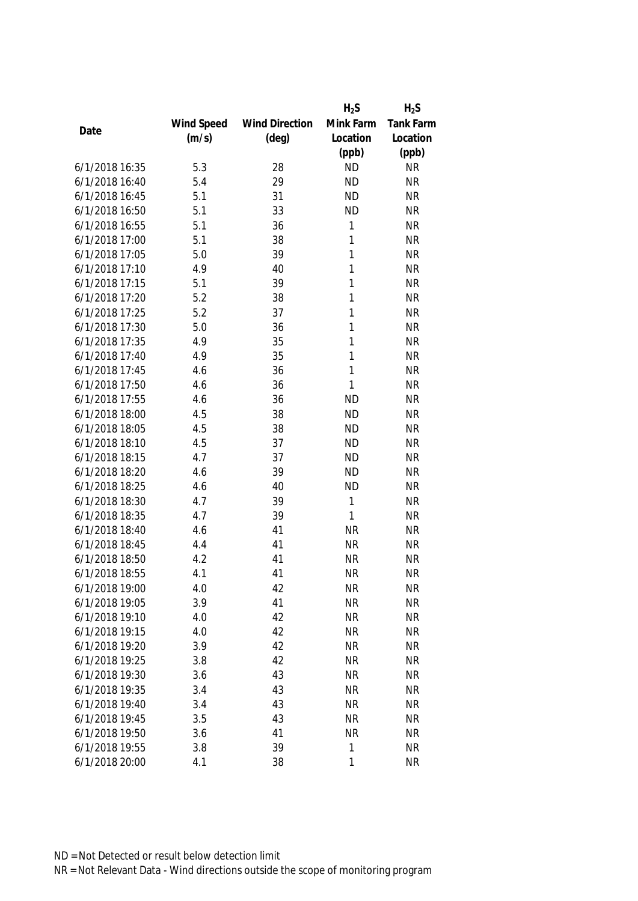|                |            |                       | $H_2S$    | $H_2S$           |
|----------------|------------|-----------------------|-----------|------------------|
|                | Wind Speed | <b>Wind Direction</b> | Mink Farm | <b>Tank Farm</b> |
| Date           | (m/s)      | $(\text{deg})$        | Location  | Location         |
|                |            |                       | (ppb)     | (ppb)            |
| 6/1/2018 16:35 | 5.3        | 28                    | <b>ND</b> | <b>NR</b>        |
| 6/1/2018 16:40 | 5.4        | 29                    | <b>ND</b> | <b>NR</b>        |
| 6/1/2018 16:45 | 5.1        | 31                    | <b>ND</b> | <b>NR</b>        |
| 6/1/2018 16:50 | 5.1        | 33                    | <b>ND</b> | <b>NR</b>        |
| 6/1/2018 16:55 | 5.1        | 36                    | 1         | <b>NR</b>        |
| 6/1/2018 17:00 | 5.1        | 38                    | 1         | <b>NR</b>        |
| 6/1/2018 17:05 | 5.0        | 39                    | 1         | <b>NR</b>        |
| 6/1/2018 17:10 | 4.9        | 40                    | 1         | <b>NR</b>        |
| 6/1/2018 17:15 | 5.1        | 39                    | 1         | <b>NR</b>        |
| 6/1/2018 17:20 | 5.2        | 38                    | 1         | <b>NR</b>        |
| 6/1/2018 17:25 | 5.2        | 37                    | 1         | <b>NR</b>        |
| 6/1/2018 17:30 | 5.0        | 36                    | 1         | <b>NR</b>        |
| 6/1/2018 17:35 | 4.9        | 35                    | 1         | <b>NR</b>        |
| 6/1/2018 17:40 | 4.9        | 35                    | 1         | <b>NR</b>        |
| 6/1/2018 17:45 | 4.6        | 36                    | 1         | <b>NR</b>        |
| 6/1/2018 17:50 | 4.6        | 36                    | 1         | <b>NR</b>        |
| 6/1/2018 17:55 | 4.6        | 36                    | <b>ND</b> | <b>NR</b>        |
| 6/1/2018 18:00 | 4.5        | 38                    | <b>ND</b> | <b>NR</b>        |
| 6/1/2018 18:05 | 4.5        | 38                    | <b>ND</b> | <b>NR</b>        |
| 6/1/2018 18:10 | 4.5        | 37                    | <b>ND</b> | <b>NR</b>        |
| 6/1/2018 18:15 | 4.7        | 37                    | <b>ND</b> | <b>NR</b>        |
| 6/1/2018 18:20 | 4.6        | 39                    | <b>ND</b> | <b>NR</b>        |
| 6/1/2018 18:25 | 4.6        | 40                    | <b>ND</b> | <b>NR</b>        |
| 6/1/2018 18:30 | 4.7        | 39                    | 1         | <b>NR</b>        |
| 6/1/2018 18:35 | 4.7        | 39                    | 1         | <b>NR</b>        |
| 6/1/2018 18:40 | 4.6        | 41                    | <b>NR</b> | <b>NR</b>        |
| 6/1/2018 18:45 | 4.4        | 41                    | <b>NR</b> | <b>NR</b>        |
| 6/1/2018 18:50 | 4.2        | 41                    | <b>NR</b> | <b>NR</b>        |
| 6/1/2018 18:55 | 4.1        | 41                    | <b>NR</b> | <b>NR</b>        |
| 6/1/2018 19:00 | 4.0        | 42                    | <b>NR</b> | <b>NR</b>        |
| 6/1/2018 19:05 | 3.9        | 41                    | <b>NR</b> | <b>NR</b>        |
| 6/1/2018 19:10 | 4.0        | 42                    | <b>NR</b> | <b>NR</b>        |
| 6/1/2018 19:15 | 4.0        | 42                    | <b>NR</b> | <b>NR</b>        |
| 6/1/2018 19:20 | 3.9        | 42                    | <b>NR</b> | <b>NR</b>        |
| 6/1/2018 19:25 | 3.8        | 42                    | <b>NR</b> | <b>NR</b>        |
| 6/1/2018 19:30 | 3.6        | 43                    | <b>NR</b> | <b>NR</b>        |
| 6/1/2018 19:35 | 3.4        | 43                    | <b>NR</b> | <b>NR</b>        |
| 6/1/2018 19:40 | 3.4        | 43                    | <b>NR</b> | <b>NR</b>        |
| 6/1/2018 19:45 | 3.5        | 43                    | <b>NR</b> | <b>NR</b>        |
| 6/1/2018 19:50 | 3.6        | 41                    | <b>NR</b> | <b>NR</b>        |
| 6/1/2018 19:55 | 3.8        | 39                    | 1         | <b>NR</b>        |
| 6/1/2018 20:00 | 4.1        | 38                    | 1         | <b>NR</b>        |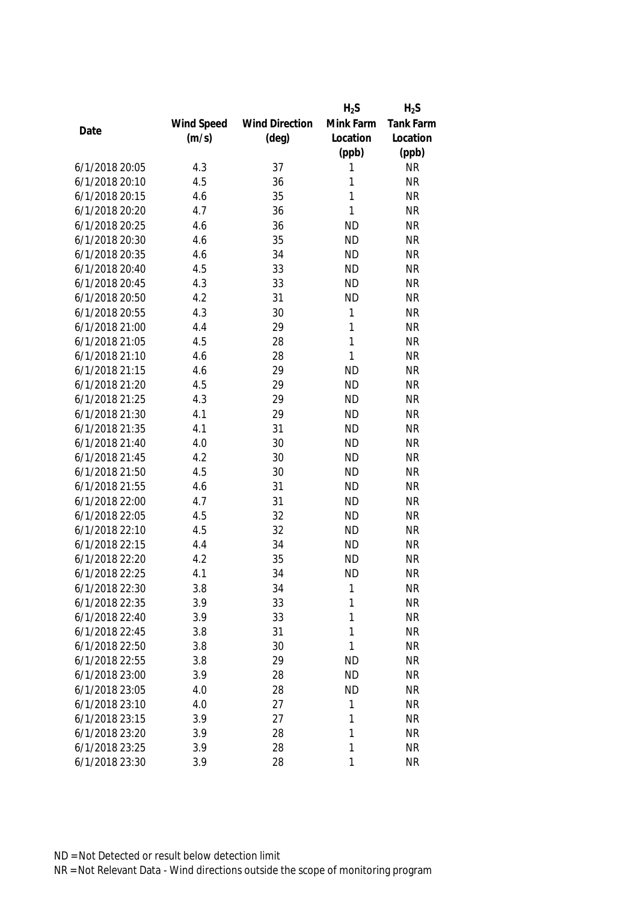|                |            |                       | $H_2S$    | $H_2S$           |
|----------------|------------|-----------------------|-----------|------------------|
|                | Wind Speed | <b>Wind Direction</b> | Mink Farm | <b>Tank Farm</b> |
| Date           | (m/s)      | $(\text{deg})$        | Location  | Location         |
|                |            |                       | (ppb)     | (ppb)            |
| 6/1/2018 20:05 | 4.3        | 37                    | 1         | <b>NR</b>        |
| 6/1/2018 20:10 | 4.5        | 36                    | 1         | <b>NR</b>        |
| 6/1/2018 20:15 | 4.6        | 35                    | 1         | <b>NR</b>        |
| 6/1/2018 20:20 | 4.7        | 36                    | 1         | <b>NR</b>        |
| 6/1/2018 20:25 | 4.6        | 36                    | <b>ND</b> | <b>NR</b>        |
| 6/1/2018 20:30 | 4.6        | 35                    | <b>ND</b> | <b>NR</b>        |
| 6/1/2018 20:35 | 4.6        | 34                    | <b>ND</b> | <b>NR</b>        |
| 6/1/2018 20:40 | 4.5        | 33                    | <b>ND</b> | <b>NR</b>        |
| 6/1/2018 20:45 | 4.3        | 33                    | <b>ND</b> | <b>NR</b>        |
| 6/1/2018 20:50 | 4.2        | 31                    | <b>ND</b> | <b>NR</b>        |
| 6/1/2018 20:55 | 4.3        | 30                    | 1         | <b>NR</b>        |
| 6/1/2018 21:00 | 4.4        | 29                    | 1         | <b>NR</b>        |
| 6/1/2018 21:05 | 4.5        | 28                    | 1         | <b>NR</b>        |
| 6/1/2018 21:10 | 4.6        | 28                    | 1         | <b>NR</b>        |
| 6/1/2018 21:15 | 4.6        | 29                    | <b>ND</b> | <b>NR</b>        |
| 6/1/2018 21:20 | 4.5        | 29                    | <b>ND</b> | <b>NR</b>        |
| 6/1/2018 21:25 | 4.3        | 29                    | <b>ND</b> | <b>NR</b>        |
| 6/1/2018 21:30 | 4.1        | 29                    | <b>ND</b> | <b>NR</b>        |
| 6/1/2018 21:35 | 4.1        | 31                    | <b>ND</b> | <b>NR</b>        |
| 6/1/2018 21:40 | 4.0        | 30                    | <b>ND</b> | <b>NR</b>        |
| 6/1/2018 21:45 | 4.2        | 30                    | <b>ND</b> | <b>NR</b>        |
| 6/1/2018 21:50 | 4.5        | 30                    | <b>ND</b> | <b>NR</b>        |
| 6/1/2018 21:55 | 4.6        | 31                    | <b>ND</b> | <b>NR</b>        |
| 6/1/2018 22:00 | 4.7        | 31                    | <b>ND</b> | <b>NR</b>        |
| 6/1/2018 22:05 | 4.5        | 32                    | <b>ND</b> | <b>NR</b>        |
| 6/1/2018 22:10 | 4.5        | 32                    | <b>ND</b> | <b>NR</b>        |
| 6/1/2018 22:15 | 4.4        | 34                    | <b>ND</b> | <b>NR</b>        |
| 6/1/2018 22:20 | 4.2        | 35                    | <b>ND</b> | <b>NR</b>        |
| 6/1/2018 22:25 | 4.1        | 34                    | <b>ND</b> | <b>NR</b>        |
| 6/1/2018 22:30 | 3.8        | 34                    | 1         | <b>NR</b>        |
| 6/1/2018 22:35 | 3.9        | 33                    | 1         | <b>NR</b>        |
| 6/1/2018 22:40 | 3.9        | 33                    | 1         | <b>NR</b>        |
| 6/1/2018 22:45 | 3.8        | 31                    | 1         | <b>NR</b>        |
| 6/1/2018 22:50 | 3.8        | 30                    | 1         | <b>NR</b>        |
| 6/1/2018 22:55 | 3.8        | 29                    | <b>ND</b> | <b>NR</b>        |
| 6/1/2018 23:00 | 3.9        | 28                    | <b>ND</b> | <b>NR</b>        |
| 6/1/2018 23:05 | 4.0        | 28                    | <b>ND</b> | <b>NR</b>        |
| 6/1/2018 23:10 | 4.0        | 27                    | 1         | <b>NR</b>        |
| 6/1/2018 23:15 | 3.9        | 27                    | 1         | <b>NR</b>        |
| 6/1/2018 23:20 | 3.9        | 28                    | 1         | <b>NR</b>        |
| 6/1/2018 23:25 | 3.9        | 28                    | 1         | <b>NR</b>        |
| 6/1/2018 23:30 | 3.9        | 28                    | 1         | <b>NR</b>        |
|                |            |                       |           |                  |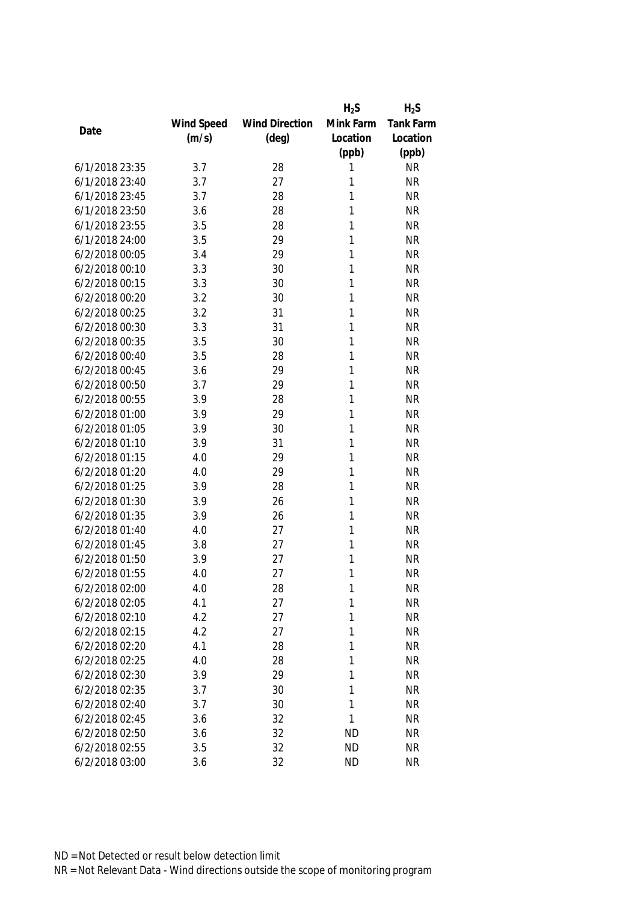|                |            |                       | $H_2S$    | $H_2S$           |
|----------------|------------|-----------------------|-----------|------------------|
|                | Wind Speed | <b>Wind Direction</b> | Mink Farm | <b>Tank Farm</b> |
| Date           | (m/s)      | $(\text{deg})$        | Location  | Location         |
|                |            |                       | (ppb)     | (ppb)            |
| 6/1/2018 23:35 | 3.7        | 28                    | 1         | <b>NR</b>        |
| 6/1/2018 23:40 | 3.7        | 27                    | 1         | <b>NR</b>        |
| 6/1/2018 23:45 | 3.7        | 28                    | 1         | <b>NR</b>        |
| 6/1/2018 23:50 | 3.6        | 28                    | 1         | <b>NR</b>        |
| 6/1/2018 23:55 | 3.5        | 28                    | 1         | <b>NR</b>        |
| 6/1/2018 24:00 | 3.5        | 29                    | 1         | <b>NR</b>        |
| 6/2/2018 00:05 | 3.4        | 29                    | 1         | <b>NR</b>        |
| 6/2/2018 00:10 | 3.3        | 30                    | 1         | <b>NR</b>        |
| 6/2/2018 00:15 | 3.3        | 30                    | 1         | <b>NR</b>        |
| 6/2/2018 00:20 | 3.2        | 30                    | 1         | <b>NR</b>        |
| 6/2/2018 00:25 | 3.2        | 31                    | 1         | <b>NR</b>        |
| 6/2/2018 00:30 | 3.3        | 31                    | 1         | <b>NR</b>        |
| 6/2/2018 00:35 | 3.5        | 30                    | 1         | <b>NR</b>        |
| 6/2/2018 00:40 | 3.5        | 28                    | 1         | <b>NR</b>        |
| 6/2/2018 00:45 | 3.6        | 29                    | 1         | <b>NR</b>        |
| 6/2/2018 00:50 | 3.7        | 29                    | 1         | <b>NR</b>        |
| 6/2/2018 00:55 | 3.9        | 28                    | 1         | <b>NR</b>        |
| 6/2/2018 01:00 | 3.9        | 29                    | 1         | <b>NR</b>        |
| 6/2/2018 01:05 | 3.9        | 30                    | 1         | <b>NR</b>        |
| 6/2/2018 01:10 | 3.9        | 31                    | 1         | <b>NR</b>        |
| 6/2/2018 01:15 | 4.0        | 29                    | 1         | <b>NR</b>        |
| 6/2/2018 01:20 | 4.0        | 29                    | 1         | <b>NR</b>        |
| 6/2/2018 01:25 | 3.9        | 28                    | 1         | <b>NR</b>        |
| 6/2/2018 01:30 | 3.9        | 26                    | 1         | <b>NR</b>        |
| 6/2/2018 01:35 | 3.9        | 26                    | 1         | <b>NR</b>        |
| 6/2/2018 01:40 | 4.0        | 27                    | 1         | <b>NR</b>        |
| 6/2/2018 01:45 | 3.8        | 27                    | 1         | <b>NR</b>        |
| 6/2/2018 01:50 | 3.9        | 27                    | 1         | <b>NR</b>        |
| 6/2/2018 01:55 | 4.0        | 27                    | 1         | <b>NR</b>        |
| 6/2/2018 02:00 | 4.0        | 28                    | 1         | <b>NR</b>        |
| 6/2/2018 02:05 | 4.1        | 27                    | 1         | <b>NR</b>        |
| 6/2/2018 02:10 | 4.2        | 27                    | 1         | <b>NR</b>        |
| 6/2/2018 02:15 | 4.2        | 27                    | 1         | <b>NR</b>        |
| 6/2/2018 02:20 | 4.1        | 28                    | 1         | <b>NR</b>        |
| 6/2/2018 02:25 | 4.0        | 28                    | 1         | <b>NR</b>        |
| 6/2/2018 02:30 | 3.9        | 29                    | 1         | <b>NR</b>        |
| 6/2/2018 02:35 | 3.7        | 30                    | 1         | <b>NR</b>        |
| 6/2/2018 02:40 | 3.7        | 30                    | 1         | <b>NR</b>        |
| 6/2/2018 02:45 | 3.6        | 32                    | 1         | <b>NR</b>        |
| 6/2/2018 02:50 | 3.6        | 32                    | <b>ND</b> | <b>NR</b>        |
| 6/2/2018 02:55 | 3.5        | 32                    | <b>ND</b> | <b>NR</b>        |
| 6/2/2018 03:00 | 3.6        | 32                    | <b>ND</b> | <b>NR</b>        |
|                |            |                       |           |                  |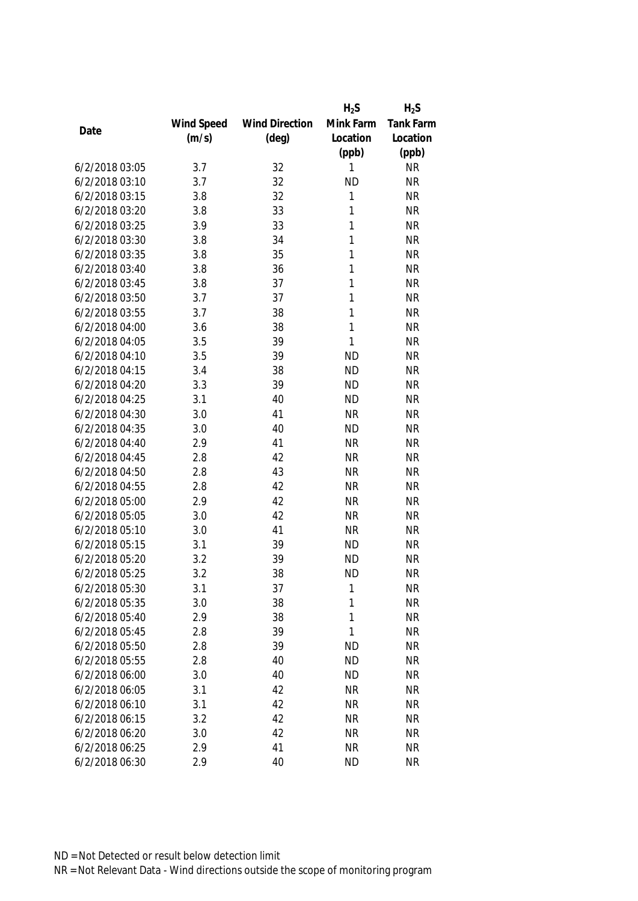|                |            |                       | $H_2S$    | $H_2S$           |
|----------------|------------|-----------------------|-----------|------------------|
|                | Wind Speed | <b>Wind Direction</b> | Mink Farm | <b>Tank Farm</b> |
| Date           | (m/s)      | $(\text{deg})$        | Location  | Location         |
|                |            |                       | (ppb)     | (ppb)            |
| 6/2/2018 03:05 | 3.7        | 32                    | 1         | <b>NR</b>        |
| 6/2/2018 03:10 | 3.7        | 32                    | <b>ND</b> | <b>NR</b>        |
| 6/2/2018 03:15 | 3.8        | 32                    | 1         | <b>NR</b>        |
| 6/2/2018 03:20 | 3.8        | 33                    | 1         | <b>NR</b>        |
| 6/2/2018 03:25 | 3.9        | 33                    | 1         | <b>NR</b>        |
| 6/2/2018 03:30 | 3.8        | 34                    | 1         | <b>NR</b>        |
| 6/2/2018 03:35 | 3.8        | 35                    | 1         | <b>NR</b>        |
| 6/2/2018 03:40 | 3.8        | 36                    | 1         | <b>NR</b>        |
| 6/2/2018 03:45 | 3.8        | 37                    | 1         | <b>NR</b>        |
| 6/2/2018 03:50 | 3.7        | 37                    | 1         | <b>NR</b>        |
| 6/2/2018 03:55 | 3.7        | 38                    | 1         | <b>NR</b>        |
| 6/2/2018 04:00 | 3.6        | 38                    | 1         | <b>NR</b>        |
| 6/2/2018 04:05 | 3.5        | 39                    | 1         | <b>NR</b>        |
| 6/2/2018 04:10 | 3.5        | 39                    | <b>ND</b> | <b>NR</b>        |
| 6/2/2018 04:15 | 3.4        | 38                    | <b>ND</b> | <b>NR</b>        |
| 6/2/2018 04:20 | 3.3        | 39                    | <b>ND</b> | <b>NR</b>        |
| 6/2/2018 04:25 | 3.1        | 40                    | <b>ND</b> | <b>NR</b>        |
| 6/2/2018 04:30 | 3.0        | 41                    | <b>NR</b> | <b>NR</b>        |
| 6/2/2018 04:35 | 3.0        | 40                    | <b>ND</b> | <b>NR</b>        |
| 6/2/2018 04:40 | 2.9        | 41                    | <b>NR</b> | <b>NR</b>        |
| 6/2/2018 04:45 | 2.8        | 42                    | <b>NR</b> | <b>NR</b>        |
| 6/2/2018 04:50 | 2.8        | 43                    | <b>NR</b> | <b>NR</b>        |
| 6/2/2018 04:55 | 2.8        | 42                    | <b>NR</b> | <b>NR</b>        |
| 6/2/2018 05:00 | 2.9        | 42                    | <b>NR</b> | <b>NR</b>        |
| 6/2/2018 05:05 | 3.0        | 42                    | <b>NR</b> | <b>NR</b>        |
| 6/2/2018 05:10 | 3.0        | 41                    | <b>NR</b> | <b>NR</b>        |
| 6/2/2018 05:15 | 3.1        | 39                    | <b>ND</b> | <b>NR</b>        |
| 6/2/2018 05:20 | 3.2        | 39                    | <b>ND</b> | <b>NR</b>        |
| 6/2/2018 05:25 | 3.2        | 38                    | <b>ND</b> | <b>NR</b>        |
| 6/2/2018 05:30 | 3.1        | 37                    | 1         | <b>NR</b>        |
| 6/2/2018 05:35 | 3.0        | 38                    | 1         | <b>NR</b>        |
| 6/2/2018 05:40 | 2.9        | 38                    | 1         | <b>NR</b>        |
| 6/2/2018 05:45 | 2.8        | 39                    | 1         | <b>NR</b>        |
| 6/2/2018 05:50 | 2.8        | 39                    | <b>ND</b> | <b>NR</b>        |
| 6/2/2018 05:55 | 2.8        | 40                    | <b>ND</b> | <b>NR</b>        |
| 6/2/2018 06:00 | 3.0        | 40                    | <b>ND</b> | <b>NR</b>        |
| 6/2/2018 06:05 | 3.1        | 42                    | <b>NR</b> | <b>NR</b>        |
| 6/2/2018 06:10 | 3.1        | 42                    | <b>NR</b> | <b>NR</b>        |
| 6/2/2018 06:15 | 3.2        | 42                    | <b>NR</b> | <b>NR</b>        |
| 6/2/2018 06:20 | 3.0        | 42                    | <b>NR</b> | <b>NR</b>        |
| 6/2/2018 06:25 | 2.9        | 41                    | <b>NR</b> | <b>NR</b>        |
| 6/2/2018 06:30 | 2.9        | 40                    | <b>ND</b> | <b>NR</b>        |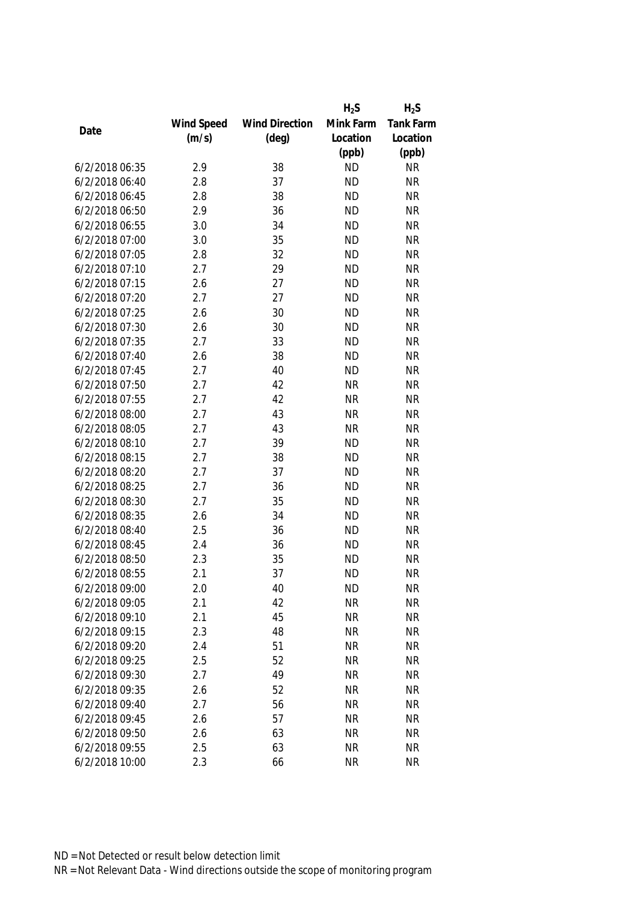|                |            |                       | $H_2S$    | $H_2S$           |
|----------------|------------|-----------------------|-----------|------------------|
|                | Wind Speed | <b>Wind Direction</b> | Mink Farm | <b>Tank Farm</b> |
| Date           | (m/s)      | $(\text{deg})$        | Location  | Location         |
|                |            |                       | (ppb)     | (ppb)            |
| 6/2/2018 06:35 | 2.9        | 38                    | <b>ND</b> | <b>NR</b>        |
| 6/2/2018 06:40 | 2.8        | 37                    | <b>ND</b> | <b>NR</b>        |
| 6/2/2018 06:45 | 2.8        | 38                    | <b>ND</b> | <b>NR</b>        |
| 6/2/2018 06:50 | 2.9        | 36                    | <b>ND</b> | <b>NR</b>        |
| 6/2/2018 06:55 | 3.0        | 34                    | <b>ND</b> | <b>NR</b>        |
| 6/2/2018 07:00 | 3.0        | 35                    | <b>ND</b> | <b>NR</b>        |
| 6/2/2018 07:05 | 2.8        | 32                    | <b>ND</b> | <b>NR</b>        |
| 6/2/2018 07:10 | 2.7        | 29                    | <b>ND</b> | <b>NR</b>        |
| 6/2/2018 07:15 | 2.6        | 27                    | <b>ND</b> | <b>NR</b>        |
| 6/2/2018 07:20 | 2.7        | 27                    | <b>ND</b> | <b>NR</b>        |
| 6/2/2018 07:25 | 2.6        | 30                    | <b>ND</b> | <b>NR</b>        |
| 6/2/2018 07:30 | 2.6        | 30                    | <b>ND</b> | <b>NR</b>        |
| 6/2/2018 07:35 | 2.7        | 33                    | <b>ND</b> | <b>NR</b>        |
| 6/2/2018 07:40 | 2.6        | 38                    | <b>ND</b> | <b>NR</b>        |
| 6/2/2018 07:45 | 2.7        | 40                    | <b>ND</b> | <b>NR</b>        |
| 6/2/2018 07:50 | 2.7        | 42                    | <b>NR</b> | <b>NR</b>        |
| 6/2/2018 07:55 | 2.7        | 42                    | <b>NR</b> | <b>NR</b>        |
| 6/2/2018 08:00 | 2.7        | 43                    | <b>NR</b> | <b>NR</b>        |
| 6/2/2018 08:05 | 2.7        | 43                    | <b>NR</b> | <b>NR</b>        |
| 6/2/2018 08:10 | 2.7        | 39                    | <b>ND</b> | <b>NR</b>        |
| 6/2/2018 08:15 | 2.7        | 38                    | <b>ND</b> | <b>NR</b>        |
| 6/2/2018 08:20 | 2.7        | 37                    | <b>ND</b> | <b>NR</b>        |
| 6/2/2018 08:25 | 2.7        | 36                    | <b>ND</b> | <b>NR</b>        |
| 6/2/2018 08:30 | 2.7        | 35                    | <b>ND</b> | <b>NR</b>        |
| 6/2/2018 08:35 | 2.6        | 34                    | <b>ND</b> | <b>NR</b>        |
| 6/2/2018 08:40 | 2.5        | 36                    | <b>ND</b> | <b>NR</b>        |
| 6/2/2018 08:45 | 2.4        | 36                    | <b>ND</b> | <b>NR</b>        |
| 6/2/2018 08:50 | 2.3        | 35                    | <b>ND</b> | <b>NR</b>        |
| 6/2/2018 08:55 | 2.1        | 37                    | <b>ND</b> | <b>NR</b>        |
| 6/2/2018 09:00 | 2.0        | 40                    | <b>ND</b> | <b>NR</b>        |
| 6/2/2018 09:05 | 2.1        | 42                    | <b>NR</b> | <b>NR</b>        |
| 6/2/2018 09:10 | 2.1        | 45                    | <b>NR</b> | <b>NR</b>        |
| 6/2/2018 09:15 | 2.3        | 48                    | <b>NR</b> | <b>NR</b>        |
| 6/2/2018 09:20 | 2.4        | 51                    | <b>NR</b> | <b>NR</b>        |
| 6/2/2018 09:25 | 2.5        | 52                    | <b>NR</b> | <b>NR</b>        |
| 6/2/2018 09:30 | 2.7        | 49                    | <b>NR</b> | <b>NR</b>        |
| 6/2/2018 09:35 | 2.6        | 52                    | <b>NR</b> | <b>NR</b>        |
| 6/2/2018 09:40 | 2.7        | 56                    | <b>NR</b> | <b>NR</b>        |
| 6/2/2018 09:45 | 2.6        | 57                    | <b>NR</b> | <b>NR</b>        |
| 6/2/2018 09:50 | 2.6        | 63                    | <b>NR</b> | <b>NR</b>        |
| 6/2/2018 09:55 | 2.5        | 63                    | <b>NR</b> | <b>NR</b>        |
| 6/2/2018 10:00 | 2.3        | 66                    | <b>NR</b> | <b>NR</b>        |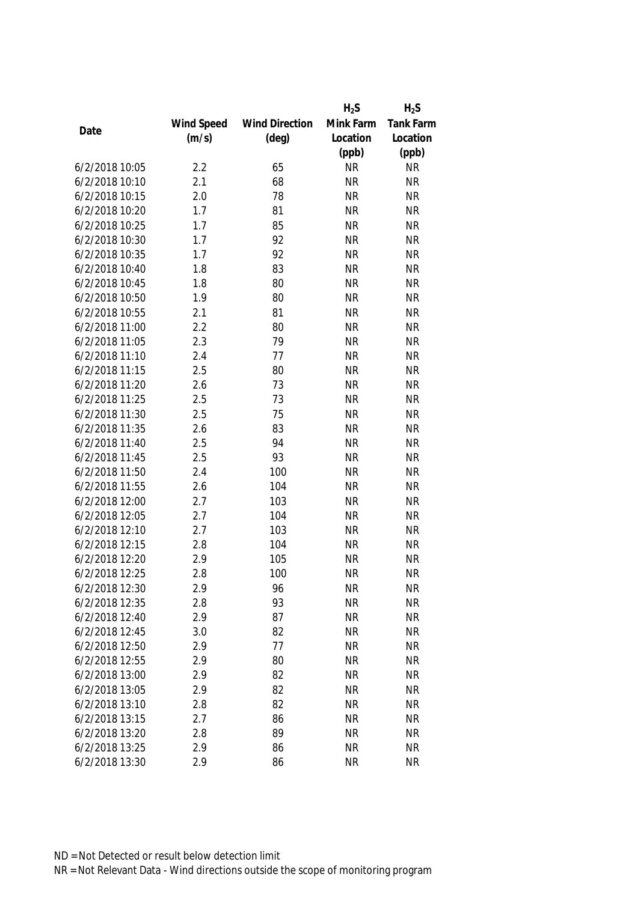|                |            |                       | $H_2S$    | $H_2S$           |
|----------------|------------|-----------------------|-----------|------------------|
|                | Wind Speed | <b>Wind Direction</b> | Mink Farm | <b>Tank Farm</b> |
| Date           | (m/s)      | $(\text{deg})$        | Location  | Location         |
|                |            |                       | (ppb)     | (ppb)            |
| 6/2/2018 10:05 | 2.2        | 65                    | <b>NR</b> | <b>NR</b>        |
| 6/2/2018 10:10 | 2.1        | 68                    | <b>NR</b> | <b>NR</b>        |
| 6/2/2018 10:15 | 2.0        | 78                    | <b>NR</b> | <b>NR</b>        |
| 6/2/2018 10:20 | 1.7        | 81                    | <b>NR</b> | <b>NR</b>        |
| 6/2/2018 10:25 | 1.7        | 85                    | <b>NR</b> | <b>NR</b>        |
| 6/2/2018 10:30 | 1.7        | 92                    | <b>NR</b> | <b>NR</b>        |
| 6/2/2018 10:35 | 1.7        | 92                    | <b>NR</b> | <b>NR</b>        |
| 6/2/2018 10:40 | 1.8        | 83                    | <b>NR</b> | <b>NR</b>        |
| 6/2/2018 10:45 | 1.8        | 80                    | <b>NR</b> | <b>NR</b>        |
| 6/2/2018 10:50 | 1.9        | 80                    | <b>NR</b> | <b>NR</b>        |
| 6/2/2018 10:55 | 2.1        | 81                    | <b>NR</b> | <b>NR</b>        |
| 6/2/2018 11:00 | 2.2        | 80                    | <b>NR</b> | <b>NR</b>        |
| 6/2/2018 11:05 | 2.3        | 79                    | <b>NR</b> | <b>NR</b>        |
| 6/2/2018 11:10 | 2.4        | 77                    | <b>NR</b> | <b>NR</b>        |
| 6/2/2018 11:15 | 2.5        | 80                    | <b>NR</b> | <b>NR</b>        |
| 6/2/2018 11:20 | 2.6        | 73                    | <b>NR</b> | <b>NR</b>        |
| 6/2/2018 11:25 | 2.5        | 73                    | <b>NR</b> | <b>NR</b>        |
| 6/2/2018 11:30 | 2.5        | 75                    | <b>NR</b> | <b>NR</b>        |
| 6/2/2018 11:35 | 2.6        | 83                    | <b>NR</b> | <b>NR</b>        |
| 6/2/2018 11:40 | 2.5        | 94                    | <b>NR</b> | <b>NR</b>        |
| 6/2/2018 11:45 | 2.5        | 93                    | <b>NR</b> | <b>NR</b>        |
| 6/2/2018 11:50 | 2.4        | 100                   | <b>NR</b> | <b>NR</b>        |
| 6/2/2018 11:55 | 2.6        | 104                   | <b>NR</b> | <b>NR</b>        |
| 6/2/2018 12:00 | 2.7        | 103                   | <b>NR</b> | <b>NR</b>        |
| 6/2/2018 12:05 | 2.7        | 104                   | <b>NR</b> | <b>NR</b>        |
| 6/2/2018 12:10 | 2.7        | 103                   | <b>NR</b> | <b>NR</b>        |
| 6/2/2018 12:15 | 2.8        | 104                   | <b>NR</b> | <b>NR</b>        |
| 6/2/2018 12:20 | 2.9        | 105                   | <b>NR</b> | <b>NR</b>        |
| 6/2/2018 12:25 | 2.8        | 100                   | <b>NR</b> | <b>NR</b>        |
| 6/2/2018 12:30 | 2.9        | 96                    | <b>NR</b> | <b>NR</b>        |
| 6/2/2018 12:35 | 2.8        | 93                    | <b>NR</b> | <b>NR</b>        |
| 6/2/2018 12:40 | 2.9        | 87                    | <b>NR</b> | <b>NR</b>        |
| 6/2/2018 12:45 | 3.0        | 82                    | <b>NR</b> | <b>NR</b>        |
| 6/2/2018 12:50 | 2.9        | 77                    | <b>NR</b> | <b>NR</b>        |
| 6/2/2018 12:55 | 2.9        | 80                    | <b>NR</b> | <b>NR</b>        |
| 6/2/2018 13:00 | 2.9        | 82                    | <b>NR</b> | <b>NR</b>        |
| 6/2/2018 13:05 | 2.9        | 82                    | <b>NR</b> | <b>NR</b>        |
| 6/2/2018 13:10 | 2.8        | 82                    | <b>NR</b> | <b>NR</b>        |
| 6/2/2018 13:15 | 2.7        | 86                    | <b>NR</b> | <b>NR</b>        |
| 6/2/2018 13:20 | 2.8        | 89                    | <b>NR</b> | <b>NR</b>        |
| 6/2/2018 13:25 | 2.9        | 86                    | <b>NR</b> | <b>NR</b>        |
| 6/2/2018 13:30 | 2.9        | 86                    | <b>NR</b> | <b>NR</b>        |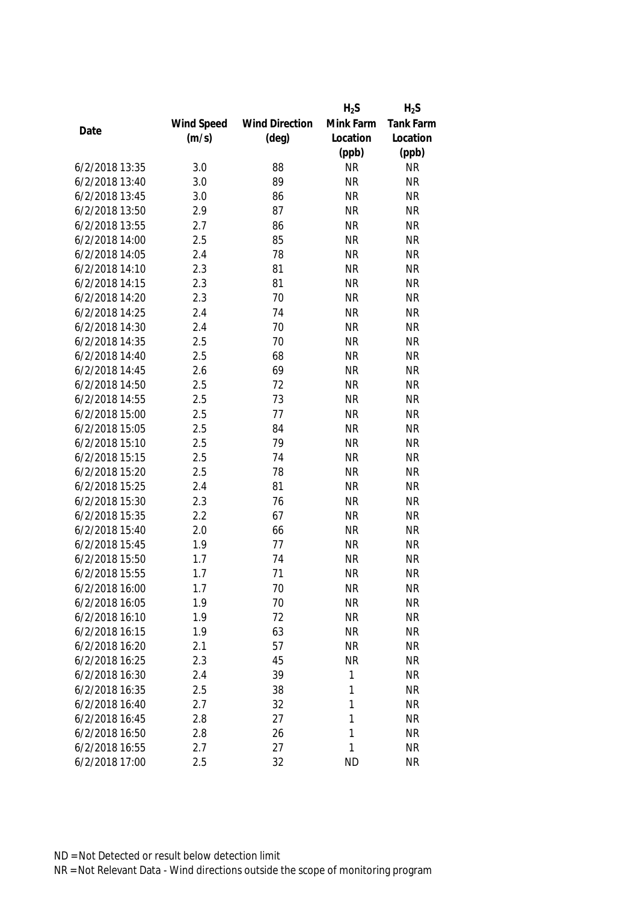|                |            |                       | $H_2S$    | $H_2S$           |
|----------------|------------|-----------------------|-----------|------------------|
|                | Wind Speed | <b>Wind Direction</b> | Mink Farm | <b>Tank Farm</b> |
| Date           | (m/s)      | $(\text{deg})$        | Location  | Location         |
|                |            |                       | (ppb)     | (ppb)            |
| 6/2/2018 13:35 | 3.0        | 88                    | <b>NR</b> | <b>NR</b>        |
| 6/2/2018 13:40 | 3.0        | 89                    | <b>NR</b> | <b>NR</b>        |
| 6/2/2018 13:45 | 3.0        | 86                    | <b>NR</b> | <b>NR</b>        |
| 6/2/2018 13:50 | 2.9        | 87                    | <b>NR</b> | <b>NR</b>        |
| 6/2/2018 13:55 | 2.7        | 86                    | <b>NR</b> | <b>NR</b>        |
| 6/2/2018 14:00 | 2.5        | 85                    | <b>NR</b> | <b>NR</b>        |
| 6/2/2018 14:05 | 2.4        | 78                    | <b>NR</b> | <b>NR</b>        |
| 6/2/2018 14:10 | 2.3        | 81                    | <b>NR</b> | <b>NR</b>        |
| 6/2/2018 14:15 | 2.3        | 81                    | <b>NR</b> | <b>NR</b>        |
| 6/2/2018 14:20 | 2.3        | 70                    | <b>NR</b> | <b>NR</b>        |
| 6/2/2018 14:25 | 2.4        | 74                    | <b>NR</b> | <b>NR</b>        |
| 6/2/2018 14:30 | 2.4        | 70                    | <b>NR</b> | <b>NR</b>        |
| 6/2/2018 14:35 | 2.5        | 70                    | <b>NR</b> | <b>NR</b>        |
| 6/2/2018 14:40 | 2.5        | 68                    | <b>NR</b> | <b>NR</b>        |
| 6/2/2018 14:45 | 2.6        | 69                    | <b>NR</b> | <b>NR</b>        |
| 6/2/2018 14:50 | 2.5        | 72                    | <b>NR</b> | <b>NR</b>        |
| 6/2/2018 14:55 | 2.5        | 73                    | <b>NR</b> | <b>NR</b>        |
| 6/2/2018 15:00 | 2.5        | 77                    | <b>NR</b> | <b>NR</b>        |
| 6/2/2018 15:05 | 2.5        | 84                    | <b>NR</b> | <b>NR</b>        |
| 6/2/2018 15:10 | 2.5        | 79                    | <b>NR</b> | <b>NR</b>        |
| 6/2/2018 15:15 | 2.5        | 74                    | <b>NR</b> | <b>NR</b>        |
| 6/2/2018 15:20 | 2.5        | 78                    | <b>NR</b> | <b>NR</b>        |
| 6/2/2018 15:25 | 2.4        | 81                    | <b>NR</b> | <b>NR</b>        |
| 6/2/2018 15:30 | 2.3        | 76                    | <b>NR</b> | <b>NR</b>        |
| 6/2/2018 15:35 | 2.2        | 67                    | <b>NR</b> | <b>NR</b>        |
| 6/2/2018 15:40 | 2.0        | 66                    | <b>NR</b> | <b>NR</b>        |
| 6/2/2018 15:45 | 1.9        | 77                    | <b>NR</b> | <b>NR</b>        |
| 6/2/2018 15:50 | 1.7        | 74                    | <b>NR</b> | <b>NR</b>        |
| 6/2/2018 15:55 | 1.7        | 71                    | <b>NR</b> | <b>NR</b>        |
| 6/2/2018 16:00 | 1.7        | 70                    | <b>NR</b> | <b>NR</b>        |
| 6/2/2018 16:05 | 1.9        | 70                    | <b>NR</b> | <b>NR</b>        |
| 6/2/2018 16:10 | 1.9        | 72                    | <b>NR</b> | <b>NR</b>        |
| 6/2/2018 16:15 | 1.9        | 63                    | <b>NR</b> | <b>NR</b>        |
| 6/2/2018 16:20 | 2.1        | 57                    | <b>NR</b> | <b>NR</b>        |
| 6/2/2018 16:25 | 2.3        | 45                    | <b>NR</b> | <b>NR</b>        |
| 6/2/2018 16:30 | 2.4        | 39                    | 1         | <b>NR</b>        |
| 6/2/2018 16:35 | 2.5        | 38                    | 1         | <b>NR</b>        |
| 6/2/2018 16:40 | 2.7        | 32                    | 1         | <b>NR</b>        |
| 6/2/2018 16:45 | 2.8        | 27                    | 1         | <b>NR</b>        |
| 6/2/2018 16:50 | 2.8        | 26                    | 1         | <b>NR</b>        |
| 6/2/2018 16:55 | 2.7        | 27                    | 1         | <b>NR</b>        |
| 6/2/2018 17:00 | 2.5        | 32                    | <b>ND</b> | <b>NR</b>        |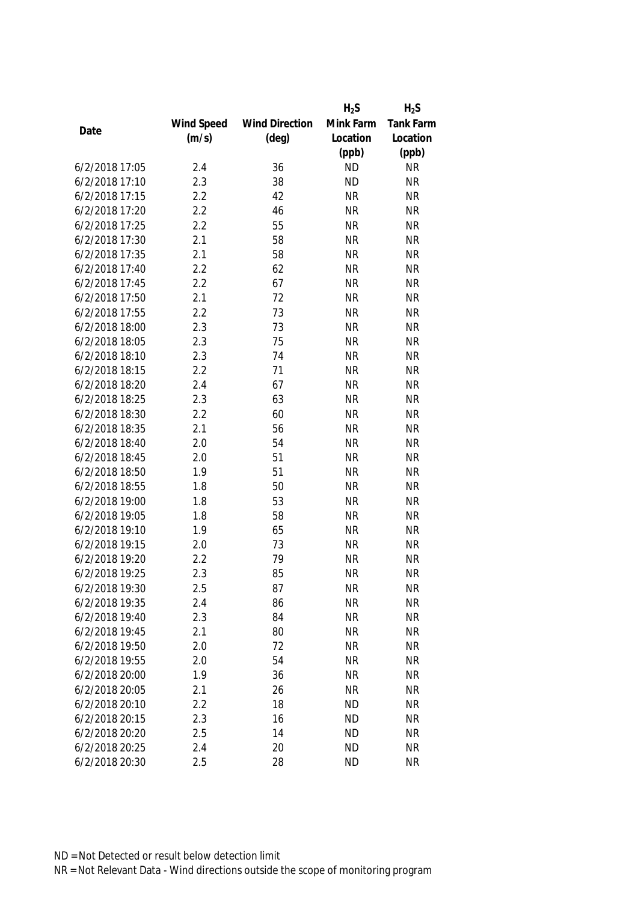|                |            |                       | $H_2S$    | $H_2S$           |
|----------------|------------|-----------------------|-----------|------------------|
|                | Wind Speed | <b>Wind Direction</b> | Mink Farm | <b>Tank Farm</b> |
| Date           | (m/s)      | $(\text{deg})$        | Location  | Location         |
|                |            |                       | (ppb)     | (ppb)            |
| 6/2/2018 17:05 | 2.4        | 36                    | <b>ND</b> | <b>NR</b>        |
| 6/2/2018 17:10 | 2.3        | 38                    | <b>ND</b> | <b>NR</b>        |
| 6/2/2018 17:15 | 2.2        | 42                    | <b>NR</b> | <b>NR</b>        |
| 6/2/2018 17:20 | 2.2        | 46                    | <b>NR</b> | <b>NR</b>        |
| 6/2/2018 17:25 | 2.2        | 55                    | <b>NR</b> | <b>NR</b>        |
| 6/2/2018 17:30 | 2.1        | 58                    | <b>NR</b> | <b>NR</b>        |
| 6/2/2018 17:35 | 2.1        | 58                    | <b>NR</b> | <b>NR</b>        |
| 6/2/2018 17:40 | 2.2        | 62                    | <b>NR</b> | <b>NR</b>        |
| 6/2/2018 17:45 | 2.2        | 67                    | <b>NR</b> | <b>NR</b>        |
| 6/2/2018 17:50 | 2.1        | 72                    | <b>NR</b> | <b>NR</b>        |
| 6/2/2018 17:55 | 2.2        | 73                    | <b>NR</b> | <b>NR</b>        |
| 6/2/2018 18:00 | 2.3        | 73                    | <b>NR</b> | <b>NR</b>        |
| 6/2/2018 18:05 | 2.3        | 75                    | <b>NR</b> | <b>NR</b>        |
| 6/2/2018 18:10 | 2.3        | 74                    | <b>NR</b> | <b>NR</b>        |
| 6/2/2018 18:15 | 2.2        | 71                    | <b>NR</b> | <b>NR</b>        |
| 6/2/2018 18:20 | 2.4        | 67                    | <b>NR</b> | <b>NR</b>        |
| 6/2/2018 18:25 | 2.3        | 63                    | <b>NR</b> | <b>NR</b>        |
| 6/2/2018 18:30 | 2.2        | 60                    | <b>NR</b> | <b>NR</b>        |
| 6/2/2018 18:35 | 2.1        | 56                    | <b>NR</b> | <b>NR</b>        |
| 6/2/2018 18:40 | 2.0        | 54                    | <b>NR</b> | <b>NR</b>        |
| 6/2/2018 18:45 | 2.0        | 51                    | <b>NR</b> | <b>NR</b>        |
| 6/2/2018 18:50 | 1.9        | 51                    | <b>NR</b> | <b>NR</b>        |
| 6/2/2018 18:55 | 1.8        | 50                    | <b>NR</b> | <b>NR</b>        |
| 6/2/2018 19:00 | 1.8        | 53                    | <b>NR</b> | <b>NR</b>        |
| 6/2/2018 19:05 | 1.8        | 58                    | <b>NR</b> | <b>NR</b>        |
| 6/2/2018 19:10 | 1.9        | 65                    | <b>NR</b> | <b>NR</b>        |
| 6/2/2018 19:15 | 2.0        | 73                    | <b>NR</b> | <b>NR</b>        |
| 6/2/2018 19:20 | 2.2        | 79                    | <b>NR</b> | <b>NR</b>        |
| 6/2/2018 19:25 | 2.3        | 85                    | <b>NR</b> | <b>NR</b>        |
| 6/2/2018 19:30 | 2.5        | 87                    | <b>NR</b> | <b>NR</b>        |
| 6/2/2018 19:35 | 2.4        | 86                    | <b>NR</b> | <b>NR</b>        |
| 6/2/2018 19:40 | 2.3        | 84                    | <b>NR</b> | <b>NR</b>        |
| 6/2/2018 19:45 | 2.1        | 80                    | <b>NR</b> | <b>NR</b>        |
| 6/2/2018 19:50 | 2.0        | 72                    | <b>NR</b> | <b>NR</b>        |
| 6/2/2018 19:55 | 2.0        | 54                    | <b>NR</b> | <b>NR</b>        |
| 6/2/2018 20:00 | 1.9        | 36                    | <b>NR</b> | <b>NR</b>        |
| 6/2/2018 20:05 | 2.1        | 26                    | <b>NR</b> | <b>NR</b>        |
| 6/2/2018 20:10 | 2.2        | 18                    | <b>ND</b> | <b>NR</b>        |
| 6/2/2018 20:15 | 2.3        | 16                    | <b>ND</b> | <b>NR</b>        |
| 6/2/2018 20:20 | 2.5        | 14                    | <b>ND</b> | <b>NR</b>        |
| 6/2/2018 20:25 | 2.4        | 20                    | <b>ND</b> | <b>NR</b>        |
| 6/2/2018 20:30 |            |                       |           |                  |
|                | 2.5        | 28                    | <b>ND</b> | <b>NR</b>        |